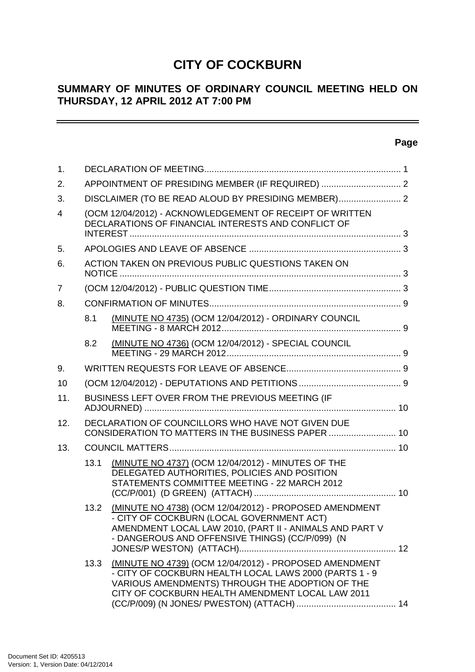# **CITY OF COCKBURN**

# **SUMMARY OF MINUTES OF ORDINARY COUNCIL MEETING HELD ON THURSDAY, 12 APRIL 2012 AT 7:00 PM**

# **Page**

 $\equiv$ 

| $\mathbf{1}$ . |      |                                                                                                                                                                                                                         |  |
|----------------|------|-------------------------------------------------------------------------------------------------------------------------------------------------------------------------------------------------------------------------|--|
| 2.             |      |                                                                                                                                                                                                                         |  |
| 3.             |      | DISCLAIMER (TO BE READ ALOUD BY PRESIDING MEMBER) 2                                                                                                                                                                     |  |
| $\overline{4}$ |      | (OCM 12/04/2012) - ACKNOWLEDGEMENT OF RECEIPT OF WRITTEN<br>DECLARATIONS OF FINANCIAL INTERESTS AND CONFLICT OF                                                                                                         |  |
| 5.             |      |                                                                                                                                                                                                                         |  |
| 6.             |      | ACTION TAKEN ON PREVIOUS PUBLIC QUESTIONS TAKEN ON                                                                                                                                                                      |  |
| 7              |      |                                                                                                                                                                                                                         |  |
| 8.             |      |                                                                                                                                                                                                                         |  |
|                | 8.1  | (MINUTE NO 4735) (OCM 12/04/2012) - ORDINARY COUNCIL                                                                                                                                                                    |  |
|                | 8.2  | (MINUTE NO 4736) (OCM 12/04/2012) - SPECIAL COUNCIL                                                                                                                                                                     |  |
| 9.             |      |                                                                                                                                                                                                                         |  |
| 10             |      |                                                                                                                                                                                                                         |  |
| 11.            |      | BUSINESS LEFT OVER FROM THE PREVIOUS MEETING (IF                                                                                                                                                                        |  |
| 12.            |      | DECLARATION OF COUNCILLORS WHO HAVE NOT GIVEN DUE<br>CONSIDERATION TO MATTERS IN THE BUSINESS PAPER  10                                                                                                                 |  |
| 13.            |      |                                                                                                                                                                                                                         |  |
|                | 13.1 | (MINUTE NO 4737) (OCM 12/04/2012) - MINUTES OF THE<br>DELEGATED AUTHORITIES, POLICIES AND POSITION<br>STATEMENTS COMMITTEE MEETING - 22 MARCH 2012                                                                      |  |
|                | 13.2 | (MINUTE NO 4738) (OCM 12/04/2012) - PROPOSED AMENDMENT<br>- CITY OF COCKBURN (LOCAL GOVERNMENT ACT)<br>AMENDMENT LOCAL LAW 2010, (PART II - ANIMALS AND PART V<br>- DANGEROUS AND OFFENSIVE THINGS) (CC/P/099) (N       |  |
|                | 13.3 | (MINUTE NO 4739) (OCM 12/04/2012) - PROPOSED AMENDMENT<br>- CITY OF COCKBURN HEALTH LOCAL LAWS 2000 (PARTS 1 - 9<br>VARIOUS AMENDMENTS) THROUGH THE ADOPTION OF THE<br>CITY OF COCKBURN HEALTH AMENDMENT LOCAL LAW 2011 |  |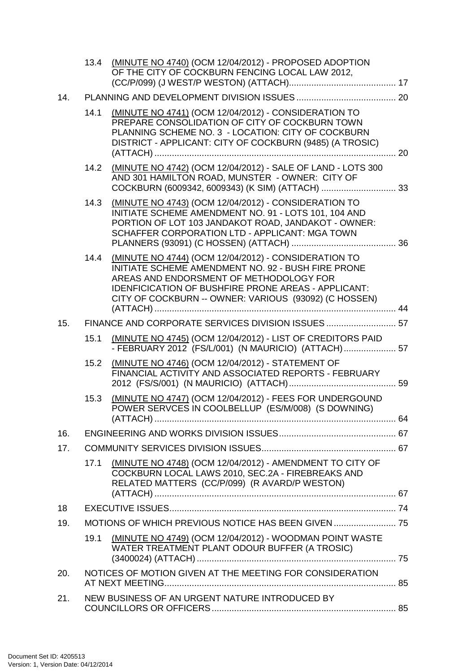|     |      | 13.4 (MINUTE NO 4740) (OCM 12/04/2012) - PROPOSED ADOPTION<br>OF THE CITY OF COCKBURN FENCING LOCAL LAW 2012,                                                                                                                                                         |      |
|-----|------|-----------------------------------------------------------------------------------------------------------------------------------------------------------------------------------------------------------------------------------------------------------------------|------|
| 14. |      |                                                                                                                                                                                                                                                                       |      |
|     | 14.1 | (MINUTE NO 4741) (OCM 12/04/2012) - CONSIDERATION TO<br>PREPARE CONSOLIDATION OF CITY OF COCKBURN TOWN<br>PLANNING SCHEME NO. 3 - LOCATION: CITY OF COCKBURN<br>DISTRICT - APPLICANT: CITY OF COCKBURN (9485) (A TROSIC)                                              | . 20 |
|     | 14.2 | (MINUTE NO 4742) (OCM 12/04/2012) - SALE OF LAND - LOTS 300<br>AND 301 HAMILTON ROAD, MUNSTER - OWNER: CITY OF                                                                                                                                                        |      |
|     | 14.3 | (MINUTE NO 4743) (OCM 12/04/2012) - CONSIDERATION TO<br>INITIATE SCHEME AMENDMENT NO. 91 - LOTS 101, 104 AND<br>PORTION OF LOT 103 JANDAKOT ROAD, JANDAKOT - OWNER:<br>SCHAFFER CORPORATION LTD - APPLICANT: MGA TOWN                                                 |      |
|     | 14.4 | (MINUTE NO 4744) (OCM 12/04/2012) - CONSIDERATION TO<br>INITIATE SCHEME AMENDMENT NO. 92 - BUSH FIRE PRONE<br>AREAS AND ENDORSMENT OF METHODOLOGY FOR<br>IDENFICICATION OF BUSHFIRE PRONE AREAS - APPLICANT:<br>CITY OF COCKBURN -- OWNER: VARIOUS (93092) (C HOSSEN) |      |
| 15. |      |                                                                                                                                                                                                                                                                       |      |
|     | 15.1 | (MINUTE NO 4745) (OCM 12/04/2012) - LIST OF CREDITORS PAID<br>- FEBRUARY 2012 (FS/L/001) (N MAURICIO) (ATTACH) 57                                                                                                                                                     |      |
|     | 15.2 | (MINUTE NO 4746) (OCM 12/04/2012) - STATEMENT OF<br>FINANCIAL ACTIVITY AND ASSOCIATED REPORTS - FEBRUARY                                                                                                                                                              |      |
|     | 15.3 | (MINUTE NO 4747) (OCM 12/04/2012) - FEES FOR UNDERGOUND<br>POWER SERVCES IN COOLBELLUP (ES/M/008) (S DOWNING)                                                                                                                                                         |      |
| 16. |      |                                                                                                                                                                                                                                                                       |      |
| 17. |      |                                                                                                                                                                                                                                                                       |      |
|     | 17.1 | (MINUTE NO 4748) (OCM 12/04/2012) - AMENDMENT TO CITY OF<br>COCKBURN LOCAL LAWS 2010, SEC.2A - FIREBREAKS AND<br>RELATED MATTERS (CC/P/099) (R AVARD/P WESTON)                                                                                                        |      |
|     |      |                                                                                                                                                                                                                                                                       |      |
| 18  |      |                                                                                                                                                                                                                                                                       |      |
| 19. |      |                                                                                                                                                                                                                                                                       |      |
|     | 19.1 | (MINUTE NO 4749) (OCM 12/04/2012) - WOODMAN POINT WASTE<br>WATER TREATMENT PLANT ODOUR BUFFER (A TROSIC)                                                                                                                                                              |      |
| 20. |      | NOTICES OF MOTION GIVEN AT THE MEETING FOR CONSIDERATION                                                                                                                                                                                                              |      |
| 21. |      | NEW BUSINESS OF AN URGENT NATURE INTRODUCED BY                                                                                                                                                                                                                        |      |
|     |      |                                                                                                                                                                                                                                                                       |      |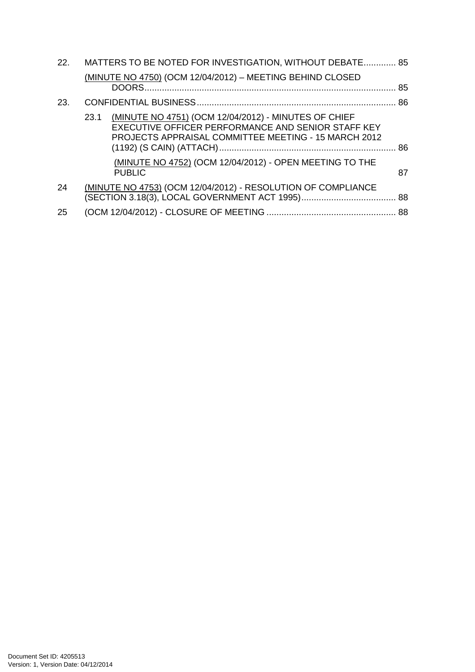| 22. | MATTERS TO BE NOTED FOR INVESTIGATION, WITHOUT DEBATE 85                                                                                                                          |    |  |
|-----|-----------------------------------------------------------------------------------------------------------------------------------------------------------------------------------|----|--|
|     | (MINUTE NO 4750) (OCM 12/04/2012) - MEETING BEHIND CLOSED                                                                                                                         |    |  |
| 23. |                                                                                                                                                                                   |    |  |
|     | (MINUTE NO 4751) (OCM 12/04/2012) - MINUTES OF CHIEF<br>23.1<br>EXECUTIVE OFFICER PERFORMANCE AND SENIOR STAFF KEY<br><b>PROJECTS APPRAISAL COMMITTEE MEETING - 15 MARCH 2012</b> |    |  |
|     | (MINUTE NO 4752) (OCM 12/04/2012) - OPEN MEETING TO THE<br><b>PUBLIC</b>                                                                                                          | 87 |  |
| 24  | (MINUTE NO 4753) (OCM 12/04/2012) - RESOLUTION OF COMPLIANCE                                                                                                                      |    |  |
| 25  |                                                                                                                                                                                   |    |  |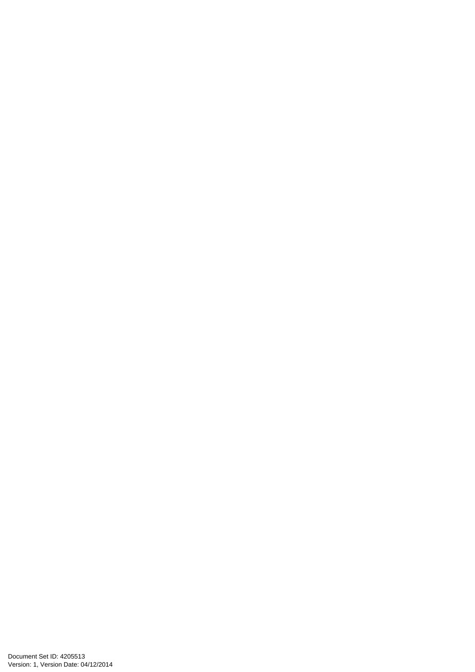Document Set ID: 4205513<br>Version: 1, Version Date: 04/12/2014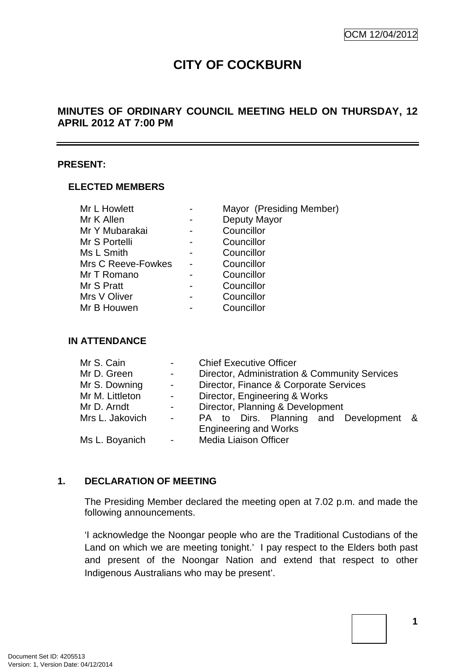# **CITY OF COCKBURN**

# **MINUTES OF ORDINARY COUNCIL MEETING HELD ON THURSDAY, 12 APRIL 2012 AT 7:00 PM**

#### **PRESENT:**

#### **ELECTED MEMBERS**

|   | Mayor (Presiding Member) |
|---|--------------------------|
|   | Deputy Mayor             |
|   | Councillor               |
|   | Councillor               |
|   | Councillor               |
|   | Councillor               |
|   | Councillor               |
|   | Councillor               |
| - | Councillor               |
|   | Councillor               |
|   |                          |

#### **IN ATTENDANCE**

| Mr S. Cain      | $\blacksquare$ | <b>Chief Executive Officer</b>                                         |  |  |  |
|-----------------|----------------|------------------------------------------------------------------------|--|--|--|
| Mr D. Green     | $\sim 100$     | Director, Administration & Community Services                          |  |  |  |
| Mr S. Downing   | $\sim$ $-$     | Director, Finance & Corporate Services                                 |  |  |  |
| Mr M. Littleton | $\sim$         | Director, Engineering & Works                                          |  |  |  |
| Mr D. Arndt     | $\sim 100$     | Director, Planning & Development                                       |  |  |  |
| Mrs L. Jakovich | $\blacksquare$ | PA to Dirs. Planning and Development &<br><b>Engineering and Works</b> |  |  |  |
| Ms L. Boyanich  | $\sim$ $-$     | <b>Media Liaison Officer</b>                                           |  |  |  |

#### **1. DECLARATION OF MEETING**

The Presiding Member declared the meeting open at 7.02 p.m. and made the following announcements.

'I acknowledge the Noongar people who are the Traditional Custodians of the Land on which we are meeting tonight.' I pay respect to the Elders both past and present of the Noongar Nation and extend that respect to other Indigenous Australians who may be present'.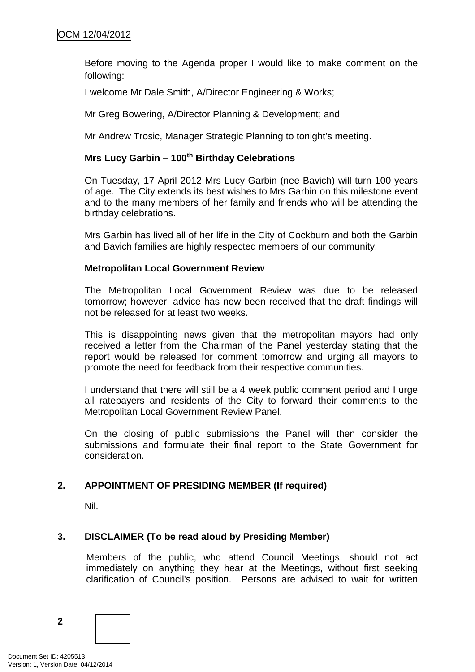Before moving to the Agenda proper I would like to make comment on the following:

I welcome Mr Dale Smith, A/Director Engineering & Works;

Mr Greg Bowering, A/Director Planning & Development; and

Mr Andrew Trosic, Manager Strategic Planning to tonight's meeting.

## **Mrs Lucy Garbin – 100th Birthday Celebrations**

On Tuesday, 17 April 2012 Mrs Lucy Garbin (nee Bavich) will turn 100 years of age. The City extends its best wishes to Mrs Garbin on this milestone event and to the many members of her family and friends who will be attending the birthday celebrations.

Mrs Garbin has lived all of her life in the City of Cockburn and both the Garbin and Bavich families are highly respected members of our community.

#### **Metropolitan Local Government Review**

The Metropolitan Local Government Review was due to be released tomorrow; however, advice has now been received that the draft findings will not be released for at least two weeks.

This is disappointing news given that the metropolitan mayors had only received a letter from the Chairman of the Panel yesterday stating that the report would be released for comment tomorrow and urging all mayors to promote the need for feedback from their respective communities.

I understand that there will still be a 4 week public comment period and I urge all ratepayers and residents of the City to forward their comments to the Metropolitan Local Government Review Panel.

On the closing of public submissions the Panel will then consider the submissions and formulate their final report to the State Government for consideration.

## **2. APPOINTMENT OF PRESIDING MEMBER (If required)**

Nil.

## **3. DISCLAIMER (To be read aloud by Presiding Member)**

Members of the public, who attend Council Meetings, should not act immediately on anything they hear at the Meetings, without first seeking clarification of Council's position. Persons are advised to wait for written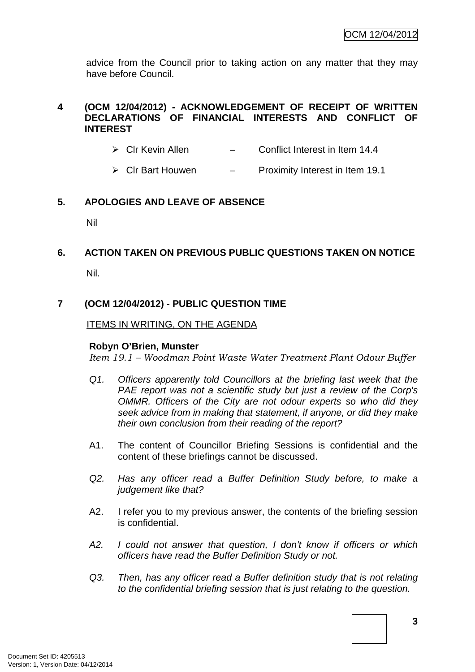advice from the Council prior to taking action on any matter that they may have before Council.

#### **4 (OCM 12/04/2012) - ACKNOWLEDGEMENT OF RECEIPT OF WRITTEN DECLARATIONS OF FINANCIAL INTERESTS AND CONFLICT OF INTEREST**

- ▶ CIr Kevin Allen Conflict Interest in Item 14.4
- ▶ CIr Bart Houwen Proximity Interest in Item 19.1

## **5. APOLOGIES AND LEAVE OF ABSENCE**

Nil

# **6. ACTION TAKEN ON PREVIOUS PUBLIC QUESTIONS TAKEN ON NOTICE**

Nil.

## **7 (OCM 12/04/2012) - PUBLIC QUESTION TIME**

#### ITEMS IN WRITING, ON THE AGENDA

#### **Robyn O'Brien, Munster**

Item 19.1 – Woodman Point Waste Water Treatment Plant Odour Buffer

- Q1. Officers apparently told Councillors at the briefing last week that the PAE report was not a scientific study but just a review of the Corp's OMMR. Officers of the City are not odour experts so who did they seek advice from in making that statement, if anyone, or did they make their own conclusion from their reading of the report?
- A1. The content of Councillor Briefing Sessions is confidential and the content of these briefings cannot be discussed.
- Q2. Has any officer read a Buffer Definition Study before, to make a judgement like that?
- A2. I refer you to my previous answer, the contents of the briefing session is confidential.
- A2. I could not answer that question, I don't know if officers or which officers have read the Buffer Definition Study or not.
- Q3. Then, has any officer read a Buffer definition study that is not relating to the confidential briefing session that is just relating to the question.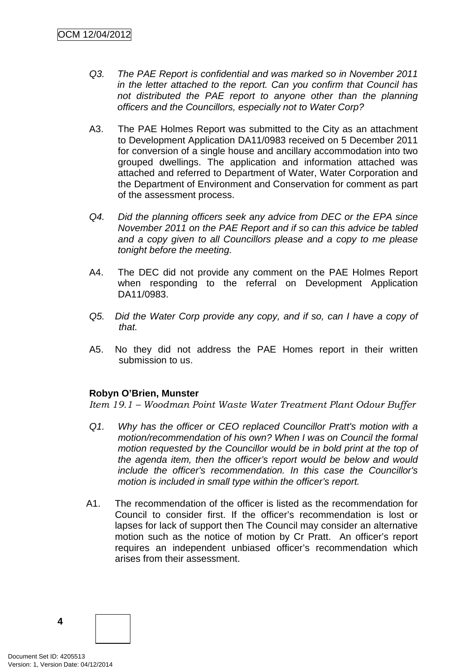- Q3. The PAE Report is confidential and was marked so in November 2011 in the letter attached to the report. Can you confirm that Council has not distributed the PAE report to anyone other than the planning officers and the Councillors, especially not to Water Corp?
- A3. The PAE Holmes Report was submitted to the City as an attachment to Development Application DA11/0983 received on 5 December 2011 for conversion of a single house and ancillary accommodation into two grouped dwellings. The application and information attached was attached and referred to Department of Water, Water Corporation and the Department of Environment and Conservation for comment as part of the assessment process.
- Q4. Did the planning officers seek any advice from DEC or the EPA since November 2011 on the PAE Report and if so can this advice be tabled and a copy given to all Councillors please and a copy to me please tonight before the meeting.
- A4. The DEC did not provide any comment on the PAE Holmes Report when responding to the referral on Development Application DA11/0983.
- Q5. Did the Water Corp provide any copy, and if so, can I have a copy of that.
- A5. No they did not address the PAE Homes report in their written submission to us.

#### **Robyn O'Brien, Munster**

Item 19.1 – Woodman Point Waste Water Treatment Plant Odour Buffer

- Q1. Why has the officer or CEO replaced Councillor Pratt's motion with a motion/recommendation of his own? When I was on Council the formal motion requested by the Councillor would be in bold print at the top of the agenda item, then the officer's report would be below and would include the officer's recommendation. In this case the Councillor's motion is included in small type within the officer's report.
- A1. The recommendation of the officer is listed as the recommendation for Council to consider first. If the officer's recommendation is lost or lapses for lack of support then The Council may consider an alternative motion such as the notice of motion by Cr Pratt. An officer's report requires an independent unbiased officer's recommendation which arises from their assessment.

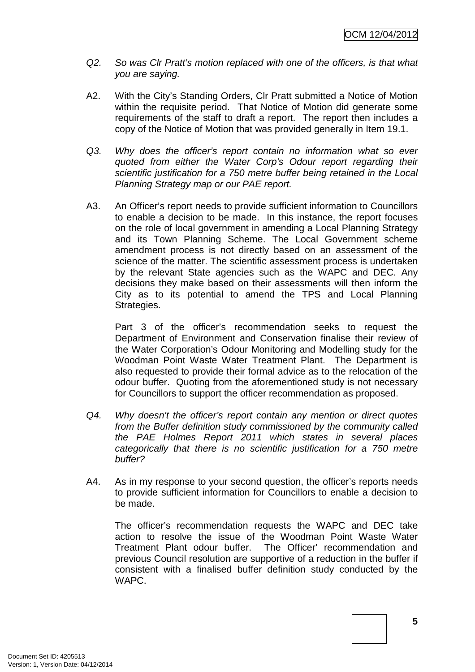- Q2. So was Clr Pratt's motion replaced with one of the officers, is that what you are saying.
- A2. With the City's Standing Orders, Clr Pratt submitted a Notice of Motion within the requisite period. That Notice of Motion did generate some requirements of the staff to draft a report. The report then includes a copy of the Notice of Motion that was provided generally in Item 19.1.
- Q3. Why does the officer's report contain no information what so ever quoted from either the Water Corp's Odour report regarding their scientific justification for a 750 metre buffer being retained in the Local Planning Strategy map or our PAE report.
- A3. An Officer's report needs to provide sufficient information to Councillors to enable a decision to be made. In this instance, the report focuses on the role of local government in amending a Local Planning Strategy and its Town Planning Scheme. The Local Government scheme amendment process is not directly based on an assessment of the science of the matter. The scientific assessment process is undertaken by the relevant State agencies such as the WAPC and DEC. Any decisions they make based on their assessments will then inform the City as to its potential to amend the TPS and Local Planning Strategies.

 Part 3 of the officer's recommendation seeks to request the Department of Environment and Conservation finalise their review of the Water Corporation's Odour Monitoring and Modelling study for the Woodman Point Waste Water Treatment Plant. The Department is also requested to provide their formal advice as to the relocation of the odour buffer. Quoting from the aforementioned study is not necessary for Councillors to support the officer recommendation as proposed.

- Q4. Why doesn't the officer's report contain any mention or direct quotes from the Buffer definition study commissioned by the community called the PAE Holmes Report 2011 which states in several places categorically that there is no scientific justification for a 750 metre buffer?
- A4. As in my response to your second question, the officer's reports needs to provide sufficient information for Councillors to enable a decision to be made.

 The officer's recommendation requests the WAPC and DEC take action to resolve the issue of the Woodman Point Waste Water Treatment Plant odour buffer. The Officer' recommendation and previous Council resolution are supportive of a reduction in the buffer if consistent with a finalised buffer definition study conducted by the WAPC.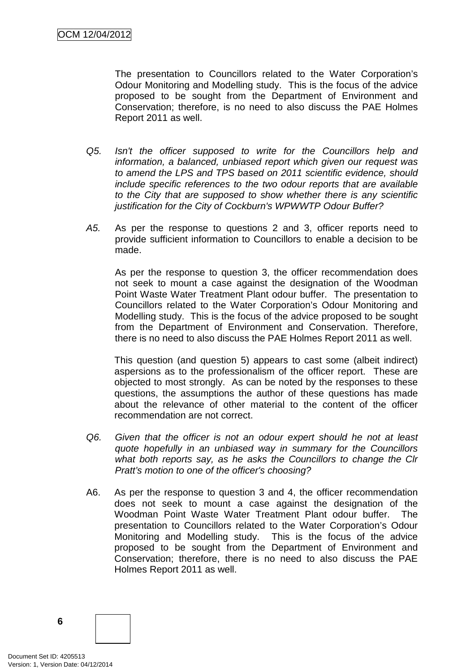The presentation to Councillors related to the Water Corporation's Odour Monitoring and Modelling study. This is the focus of the advice proposed to be sought from the Department of Environment and Conservation; therefore, is no need to also discuss the PAE Holmes Report 2011 as well.

- Q5. Isn't the officer supposed to write for the Councillors help and information, a balanced, unbiased report which given our request was to amend the LPS and TPS based on 2011 scientific evidence, should include specific references to the two odour reports that are available to the City that are supposed to show whether there is any scientific justification for the City of Cockburn's WPWWTP Odour Buffer?
- A5. As per the response to questions 2 and 3, officer reports need to provide sufficient information to Councillors to enable a decision to be made.

As per the response to question 3, the officer recommendation does not seek to mount a case against the designation of the Woodman Point Waste Water Treatment Plant odour buffer. The presentation to Councillors related to the Water Corporation's Odour Monitoring and Modelling study. This is the focus of the advice proposed to be sought from the Department of Environment and Conservation. Therefore, there is no need to also discuss the PAE Holmes Report 2011 as well.

This question (and question 5) appears to cast some (albeit indirect) aspersions as to the professionalism of the officer report. These are objected to most strongly. As can be noted by the responses to these questions, the assumptions the author of these questions has made about the relevance of other material to the content of the officer recommendation are not correct.

- Q6. Given that the officer is not an odour expert should he not at least quote hopefully in an unbiased way in summary for the Councillors what both reports say, as he asks the Councillors to change the Clr Pratt's motion to one of the officer's choosing?
- A6. As per the response to question 3 and 4, the officer recommendation does not seek to mount a case against the designation of the Woodman Point Waste Water Treatment Plant odour buffer. The presentation to Councillors related to the Water Corporation's Odour Monitoring and Modelling study. This is the focus of the advice proposed to be sought from the Department of Environment and Conservation; therefore, there is no need to also discuss the PAE Holmes Report 2011 as well.

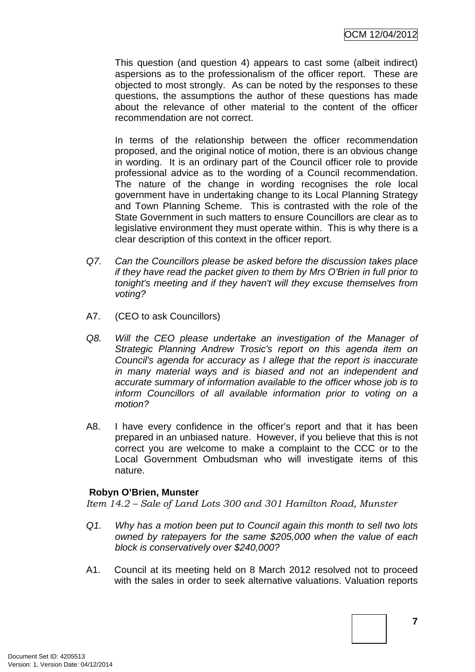This question (and question 4) appears to cast some (albeit indirect) aspersions as to the professionalism of the officer report. These are objected to most strongly. As can be noted by the responses to these questions, the assumptions the author of these questions has made about the relevance of other material to the content of the officer recommendation are not correct.

In terms of the relationship between the officer recommendation proposed, and the original notice of motion, there is an obvious change in wording. It is an ordinary part of the Council officer role to provide professional advice as to the wording of a Council recommendation. The nature of the change in wording recognises the role local government have in undertaking change to its Local Planning Strategy and Town Planning Scheme. This is contrasted with the role of the State Government in such matters to ensure Councillors are clear as to legislative environment they must operate within. This is why there is a clear description of this context in the officer report.

- Q7. Can the Councillors please be asked before the discussion takes place if they have read the packet given to them by Mrs O'Brien in full prior to tonight's meeting and if they haven't will they excuse themselves from voting?
- A7. (CEO to ask Councillors)
- Q8. Will the CEO please undertake an investigation of the Manager of Strategic Planning Andrew Trosic's report on this agenda item on Council's agenda for accuracy as I allege that the report is inaccurate in many material ways and is biased and not an independent and accurate summary of information available to the officer whose job is to inform Councillors of all available information prior to voting on a motion?
- A8. I have every confidence in the officer's report and that it has been prepared in an unbiased nature. However, if you believe that this is not correct you are welcome to make a complaint to the CCC or to the Local Government Ombudsman who will investigate items of this nature.

#### **Robyn O'Brien, Munster**

Item 14.2 – Sale of Land Lots 300 and 301 Hamilton Road, Munster

- Q1. Why has a motion been put to Council again this month to sell two lots owned by ratepayers for the same \$205,000 when the value of each block is conservatively over \$240,000?
- A1. Council at its meeting held on 8 March 2012 resolved not to proceed with the sales in order to seek alternative valuations. Valuation reports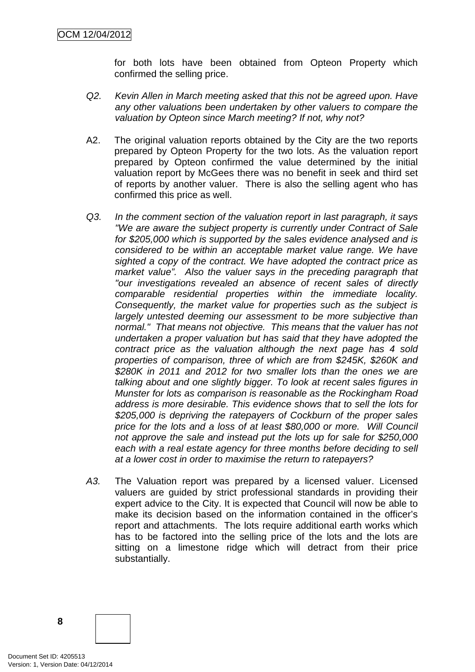for both lots have been obtained from Opteon Property which confirmed the selling price.

- Q2. Kevin Allen in March meeting asked that this not be agreed upon. Have any other valuations been undertaken by other valuers to compare the valuation by Opteon since March meeting? If not, why not?
- A2. The original valuation reports obtained by the City are the two reports prepared by Opteon Property for the two lots. As the valuation report prepared by Opteon confirmed the value determined by the initial valuation report by McGees there was no benefit in seek and third set of reports by another valuer. There is also the selling agent who has confirmed this price as well.
- Q3. In the comment section of the valuation report in last paragraph, it says "We are aware the subject property is currently under Contract of Sale for \$205,000 which is supported by the sales evidence analysed and is considered to be within an acceptable market value range. We have sighted a copy of the contract. We have adopted the contract price as market value". Also the valuer says in the preceding paragraph that "our investigations revealed an absence of recent sales of directly comparable residential properties within the immediate locality. Consequently, the market value for properties such as the subject is largely untested deeming our assessment to be more subjective than normal." That means not objective. This means that the valuer has not undertaken a proper valuation but has said that they have adopted the contract price as the valuation although the next page has 4 sold properties of comparison, three of which are from \$245K, \$260K and \$280K in 2011 and 2012 for two smaller lots than the ones we are talking about and one slightly bigger. To look at recent sales figures in Munster for lots as comparison is reasonable as the Rockingham Road address is more desirable. This evidence shows that to sell the lots for \$205,000 is depriving the ratepayers of Cockburn of the proper sales price for the lots and a loss of at least \$80,000 or more. Will Council not approve the sale and instead put the lots up for sale for \$250,000 each with a real estate agency for three months before deciding to sell at a lower cost in order to maximise the return to ratepayers?
- A3. The Valuation report was prepared by a licensed valuer. Licensed valuers are guided by strict professional standards in providing their expert advice to the City. It is expected that Council will now be able to make its decision based on the information contained in the officer's report and attachments. The lots require additional earth works which has to be factored into the selling price of the lots and the lots are sitting on a limestone ridge which will detract from their price substantially.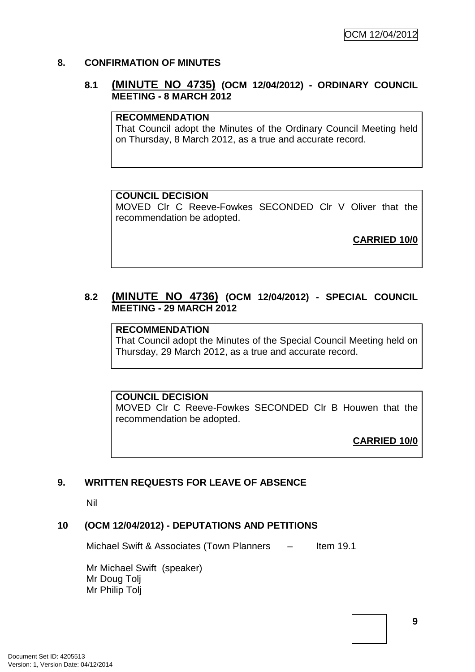#### **8. CONFIRMATION OF MINUTES**

## **8.1 (MINUTE NO 4735) (OCM 12/04/2012) - ORDINARY COUNCIL MEETING - 8 MARCH 2012**

#### **RECOMMENDATION**

That Council adopt the Minutes of the Ordinary Council Meeting held on Thursday, 8 March 2012, as a true and accurate record.

## **COUNCIL DECISION**

MOVED Clr C Reeve-Fowkes SECONDED Clr V Oliver that the recommendation be adopted.

**CARRIED 10/0**

## **8.2 (MINUTE NO 4736) (OCM 12/04/2012) - SPECIAL COUNCIL MEETING - 29 MARCH 2012**

## **RECOMMENDATION**

That Council adopt the Minutes of the Special Council Meeting held on Thursday, 29 March 2012, as a true and accurate record.

#### **COUNCIL DECISION**

MOVED Clr C Reeve-Fowkes SECONDED Clr B Houwen that the recommendation be adopted.

**CARRIED 10/0**

## **9. WRITTEN REQUESTS FOR LEAVE OF ABSENCE**

Nil

#### **10 (OCM 12/04/2012) - DEPUTATIONS AND PETITIONS**

Michael Swift & Associates (Town Planners – Item 19.1

Mr Michael Swift (speaker) Mr Doug Tolj Mr Philip Tolj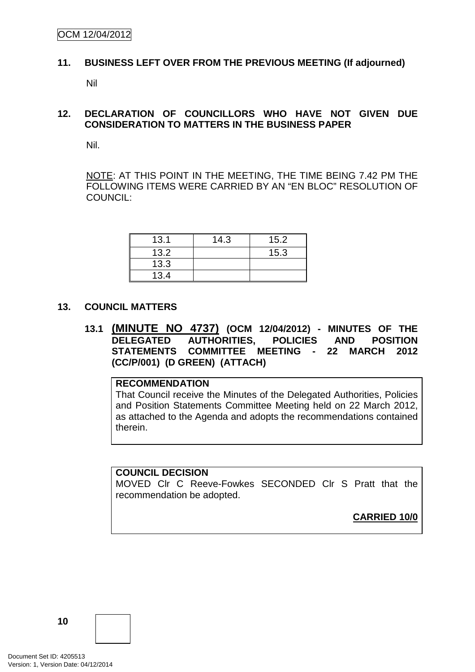#### **11. BUSINESS LEFT OVER FROM THE PREVIOUS MEETING (If adjourned)**

Nil

#### **12. DECLARATION OF COUNCILLORS WHO HAVE NOT GIVEN DUE CONSIDERATION TO MATTERS IN THE BUSINESS PAPER**

Nil.

NOTE: AT THIS POINT IN THE MEETING, THE TIME BEING 7.42 PM THE FOLLOWING ITEMS WERE CARRIED BY AN "EN BLOC" RESOLUTION OF COUNCIL:

| 13.1 | 14.3 | 15.2 |
|------|------|------|
| 13.2 |      | 15.3 |
| 13.3 |      |      |
| 13.4 |      |      |

#### **13. COUNCIL MATTERS**

**13.1 (MINUTE NO 4737) (OCM 12/04/2012) - MINUTES OF THE DELEGATED AUTHORITIES, POLICIES AND POSITION STATEMENTS COMMITTEE MEETING - 22 MARCH 2012 (CC/P/001) (D GREEN) (ATTACH)** 

#### **RECOMMENDATION**

That Council receive the Minutes of the Delegated Authorities, Policies and Position Statements Committee Meeting held on 22 March 2012, as attached to the Agenda and adopts the recommendations contained therein.

**COUNCIL DECISION**

MOVED Clr C Reeve-Fowkes SECONDED Clr S Pratt that the recommendation be adopted.

**CARRIED 10/0**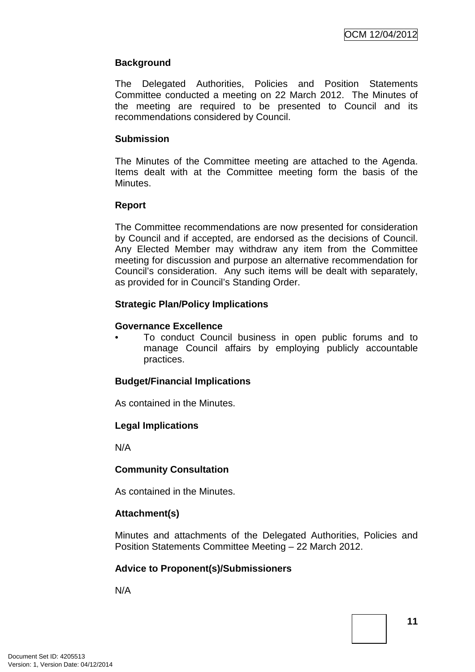## **Background**

The Delegated Authorities, Policies and Position Statements Committee conducted a meeting on 22 March 2012. The Minutes of the meeting are required to be presented to Council and its recommendations considered by Council.

## **Submission**

The Minutes of the Committee meeting are attached to the Agenda. Items dealt with at the Committee meeting form the basis of the Minutes.

#### **Report**

The Committee recommendations are now presented for consideration by Council and if accepted, are endorsed as the decisions of Council. Any Elected Member may withdraw any item from the Committee meeting for discussion and purpose an alternative recommendation for Council's consideration. Any such items will be dealt with separately, as provided for in Council's Standing Order.

## **Strategic Plan/Policy Implications**

#### **Governance Excellence**

• To conduct Council business in open public forums and to manage Council affairs by employing publicly accountable practices.

## **Budget/Financial Implications**

As contained in the Minutes.

#### **Legal Implications**

N/A

## **Community Consultation**

As contained in the Minutes.

## **Attachment(s)**

Minutes and attachments of the Delegated Authorities, Policies and Position Statements Committee Meeting – 22 March 2012.

## **Advice to Proponent(s)/Submissioners**

N/A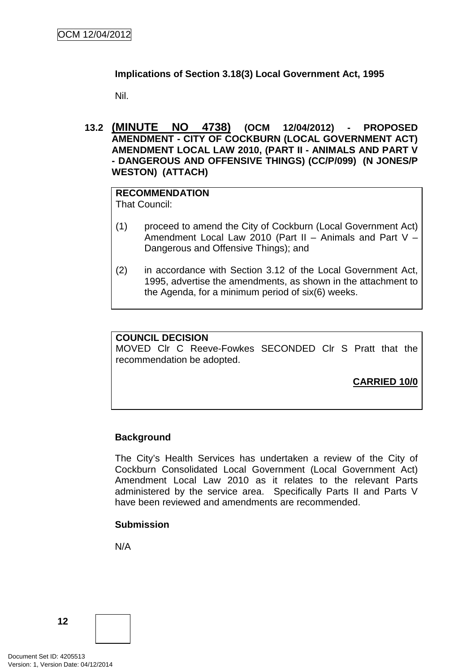## **Implications of Section 3.18(3) Local Government Act, 1995**

Nil.

**13.2 (MINUTE NO 4738) (OCM 12/04/2012) - PROPOSED AMENDMENT - CITY OF COCKBURN (LOCAL GOVERNMENT ACT) AMENDMENT LOCAL LAW 2010, (PART II - ANIMALS AND PART V - DANGEROUS AND OFFENSIVE THINGS) (CC/P/099) (N JONES/P WESTON) (ATTACH)** 

# **RECOMMENDATION**

That Council:

- (1) proceed to amend the City of Cockburn (Local Government Act) Amendment Local Law 2010 (Part II – Animals and Part V – Dangerous and Offensive Things); and
- (2) in accordance with Section 3.12 of the Local Government Act, 1995, advertise the amendments, as shown in the attachment to the Agenda, for a minimum period of six(6) weeks.

## **COUNCIL DECISION**

MOVED Clr C Reeve-Fowkes SECONDED Clr S Pratt that the recommendation be adopted.

**CARRIED 10/0**

## **Background**

The City's Health Services has undertaken a review of the City of Cockburn Consolidated Local Government (Local Government Act) Amendment Local Law 2010 as it relates to the relevant Parts administered by the service area. Specifically Parts II and Parts V have been reviewed and amendments are recommended.

#### **Submission**

N/A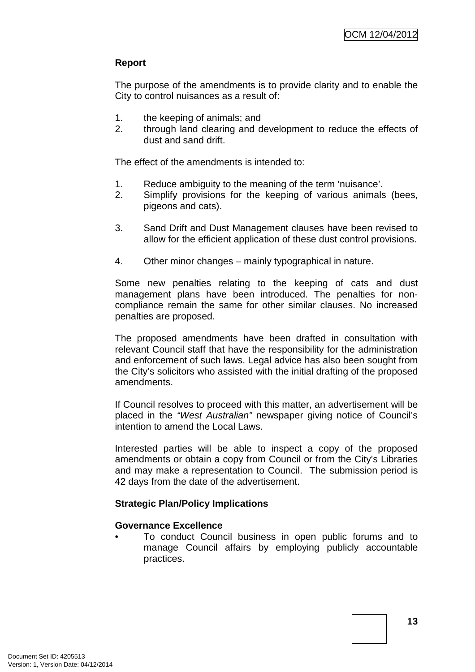# **Report**

The purpose of the amendments is to provide clarity and to enable the City to control nuisances as a result of:

- 1. the keeping of animals; and
- 2. through land clearing and development to reduce the effects of dust and sand drift.

The effect of the amendments is intended to:

- 1. Reduce ambiguity to the meaning of the term 'nuisance'.
- 2. Simplify provisions for the keeping of various animals (bees, pigeons and cats).
- 3. Sand Drift and Dust Management clauses have been revised to allow for the efficient application of these dust control provisions.
- 4. Other minor changes mainly typographical in nature.

Some new penalties relating to the keeping of cats and dust management plans have been introduced. The penalties for noncompliance remain the same for other similar clauses. No increased penalties are proposed.

The proposed amendments have been drafted in consultation with relevant Council staff that have the responsibility for the administration and enforcement of such laws. Legal advice has also been sought from the City's solicitors who assisted with the initial drafting of the proposed amendments.

If Council resolves to proceed with this matter, an advertisement will be placed in the "West Australian" newspaper giving notice of Council's intention to amend the Local Laws.

Interested parties will be able to inspect a copy of the proposed amendments or obtain a copy from Council or from the City's Libraries and may make a representation to Council. The submission period is 42 days from the date of the advertisement.

#### **Strategic Plan/Policy Implications**

#### **Governance Excellence**

• To conduct Council business in open public forums and to manage Council affairs by employing publicly accountable practices.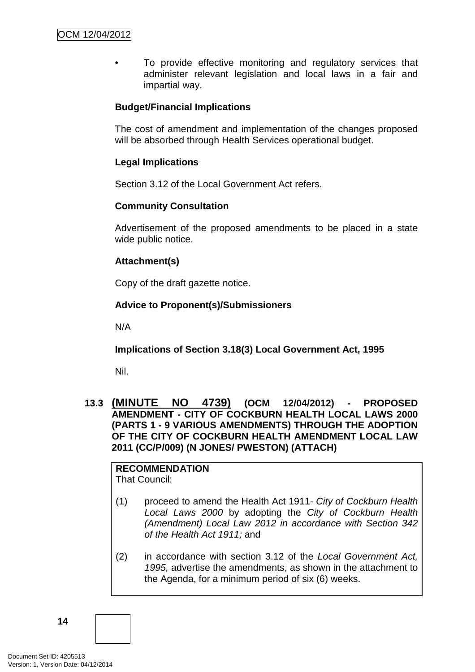To provide effective monitoring and regulatory services that administer relevant legislation and local laws in a fair and impartial way.

## **Budget/Financial Implications**

The cost of amendment and implementation of the changes proposed will be absorbed through Health Services operational budget.

#### **Legal Implications**

Section 3.12 of the Local Government Act refers.

#### **Community Consultation**

Advertisement of the proposed amendments to be placed in a state wide public notice.

## **Attachment(s)**

Copy of the draft gazette notice.

## **Advice to Proponent(s)/Submissioners**

N/A

**Implications of Section 3.18(3) Local Government Act, 1995**

Nil.

**13.3 (MINUTE NO 4739) (OCM 12/04/2012) - PROPOSED AMENDMENT - CITY OF COCKBURN HEALTH LOCAL LAWS 2000 (PARTS 1 - 9 VARIOUS AMENDMENTS) THROUGH THE ADOPTION OF THE CITY OF COCKBURN HEALTH AMENDMENT LOCAL LAW 2011 (CC/P/009) (N JONES/ PWESTON) (ATTACH)** 

**RECOMMENDATION** That Council:

- (1) proceed to amend the Health Act 1911- City of Cockburn Health Local Laws 2000 by adopting the City of Cockburn Health (Amendment) Local Law 2012 in accordance with Section 342 of the Health Act 1911; and
- (2) in accordance with section 3.12 of the Local Government Act, 1995, advertise the amendments, as shown in the attachment to the Agenda, for a minimum period of six (6) weeks.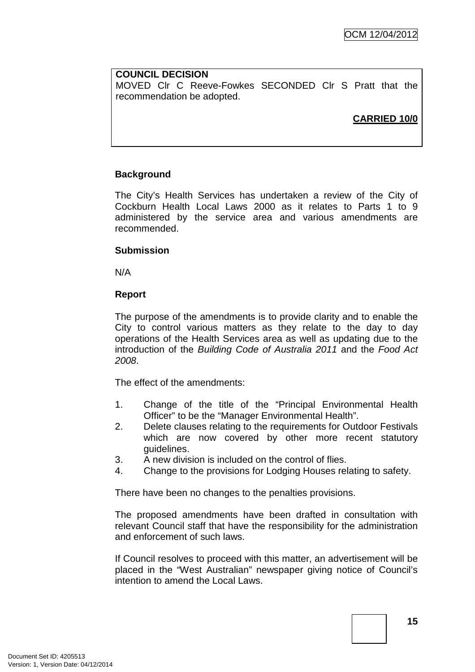#### **COUNCIL DECISION** MOVED Clr C Reeve-Fowkes SECONDED Clr S Pratt that the recommendation be adopted.

**CARRIED 10/0**

# **Background**

The City's Health Services has undertaken a review of the City of Cockburn Health Local Laws 2000 as it relates to Parts 1 to 9 administered by the service area and various amendments are recommended.

## **Submission**

N/A

## **Report**

The purpose of the amendments is to provide clarity and to enable the City to control various matters as they relate to the day to day operations of the Health Services area as well as updating due to the introduction of the Building Code of Australia 2011 and the Food Act 2008.

The effect of the amendments:

- 1. Change of the title of the "Principal Environmental Health Officer" to be the "Manager Environmental Health".
- 2. Delete clauses relating to the requirements for Outdoor Festivals which are now covered by other more recent statutory guidelines.
- 3. A new division is included on the control of flies.
- 4. Change to the provisions for Lodging Houses relating to safety.

There have been no changes to the penalties provisions.

The proposed amendments have been drafted in consultation with relevant Council staff that have the responsibility for the administration and enforcement of such laws.

If Council resolves to proceed with this matter, an advertisement will be placed in the "West Australian" newspaper giving notice of Council's intention to amend the Local Laws.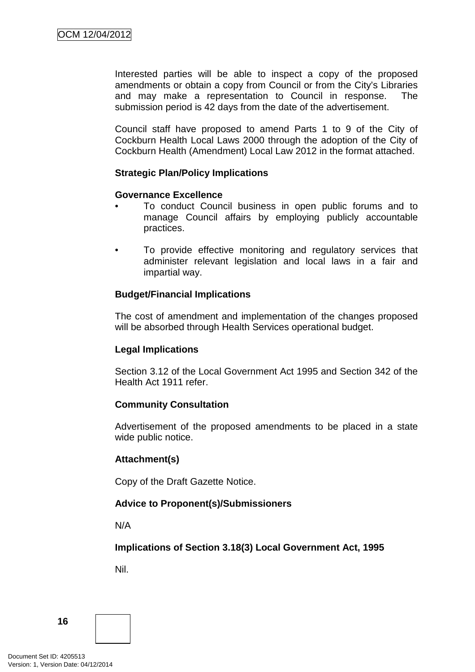Interested parties will be able to inspect a copy of the proposed amendments or obtain a copy from Council or from the City's Libraries and may make a representation to Council in response. The submission period is 42 days from the date of the advertisement.

Council staff have proposed to amend Parts 1 to 9 of the City of Cockburn Health Local Laws 2000 through the adoption of the City of Cockburn Health (Amendment) Local Law 2012 in the format attached.

#### **Strategic Plan/Policy Implications**

#### **Governance Excellence**

- To conduct Council business in open public forums and to manage Council affairs by employing publicly accountable practices.
- To provide effective monitoring and regulatory services that administer relevant legislation and local laws in a fair and impartial way.

## **Budget/Financial Implications**

The cost of amendment and implementation of the changes proposed will be absorbed through Health Services operational budget.

#### **Legal Implications**

Section 3.12 of the Local Government Act 1995 and Section 342 of the Health Act 1911 refer.

## **Community Consultation**

Advertisement of the proposed amendments to be placed in a state wide public notice.

#### **Attachment(s)**

Copy of the Draft Gazette Notice.

#### **Advice to Proponent(s)/Submissioners**

N/A

**Implications of Section 3.18(3) Local Government Act, 1995**

Nil.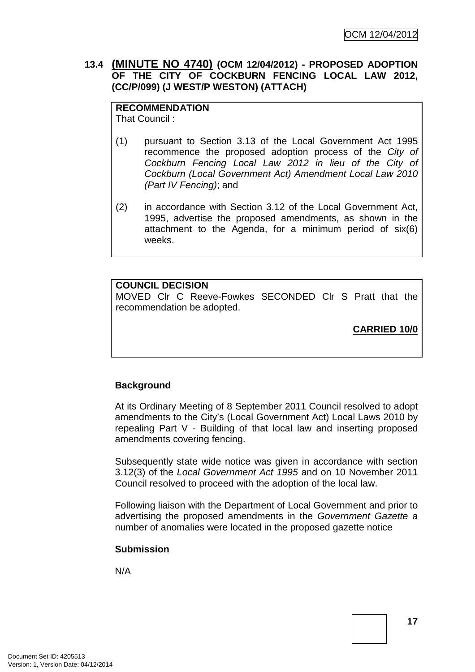## **13.4 (MINUTE NO 4740) (OCM 12/04/2012) - PROPOSED ADOPTION OF THE CITY OF COCKBURN FENCING LOCAL LAW 2012, (CC/P/099) (J WEST/P WESTON) (ATTACH)**

#### **RECOMMENDATION** That Council :

- (1) pursuant to Section 3.13 of the Local Government Act 1995 recommence the proposed adoption process of the City of Cockburn Fencing Local Law 2012 in lieu of the City of Cockburn (Local Government Act) Amendment Local Law 2010 (Part IV Fencing); and
- (2) in accordance with Section 3.12 of the Local Government Act, 1995, advertise the proposed amendments, as shown in the attachment to the Agenda, for a minimum period of six(6) weeks.

## **COUNCIL DECISION**

MOVED Clr C Reeve-Fowkes SECONDED Clr S Pratt that the recommendation be adopted.

**CARRIED 10/0**

#### **Background**

At its Ordinary Meeting of 8 September 2011 Council resolved to adopt amendments to the City's (Local Government Act) Local Laws 2010 by repealing Part V - Building of that local law and inserting proposed amendments covering fencing.

Subsequently state wide notice was given in accordance with section 3.12(3) of the Local Government Act 1995 and on 10 November 2011 Council resolved to proceed with the adoption of the local law.

Following liaison with the Department of Local Government and prior to advertising the proposed amendments in the Government Gazette a number of anomalies were located in the proposed gazette notice

#### **Submission**

N/A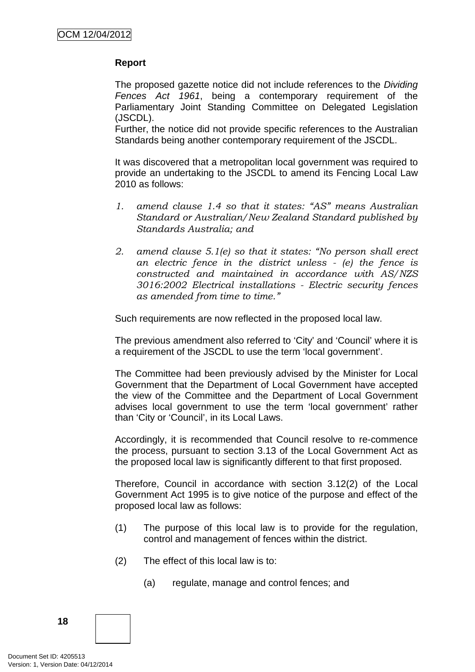## **Report**

The proposed gazette notice did not include references to the Dividing Fences Act 1961, being a contemporary requirement of the Parliamentary Joint Standing Committee on Delegated Legislation (JSCDL).

Further, the notice did not provide specific references to the Australian Standards being another contemporary requirement of the JSCDL.

It was discovered that a metropolitan local government was required to provide an undertaking to the JSCDL to amend its Fencing Local Law 2010 as follows:

- 1. amend clause 1.4 so that it states: "AS" means Australian Standard or Australian/New Zealand Standard published by Standards Australia; and
- 2. amend clause 5.1(e) so that it states: "No person shall erect an electric fence in the district unless - (e) the fence is constructed and maintained in accordance with AS/NZS 3016:2002 Electrical installations - Electric security fences as amended from time to time."

Such requirements are now reflected in the proposed local law.

The previous amendment also referred to 'City' and 'Council' where it is a requirement of the JSCDL to use the term 'local government'.

The Committee had been previously advised by the Minister for Local Government that the Department of Local Government have accepted the view of the Committee and the Department of Local Government advises local government to use the term 'local government' rather than 'City or 'Council', in its Local Laws.

Accordingly, it is recommended that Council resolve to re-commence the process, pursuant to section 3.13 of the Local Government Act as the proposed local law is significantly different to that first proposed.

Therefore, Council in accordance with section 3.12(2) of the Local Government Act 1995 is to give notice of the purpose and effect of the proposed local law as follows:

- (1) The purpose of this local law is to provide for the regulation, control and management of fences within the district.
- (2) The effect of this local law is to:
	- (a) regulate, manage and control fences; and

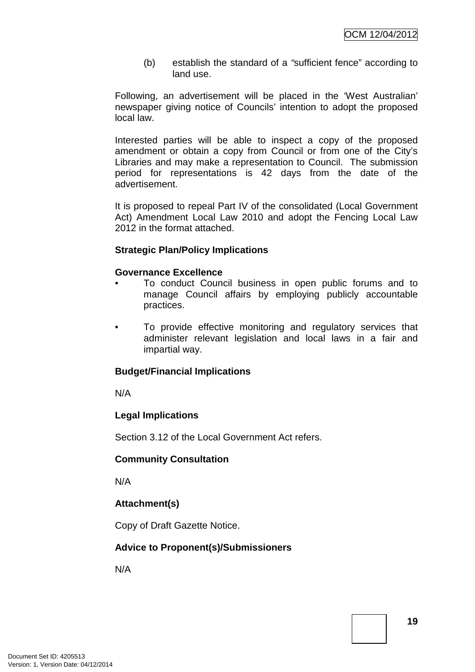(b) establish the standard of a "sufficient fence" according to land use.

Following, an advertisement will be placed in the 'West Australian' newspaper giving notice of Councils' intention to adopt the proposed local law.

Interested parties will be able to inspect a copy of the proposed amendment or obtain a copy from Council or from one of the City's Libraries and may make a representation to Council. The submission period for representations is 42 days from the date of the advertisement.

It is proposed to repeal Part IV of the consolidated (Local Government Act) Amendment Local Law 2010 and adopt the Fencing Local Law 2012 in the format attached.

#### **Strategic Plan/Policy Implications**

#### **Governance Excellence**

- To conduct Council business in open public forums and to manage Council affairs by employing publicly accountable practices.
- To provide effective monitoring and regulatory services that administer relevant legislation and local laws in a fair and impartial way.

#### **Budget/Financial Implications**

N/A

#### **Legal Implications**

Section 3.12 of the Local Government Act refers.

#### **Community Consultation**

N/A

## **Attachment(s)**

Copy of Draft Gazette Notice.

#### **Advice to Proponent(s)/Submissioners**

N/A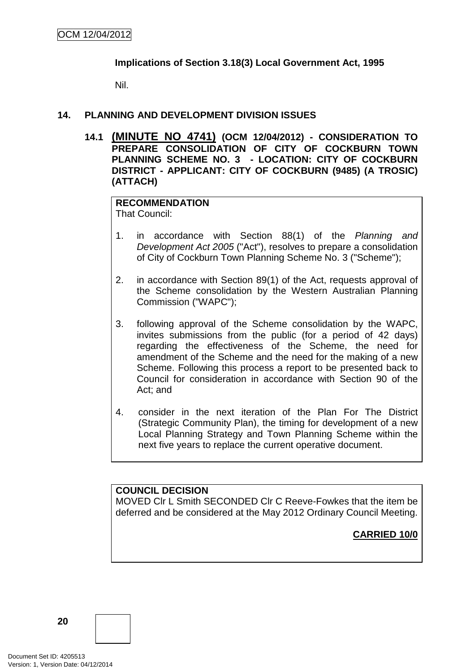## **Implications of Section 3.18(3) Local Government Act, 1995**

Nil.

## **14. PLANNING AND DEVELOPMENT DIVISION ISSUES**

**14.1 (MINUTE NO 4741) (OCM 12/04/2012) - CONSIDERATION TO PREPARE CONSOLIDATION OF CITY OF COCKBURN TOWN PLANNING SCHEME NO. 3 - LOCATION: CITY OF COCKBURN DISTRICT - APPLICANT: CITY OF COCKBURN (9485) (A TROSIC) (ATTACH)** 

# **RECOMMENDATION**

That Council:

- 1. in accordance with Section 88(1) of the Planning and Development Act 2005 ("Act"), resolves to prepare a consolidation of City of Cockburn Town Planning Scheme No. 3 ("Scheme");
- 2. in accordance with Section 89(1) of the Act, requests approval of the Scheme consolidation by the Western Australian Planning Commission ("WAPC");
- 3. following approval of the Scheme consolidation by the WAPC, invites submissions from the public (for a period of 42 days) regarding the effectiveness of the Scheme, the need for amendment of the Scheme and the need for the making of a new Scheme. Following this process a report to be presented back to Council for consideration in accordance with Section 90 of the Act; and
- 4. consider in the next iteration of the Plan For The District (Strategic Community Plan), the timing for development of a new Local Planning Strategy and Town Planning Scheme within the next five years to replace the current operative document.

#### **COUNCIL DECISION**

MOVED Clr L Smith SECONDED Clr C Reeve-Fowkes that the item be deferred and be considered at the May 2012 Ordinary Council Meeting.

# **CARRIED 10/0**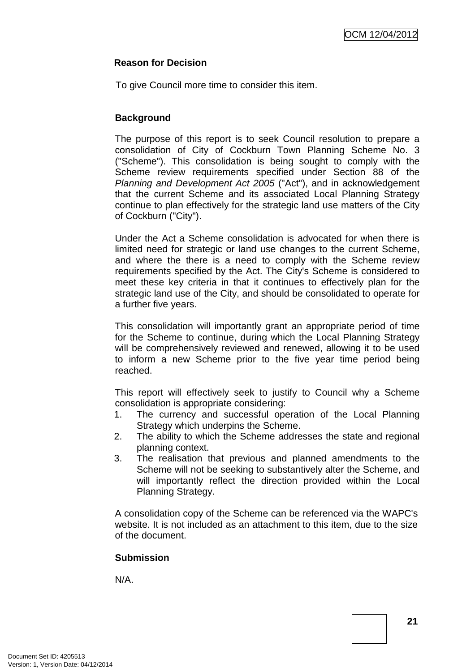## **Reason for Decision**

To give Council more time to consider this item.

#### **Background**

The purpose of this report is to seek Council resolution to prepare a consolidation of City of Cockburn Town Planning Scheme No. 3 ("Scheme"). This consolidation is being sought to comply with the Scheme review requirements specified under Section 88 of the Planning and Development Act 2005 ("Act"), and in acknowledgement that the current Scheme and its associated Local Planning Strategy continue to plan effectively for the strategic land use matters of the City of Cockburn ("City").

Under the Act a Scheme consolidation is advocated for when there is limited need for strategic or land use changes to the current Scheme, and where the there is a need to comply with the Scheme review requirements specified by the Act. The City's Scheme is considered to meet these key criteria in that it continues to effectively plan for the strategic land use of the City, and should be consolidated to operate for a further five years.

This consolidation will importantly grant an appropriate period of time for the Scheme to continue, during which the Local Planning Strategy will be comprehensively reviewed and renewed, allowing it to be used to inform a new Scheme prior to the five year time period being reached.

This report will effectively seek to justify to Council why a Scheme consolidation is appropriate considering:

- 1. The currency and successful operation of the Local Planning Strategy which underpins the Scheme.
- 2. The ability to which the Scheme addresses the state and regional planning context.
- 3. The realisation that previous and planned amendments to the Scheme will not be seeking to substantively alter the Scheme, and will importantly reflect the direction provided within the Local Planning Strategy.

A consolidation copy of the Scheme can be referenced via the WAPC's website. It is not included as an attachment to this item, due to the size of the document.

#### **Submission**

N/A.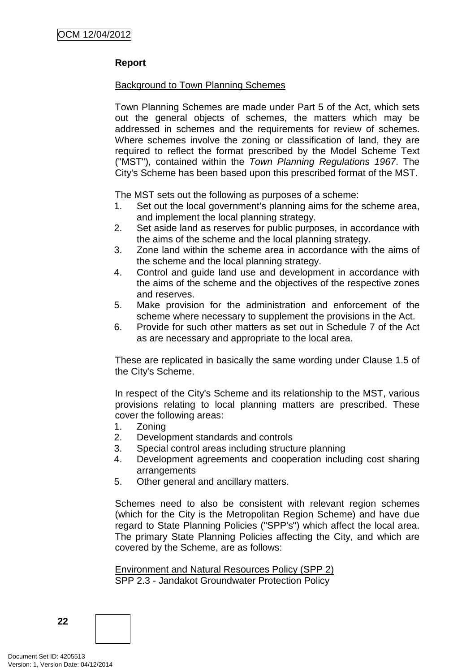## **Report**

#### Background to Town Planning Schemes

Town Planning Schemes are made under Part 5 of the Act, which sets out the general objects of schemes, the matters which may be addressed in schemes and the requirements for review of schemes. Where schemes involve the zoning or classification of land, they are required to reflect the format prescribed by the Model Scheme Text ("MST"), contained within the Town Planning Regulations 1967. The City's Scheme has been based upon this prescribed format of the MST.

The MST sets out the following as purposes of a scheme:

- 1. Set out the local government's planning aims for the scheme area, and implement the local planning strategy.
- 2. Set aside land as reserves for public purposes, in accordance with the aims of the scheme and the local planning strategy.
- 3. Zone land within the scheme area in accordance with the aims of the scheme and the local planning strategy.
- 4. Control and guide land use and development in accordance with the aims of the scheme and the objectives of the respective zones and reserves.
- 5. Make provision for the administration and enforcement of the scheme where necessary to supplement the provisions in the Act.
- 6. Provide for such other matters as set out in Schedule 7 of the Act as are necessary and appropriate to the local area.

These are replicated in basically the same wording under Clause 1.5 of the City's Scheme.

In respect of the City's Scheme and its relationship to the MST, various provisions relating to local planning matters are prescribed. These cover the following areas:

- 1. Zoning
- 2. Development standards and controls
- 3. Special control areas including structure planning
- 4. Development agreements and cooperation including cost sharing arrangements
- 5. Other general and ancillary matters.

Schemes need to also be consistent with relevant region schemes (which for the City is the Metropolitan Region Scheme) and have due regard to State Planning Policies ("SPP's") which affect the local area. The primary State Planning Policies affecting the City, and which are covered by the Scheme, are as follows:

Environment and Natural Resources Policy (SPP 2) SPP 2.3 - Jandakot Groundwater Protection Policy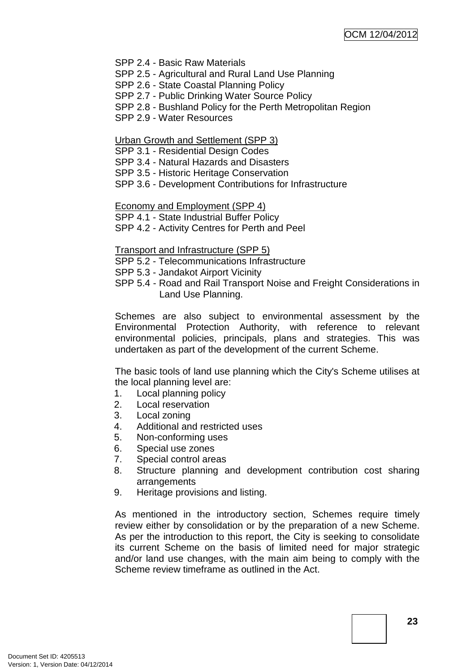- SPP 2.4 Basic Raw Materials
- SPP 2.5 Agricultural and Rural Land Use Planning
- SPP 2.6 State Coastal Planning Policy
- SPP 2.7 Public Drinking Water Source Policy
- SPP 2.8 Bushland Policy for the Perth Metropolitan Region
- SPP 2.9 Water Resources

Urban Growth and Settlement (SPP 3)

SPP 3.1 - Residential Design Codes

SPP 3.4 - Natural Hazards and Disasters

SPP 3.5 - Historic Heritage Conservation

SPP 3.6 - Development Contributions for Infrastructure

Economy and Employment (SPP 4)

SPP 4.1 - State Industrial Buffer Policy

SPP 4.2 - Activity Centres for Perth and Peel

Transport and Infrastructure (SPP 5)

SPP 5.2 - Telecommunications Infrastructure

- SPP 5.3 Jandakot Airport Vicinity
- SPP 5.4 Road and Rail Transport Noise and Freight Considerations in Land Use Planning.

Schemes are also subject to environmental assessment by the Environmental Protection Authority, with reference to relevant environmental policies, principals, plans and strategies. This was undertaken as part of the development of the current Scheme.

The basic tools of land use planning which the City's Scheme utilises at the local planning level are:

- 1. Local planning policy
- 2. Local reservation
- 3. Local zoning
- 4. Additional and restricted uses
- 5. Non-conforming uses
- 6. Special use zones
- 7. Special control areas
- 8. Structure planning and development contribution cost sharing arrangements
- 9. Heritage provisions and listing.

As mentioned in the introductory section, Schemes require timely review either by consolidation or by the preparation of a new Scheme. As per the introduction to this report, the City is seeking to consolidate its current Scheme on the basis of limited need for major strategic and/or land use changes, with the main aim being to comply with the Scheme review timeframe as outlined in the Act.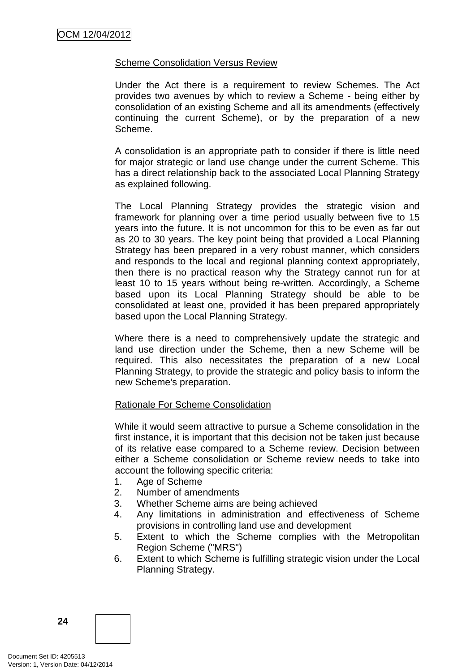#### Scheme Consolidation Versus Review

Under the Act there is a requirement to review Schemes. The Act provides two avenues by which to review a Scheme - being either by consolidation of an existing Scheme and all its amendments (effectively continuing the current Scheme), or by the preparation of a new Scheme.

A consolidation is an appropriate path to consider if there is little need for major strategic or land use change under the current Scheme. This has a direct relationship back to the associated Local Planning Strategy as explained following.

The Local Planning Strategy provides the strategic vision and framework for planning over a time period usually between five to 15 years into the future. It is not uncommon for this to be even as far out as 20 to 30 years. The key point being that provided a Local Planning Strategy has been prepared in a very robust manner, which considers and responds to the local and regional planning context appropriately, then there is no practical reason why the Strategy cannot run for at least 10 to 15 years without being re-written. Accordingly, a Scheme based upon its Local Planning Strategy should be able to be consolidated at least one, provided it has been prepared appropriately based upon the Local Planning Strategy.

Where there is a need to comprehensively update the strategic and land use direction under the Scheme, then a new Scheme will be required. This also necessitates the preparation of a new Local Planning Strategy, to provide the strategic and policy basis to inform the new Scheme's preparation.

#### Rationale For Scheme Consolidation

While it would seem attractive to pursue a Scheme consolidation in the first instance, it is important that this decision not be taken just because of its relative ease compared to a Scheme review. Decision between either a Scheme consolidation or Scheme review needs to take into account the following specific criteria:

- 1. Age of Scheme
- 2. Number of amendments
- 3. Whether Scheme aims are being achieved
- 4. Any limitations in administration and effectiveness of Scheme provisions in controlling land use and development
- 5. Extent to which the Scheme complies with the Metropolitan Region Scheme ("MRS")
- 6. Extent to which Scheme is fulfilling strategic vision under the Local Planning Strategy.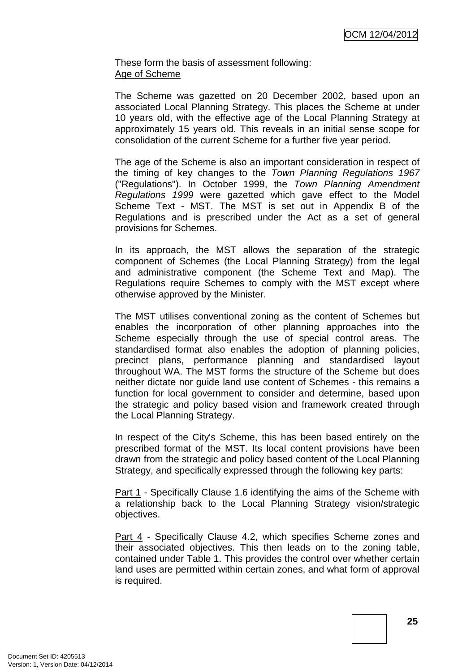These form the basis of assessment following: Age of Scheme

The Scheme was gazetted on 20 December 2002, based upon an associated Local Planning Strategy. This places the Scheme at under 10 years old, with the effective age of the Local Planning Strategy at approximately 15 years old. This reveals in an initial sense scope for consolidation of the current Scheme for a further five year period.

The age of the Scheme is also an important consideration in respect of the timing of key changes to the Town Planning Regulations 1967 ("Regulations"). In October 1999, the Town Planning Amendment Regulations 1999 were gazetted which gave effect to the Model Scheme Text - MST. The MST is set out in Appendix B of the Regulations and is prescribed under the Act as a set of general provisions for Schemes.

In its approach, the MST allows the separation of the strategic component of Schemes (the Local Planning Strategy) from the legal and administrative component (the Scheme Text and Map). The Regulations require Schemes to comply with the MST except where otherwise approved by the Minister.

The MST utilises conventional zoning as the content of Schemes but enables the incorporation of other planning approaches into the Scheme especially through the use of special control areas. The standardised format also enables the adoption of planning policies, precinct plans, performance planning and standardised layout throughout WA. The MST forms the structure of the Scheme but does neither dictate nor guide land use content of Schemes - this remains a function for local government to consider and determine, based upon the strategic and policy based vision and framework created through the Local Planning Strategy.

In respect of the City's Scheme, this has been based entirely on the prescribed format of the MST. Its local content provisions have been drawn from the strategic and policy based content of the Local Planning Strategy, and specifically expressed through the following key parts:

Part 1 - Specifically Clause 1.6 identifying the aims of the Scheme with a relationship back to the Local Planning Strategy vision/strategic objectives.

Part 4 - Specifically Clause 4.2, which specifies Scheme zones and their associated objectives. This then leads on to the zoning table, contained under Table 1. This provides the control over whether certain land uses are permitted within certain zones, and what form of approval is required.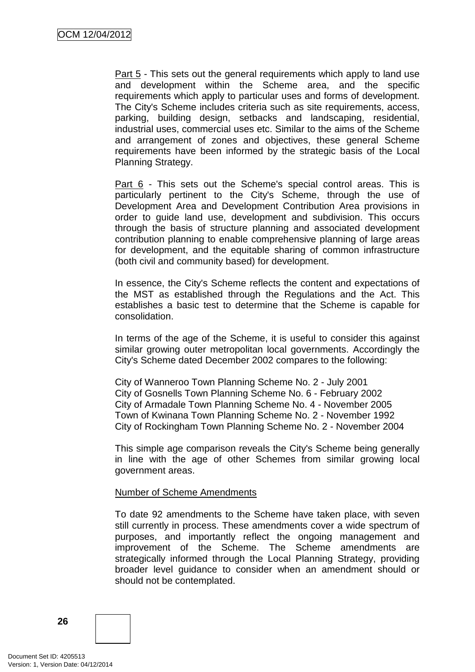Part 5 - This sets out the general requirements which apply to land use and development within the Scheme area, and the specific requirements which apply to particular uses and forms of development. The City's Scheme includes criteria such as site requirements, access, parking, building design, setbacks and landscaping, residential, industrial uses, commercial uses etc. Similar to the aims of the Scheme and arrangement of zones and objectives, these general Scheme requirements have been informed by the strategic basis of the Local Planning Strategy.

Part 6 - This sets out the Scheme's special control areas. This is particularly pertinent to the City's Scheme, through the use of Development Area and Development Contribution Area provisions in order to guide land use, development and subdivision. This occurs through the basis of structure planning and associated development contribution planning to enable comprehensive planning of large areas for development, and the equitable sharing of common infrastructure (both civil and community based) for development.

In essence, the City's Scheme reflects the content and expectations of the MST as established through the Regulations and the Act. This establishes a basic test to determine that the Scheme is capable for consolidation.

In terms of the age of the Scheme, it is useful to consider this against similar growing outer metropolitan local governments. Accordingly the City's Scheme dated December 2002 compares to the following:

City of Wanneroo Town Planning Scheme No. 2 - July 2001 City of Gosnells Town Planning Scheme No. 6 - February 2002 City of Armadale Town Planning Scheme No. 4 - November 2005 Town of Kwinana Town Planning Scheme No. 2 - November 1992 City of Rockingham Town Planning Scheme No. 2 - November 2004

This simple age comparison reveals the City's Scheme being generally in line with the age of other Schemes from similar growing local government areas.

#### Number of Scheme Amendments

To date 92 amendments to the Scheme have taken place, with seven still currently in process. These amendments cover a wide spectrum of purposes, and importantly reflect the ongoing management and improvement of the Scheme. The Scheme amendments are strategically informed through the Local Planning Strategy, providing broader level guidance to consider when an amendment should or should not be contemplated.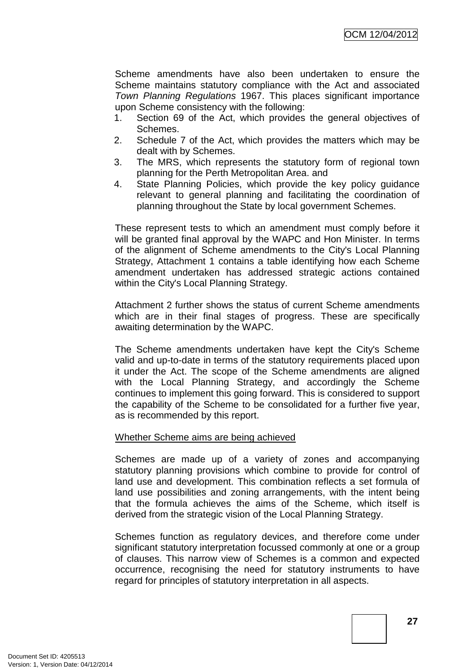Scheme amendments have also been undertaken to ensure the Scheme maintains statutory compliance with the Act and associated Town Planning Regulations 1967. This places significant importance upon Scheme consistency with the following:

- 1. Section 69 of the Act, which provides the general objectives of Schemes.
- 2. Schedule 7 of the Act, which provides the matters which may be dealt with by Schemes.
- 3. The MRS, which represents the statutory form of regional town planning for the Perth Metropolitan Area. and
- 4. State Planning Policies, which provide the key policy guidance relevant to general planning and facilitating the coordination of planning throughout the State by local government Schemes.

These represent tests to which an amendment must comply before it will be granted final approval by the WAPC and Hon Minister. In terms of the alignment of Scheme amendments to the City's Local Planning Strategy, Attachment 1 contains a table identifying how each Scheme amendment undertaken has addressed strategic actions contained within the City's Local Planning Strategy.

Attachment 2 further shows the status of current Scheme amendments which are in their final stages of progress. These are specifically awaiting determination by the WAPC.

The Scheme amendments undertaken have kept the City's Scheme valid and up-to-date in terms of the statutory requirements placed upon it under the Act. The scope of the Scheme amendments are aligned with the Local Planning Strategy, and accordingly the Scheme continues to implement this going forward. This is considered to support the capability of the Scheme to be consolidated for a further five year, as is recommended by this report.

#### Whether Scheme aims are being achieved

Schemes are made up of a variety of zones and accompanying statutory planning provisions which combine to provide for control of land use and development. This combination reflects a set formula of land use possibilities and zoning arrangements, with the intent being that the formula achieves the aims of the Scheme, which itself is derived from the strategic vision of the Local Planning Strategy.

Schemes function as regulatory devices, and therefore come under significant statutory interpretation focussed commonly at one or a group of clauses. This narrow view of Schemes is a common and expected occurrence, recognising the need for statutory instruments to have regard for principles of statutory interpretation in all aspects.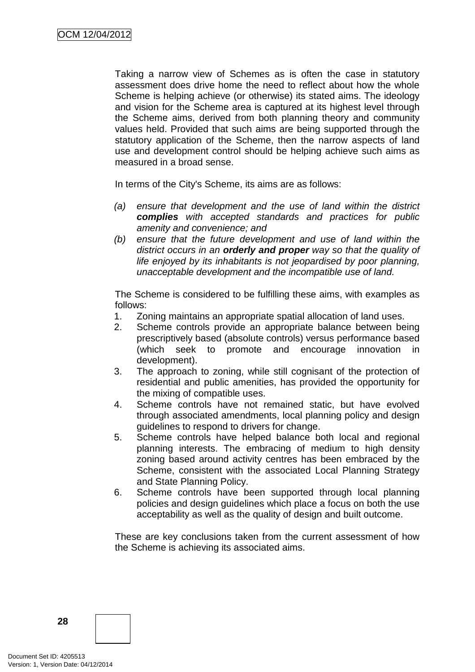Taking a narrow view of Schemes as is often the case in statutory assessment does drive home the need to reflect about how the whole Scheme is helping achieve (or otherwise) its stated aims. The ideology and vision for the Scheme area is captured at its highest level through the Scheme aims, derived from both planning theory and community values held. Provided that such aims are being supported through the statutory application of the Scheme, then the narrow aspects of land use and development control should be helping achieve such aims as measured in a broad sense.

In terms of the City's Scheme, its aims are as follows:

- (a) ensure that development and the use of land within the district **complies** with accepted standards and practices for public amenity and convenience; and
- (b) ensure that the future development and use of land within the district occurs in an **orderly and proper** way so that the quality of life enjoyed by its inhabitants is not jeopardised by poor planning, unacceptable development and the incompatible use of land.

The Scheme is considered to be fulfilling these aims, with examples as follows:

- 1. Zoning maintains an appropriate spatial allocation of land uses.
- 2. Scheme controls provide an appropriate balance between being prescriptively based (absolute controls) versus performance based (which seek to promote and encourage innovation in development).
- 3. The approach to zoning, while still cognisant of the protection of residential and public amenities, has provided the opportunity for the mixing of compatible uses.
- 4. Scheme controls have not remained static, but have evolved through associated amendments, local planning policy and design guidelines to respond to drivers for change.
- 5. Scheme controls have helped balance both local and regional planning interests. The embracing of medium to high density zoning based around activity centres has been embraced by the Scheme, consistent with the associated Local Planning Strategy and State Planning Policy.
- 6. Scheme controls have been supported through local planning policies and design guidelines which place a focus on both the use acceptability as well as the quality of design and built outcome.

These are key conclusions taken from the current assessment of how the Scheme is achieving its associated aims.

Document Set ID: 4205513<br>Version: 1, Version Date: 04/12/2014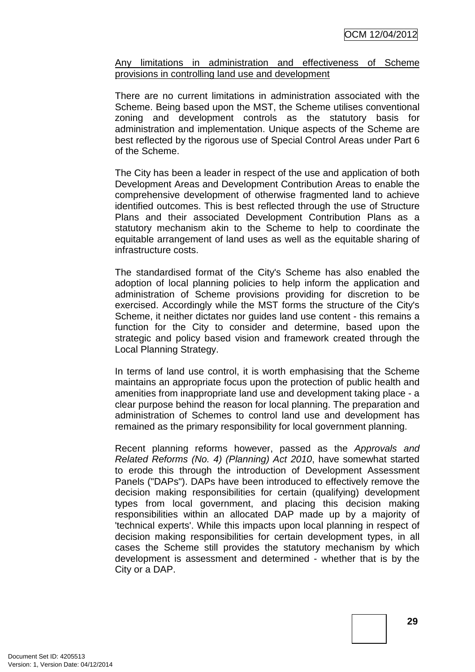Any limitations in administration and effectiveness of Scheme provisions in controlling land use and development

There are no current limitations in administration associated with the Scheme. Being based upon the MST, the Scheme utilises conventional zoning and development controls as the statutory basis for administration and implementation. Unique aspects of the Scheme are best reflected by the rigorous use of Special Control Areas under Part 6 of the Scheme.

The City has been a leader in respect of the use and application of both Development Areas and Development Contribution Areas to enable the comprehensive development of otherwise fragmented land to achieve identified outcomes. This is best reflected through the use of Structure Plans and their associated Development Contribution Plans as a statutory mechanism akin to the Scheme to help to coordinate the equitable arrangement of land uses as well as the equitable sharing of infrastructure costs.

The standardised format of the City's Scheme has also enabled the adoption of local planning policies to help inform the application and administration of Scheme provisions providing for discretion to be exercised. Accordingly while the MST forms the structure of the City's Scheme, it neither dictates nor guides land use content - this remains a function for the City to consider and determine, based upon the strategic and policy based vision and framework created through the Local Planning Strategy.

In terms of land use control, it is worth emphasising that the Scheme maintains an appropriate focus upon the protection of public health and amenities from inappropriate land use and development taking place - a clear purpose behind the reason for local planning. The preparation and administration of Schemes to control land use and development has remained as the primary responsibility for local government planning.

Recent planning reforms however, passed as the Approvals and Related Reforms (No. 4) (Planning) Act 2010, have somewhat started to erode this through the introduction of Development Assessment Panels ("DAPs"). DAPs have been introduced to effectively remove the decision making responsibilities for certain (qualifying) development types from local government, and placing this decision making responsibilities within an allocated DAP made up by a majority of 'technical experts'. While this impacts upon local planning in respect of decision making responsibilities for certain development types, in all cases the Scheme still provides the statutory mechanism by which development is assessment and determined - whether that is by the City or a DAP.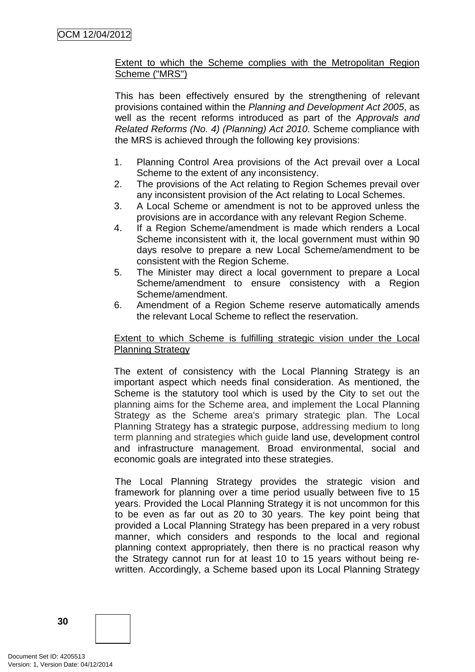#### Extent to which the Scheme complies with the Metropolitan Region Scheme ("MRS")

This has been effectively ensured by the strengthening of relevant provisions contained within the Planning and Development Act 2005, as well as the recent reforms introduced as part of the Approvals and Related Reforms (No. 4) (Planning) Act 2010. Scheme compliance with the MRS is achieved through the following key provisions:

- 1. Planning Control Area provisions of the Act prevail over a Local Scheme to the extent of any inconsistency.
- 2. The provisions of the Act relating to Region Schemes prevail over any inconsistent provision of the Act relating to Local Schemes.
- 3. A Local Scheme or amendment is not to be approved unless the provisions are in accordance with any relevant Region Scheme.
- 4. If a Region Scheme/amendment is made which renders a Local Scheme inconsistent with it, the local government must within 90 days resolve to prepare a new Local Scheme/amendment to be consistent with the Region Scheme.
- 5. The Minister may direct a local government to prepare a Local Scheme/amendment to ensure consistency with a Region Scheme/amendment.
- 6. Amendment of a Region Scheme reserve automatically amends the relevant Local Scheme to reflect the reservation.

#### Extent to which Scheme is fulfilling strategic vision under the Local Planning Strategy

The extent of consistency with the Local Planning Strategy is an important aspect which needs final consideration. As mentioned, the Scheme is the statutory tool which is used by the City to set out the planning aims for the Scheme area, and implement the Local Planning Strategy as the Scheme area's primary strategic plan. The Local Planning Strategy has a strategic purpose, addressing medium to long term planning and strategies which guide land use, development control and infrastructure management. Broad environmental, social and economic goals are integrated into these strategies.

The Local Planning Strategy provides the strategic vision and framework for planning over a time period usually between five to 15 years. Provided the Local Planning Strategy it is not uncommon for this to be even as far out as 20 to 30 years. The key point being that provided a Local Planning Strategy has been prepared in a very robust manner, which considers and responds to the local and regional planning context appropriately, then there is no practical reason why the Strategy cannot run for at least 10 to 15 years without being rewritten. Accordingly, a Scheme based upon its Local Planning Strategy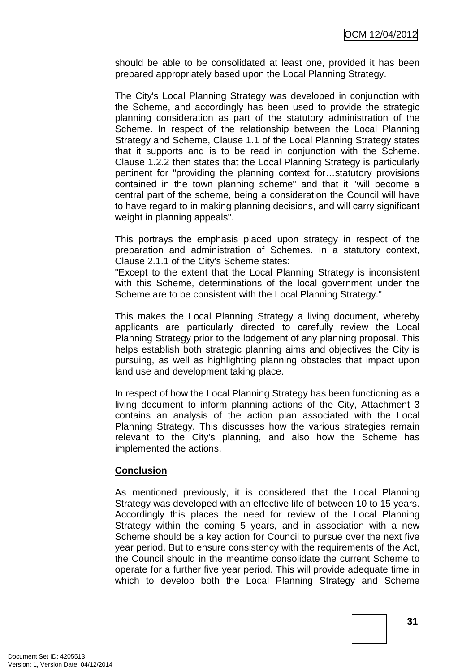should be able to be consolidated at least one, provided it has been prepared appropriately based upon the Local Planning Strategy.

The City's Local Planning Strategy was developed in conjunction with the Scheme, and accordingly has been used to provide the strategic planning consideration as part of the statutory administration of the Scheme. In respect of the relationship between the Local Planning Strategy and Scheme, Clause 1.1 of the Local Planning Strategy states that it supports and is to be read in conjunction with the Scheme. Clause 1.2.2 then states that the Local Planning Strategy is particularly pertinent for "providing the planning context for…statutory provisions contained in the town planning scheme" and that it "will become a central part of the scheme, being a consideration the Council will have to have regard to in making planning decisions, and will carry significant weight in planning appeals".

This portrays the emphasis placed upon strategy in respect of the preparation and administration of Schemes. In a statutory context, Clause 2.1.1 of the City's Scheme states:

"Except to the extent that the Local Planning Strategy is inconsistent with this Scheme, determinations of the local government under the Scheme are to be consistent with the Local Planning Strategy."

This makes the Local Planning Strategy a living document, whereby applicants are particularly directed to carefully review the Local Planning Strategy prior to the lodgement of any planning proposal. This helps establish both strategic planning aims and objectives the City is pursuing, as well as highlighting planning obstacles that impact upon land use and development taking place.

In respect of how the Local Planning Strategy has been functioning as a living document to inform planning actions of the City, Attachment 3 contains an analysis of the action plan associated with the Local Planning Strategy. This discusses how the various strategies remain relevant to the City's planning, and also how the Scheme has implemented the actions.

#### **Conclusion**

As mentioned previously, it is considered that the Local Planning Strategy was developed with an effective life of between 10 to 15 years. Accordingly this places the need for review of the Local Planning Strategy within the coming 5 years, and in association with a new Scheme should be a key action for Council to pursue over the next five year period. But to ensure consistency with the requirements of the Act, the Council should in the meantime consolidate the current Scheme to operate for a further five year period. This will provide adequate time in which to develop both the Local Planning Strategy and Scheme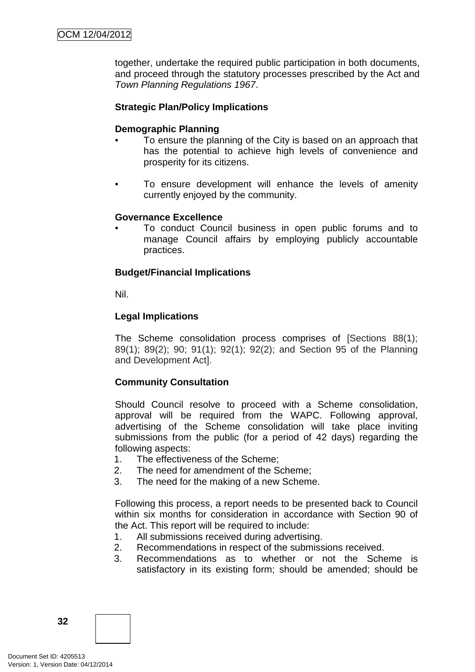together, undertake the required public participation in both documents, and proceed through the statutory processes prescribed by the Act and Town Planning Regulations 1967.

#### **Strategic Plan/Policy Implications**

#### **Demographic Planning**

- To ensure the planning of the City is based on an approach that has the potential to achieve high levels of convenience and prosperity for its citizens.
- To ensure development will enhance the levels of amenity currently enjoyed by the community.

#### **Governance Excellence**

• To conduct Council business in open public forums and to manage Council affairs by employing publicly accountable practices.

#### **Budget/Financial Implications**

Nil.

#### **Legal Implications**

The Scheme consolidation process comprises of [Sections 88(1); 89(1); 89(2); 90; 91(1); 92(1); 92(2); and Section 95 of the Planning and Development Act].

#### **Community Consultation**

Should Council resolve to proceed with a Scheme consolidation, approval will be required from the WAPC. Following approval, advertising of the Scheme consolidation will take place inviting submissions from the public (for a period of 42 days) regarding the following aspects:

- 1. The effectiveness of the Scheme;
- 2. The need for amendment of the Scheme;
- 3. The need for the making of a new Scheme.

Following this process, a report needs to be presented back to Council within six months for consideration in accordance with Section 90 of the Act. This report will be required to include:

- 1. All submissions received during advertising.
- 2. Recommendations in respect of the submissions received.
- 3. Recommendations as to whether or not the Scheme is satisfactory in its existing form; should be amended; should be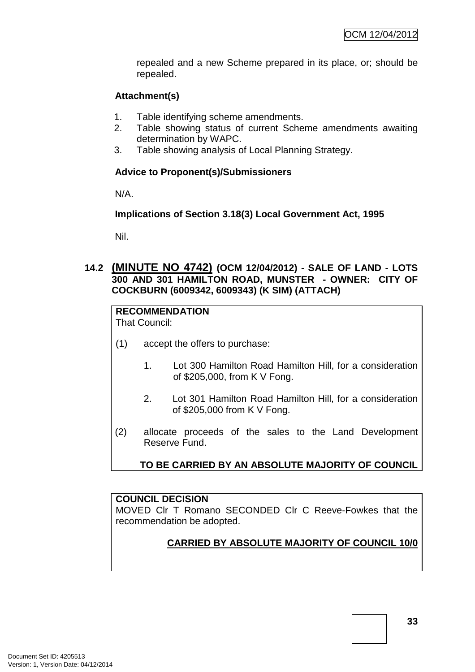repealed and a new Scheme prepared in its place, or; should be repealed.

## **Attachment(s)**

- 1. Table identifying scheme amendments.
- 2. Table showing status of current Scheme amendments awaiting determination by WAPC.
- 3. Table showing analysis of Local Planning Strategy.

## **Advice to Proponent(s)/Submissioners**

N/A.

## **Implications of Section 3.18(3) Local Government Act, 1995**

Nil.

## **14.2 (MINUTE NO 4742) (OCM 12/04/2012) - SALE OF LAND - LOTS 300 AND 301 HAMILTON ROAD, MUNSTER - OWNER: CITY OF COCKBURN (6009342, 6009343) (K SIM) (ATTACH)**

# **RECOMMENDATION**

That Council:

- (1) accept the offers to purchase:
	- 1. Lot 300 Hamilton Road Hamilton Hill, for a consideration of \$205,000, from K V Fong.
	- 2. Lot 301 Hamilton Road Hamilton Hill, for a consideration of \$205,000 from K V Fong.
- (2) allocate proceeds of the sales to the Land Development Reserve Fund.

## **TO BE CARRIED BY AN ABSOLUTE MAJORITY OF COUNCIL**

#### **COUNCIL DECISION**

MOVED Clr T Romano SECONDED Clr C Reeve-Fowkes that the recommendation be adopted.

## **CARRIED BY ABSOLUTE MAJORITY OF COUNCIL 10/0**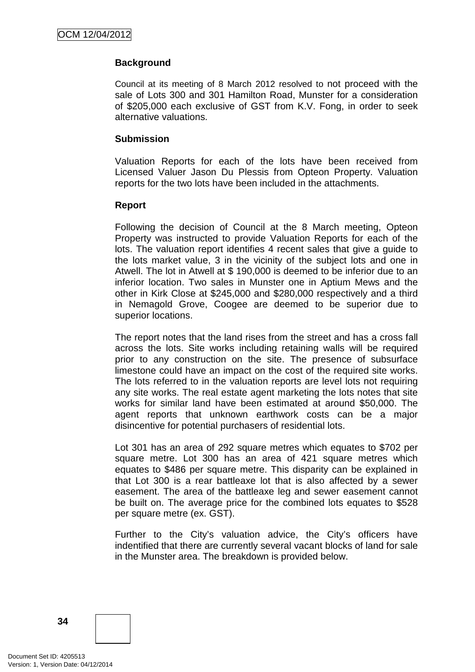## **Background**

Council at its meeting of 8 March 2012 resolved to not proceed with the sale of Lots 300 and 301 Hamilton Road, Munster for a consideration of \$205,000 each exclusive of GST from K.V. Fong, in order to seek alternative valuations.

#### **Submission**

Valuation Reports for each of the lots have been received from Licensed Valuer Jason Du Plessis from Opteon Property. Valuation reports for the two lots have been included in the attachments.

#### **Report**

Following the decision of Council at the 8 March meeting, Opteon Property was instructed to provide Valuation Reports for each of the lots. The valuation report identifies 4 recent sales that give a guide to the lots market value, 3 in the vicinity of the subject lots and one in Atwell. The lot in Atwell at \$ 190,000 is deemed to be inferior due to an inferior location. Two sales in Munster one in Aptium Mews and the other in Kirk Close at \$245,000 and \$280,000 respectively and a third in Nemagold Grove, Coogee are deemed to be superior due to superior locations.

The report notes that the land rises from the street and has a cross fall across the lots. Site works including retaining walls will be required prior to any construction on the site. The presence of subsurface limestone could have an impact on the cost of the required site works. The lots referred to in the valuation reports are level lots not requiring any site works. The real estate agent marketing the lots notes that site works for similar land have been estimated at around \$50,000. The agent reports that unknown earthwork costs can be a major disincentive for potential purchasers of residential lots.

Lot 301 has an area of 292 square metres which equates to \$702 per square metre. Lot 300 has an area of 421 square metres which equates to \$486 per square metre. This disparity can be explained in that Lot 300 is a rear battleaxe lot that is also affected by a sewer easement. The area of the battleaxe leg and sewer easement cannot be built on. The average price for the combined lots equates to \$528 per square metre (ex. GST).

Further to the City's valuation advice, the City's officers have indentified that there are currently several vacant blocks of land for sale in the Munster area. The breakdown is provided below.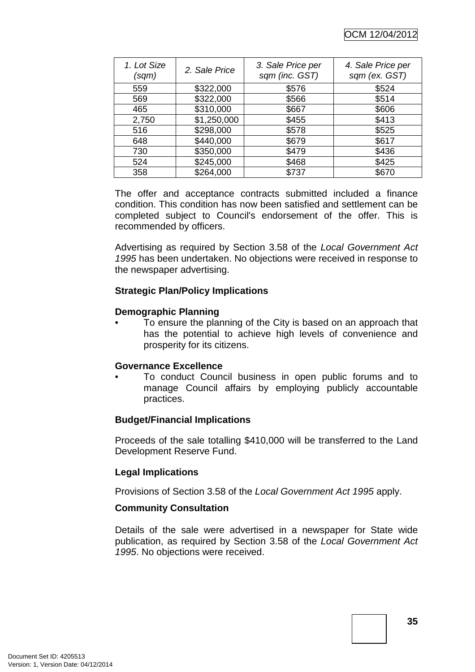OCM 12/04/2012

| 1. Lot Size<br>(sqm) | 2. Sale Price | 3. Sale Price per<br>sqm (inc. GST) | 4. Sale Price per<br>sqm (ex. GST) |
|----------------------|---------------|-------------------------------------|------------------------------------|
| 559                  | \$322,000     | \$576                               | \$524                              |
| 569                  | \$322,000     | \$566                               | \$514                              |
| 465                  | \$310,000     | \$667                               | \$606                              |
| 2,750                | \$1,250,000   | \$455                               | \$413                              |
| 516                  | \$298,000     | \$578                               | \$525                              |
| 648                  | \$440,000     | \$679                               | \$617                              |
| 730                  | \$350,000     | \$479                               | \$436                              |
| 524                  | \$245,000     | \$468                               | \$425                              |
| 358                  | \$264,000     | \$737                               | \$670                              |

The offer and acceptance contracts submitted included a finance condition. This condition has now been satisfied and settlement can be completed subject to Council's endorsement of the offer. This is recommended by officers.

Advertising as required by Section 3.58 of the Local Government Act 1995 has been undertaken. No objections were received in response to the newspaper advertising.

#### **Strategic Plan/Policy Implications**

#### **Demographic Planning**

• To ensure the planning of the City is based on an approach that has the potential to achieve high levels of convenience and prosperity for its citizens.

#### **Governance Excellence**

• To conduct Council business in open public forums and to manage Council affairs by employing publicly accountable practices.

#### **Budget/Financial Implications**

Proceeds of the sale totalling \$410,000 will be transferred to the Land Development Reserve Fund.

#### **Legal Implications**

Provisions of Section 3.58 of the Local Government Act 1995 apply.

#### **Community Consultation**

Details of the sale were advertised in a newspaper for State wide publication, as required by Section 3.58 of the Local Government Act 1995. No objections were received.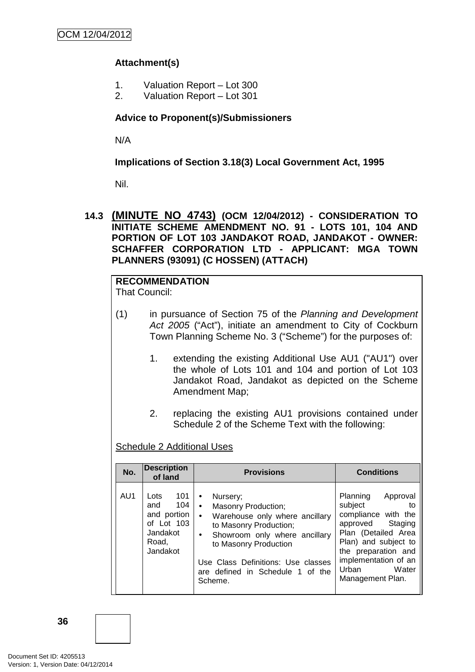# **Attachment(s)**

- 1. Valuation Report Lot 300
- 2. Valuation Report Lot 301

# **Advice to Proponent(s)/Submissioners**

N/A

## **Implications of Section 3.18(3) Local Government Act, 1995**

Nil.

**14.3 (MINUTE NO 4743) (OCM 12/04/2012) - CONSIDERATION TO INITIATE SCHEME AMENDMENT NO. 91 - LOTS 101, 104 AND PORTION OF LOT 103 JANDAKOT ROAD, JANDAKOT - OWNER: SCHAFFER CORPORATION LTD - APPLICANT: MGA TOWN PLANNERS (93091) (C HOSSEN) (ATTACH)** 

#### **RECOMMENDATION** That Council:

- (1) in pursuance of Section 75 of the Planning and Development Act 2005 ("Act"), initiate an amendment to City of Cockburn Town Planning Scheme No. 3 ("Scheme") for the purposes of:
	- 1. extending the existing Additional Use AU1 ("AU1") over the whole of Lots 101 and 104 and portion of Lot 103 Jandakot Road, Jandakot as depicted on the Scheme Amendment Map;
	- 2. replacing the existing AU1 provisions contained under Schedule 2 of the Scheme Text with the following:

Schedule 2 Additional Uses

| No. | <b>Description</b><br>of land                                                              | <b>Provisions</b>                                                                                                                                                                                                                                                                                     | <b>Conditions</b>                                                                                                                                                                                                              |  |
|-----|--------------------------------------------------------------------------------------------|-------------------------------------------------------------------------------------------------------------------------------------------------------------------------------------------------------------------------------------------------------------------------------------------------------|--------------------------------------------------------------------------------------------------------------------------------------------------------------------------------------------------------------------------------|--|
| AU1 | - 101<br>Lots<br>and $104$  <br>and portion<br>of Lot 103<br>Jandakot<br>Road,<br>Jandakot | Nursery;<br>$\bullet$<br><b>Masonry Production;</b><br>$\bullet$<br>Warehouse only where ancillary<br>$\bullet$<br>to Masonry Production;<br>Showroom only where ancillary<br>$\bullet$<br>to Masonry Production<br>Use Class Definitions: Use classes<br>are defined in Schedule 1 of the<br>Scheme. | <b>Planning</b><br>Approval<br>subject<br>tΟ<br>compliance with the<br>Staging<br>approved<br>Plan (Detailed Area<br>Plan) and subject to<br>the preparation and<br>implementation of an<br>Water<br>Urban<br>Management Plan. |  |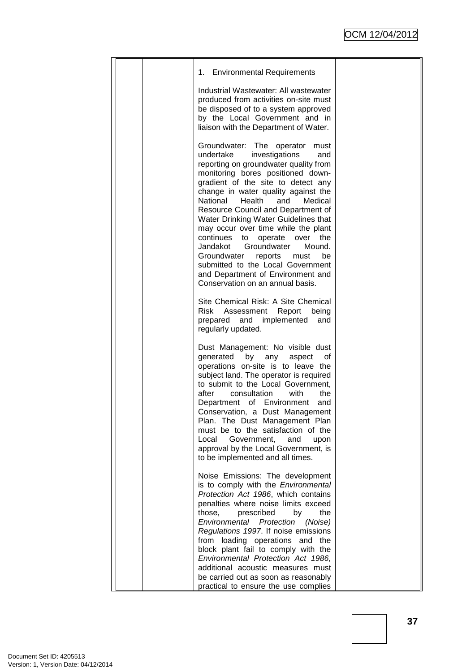| 1. Environmental Requirements                                                                                                                                                                                                                                                                                                                                                                                                                                                                                                                                                                                                              |  |
|--------------------------------------------------------------------------------------------------------------------------------------------------------------------------------------------------------------------------------------------------------------------------------------------------------------------------------------------------------------------------------------------------------------------------------------------------------------------------------------------------------------------------------------------------------------------------------------------------------------------------------------------|--|
| Industrial Wastewater: All wastewater<br>produced from activities on-site must<br>be disposed of to a system approved<br>by the Local Government and in<br>liaison with the Department of Water.                                                                                                                                                                                                                                                                                                                                                                                                                                           |  |
| Groundwater: The<br>operator<br>must<br>undertake<br>investigations<br>and<br>reporting on groundwater quality from<br>monitoring bores positioned down-<br>gradient of the site to detect any<br>change in water quality against the<br>National<br>Health<br>and<br>Medical<br>Resource Council and Department of<br>Water Drinking Water Guidelines that<br>may occur over time while the plant<br>continues<br>to<br>operate<br>the<br>over<br>Jandakot<br>Groundwater<br>Mound.<br>Groundwater<br>reports<br>must<br>be<br>submitted to the Local Government<br>and Department of Environment and<br>Conservation on an annual basis. |  |
| Site Chemical Risk: A Site Chemical<br>Risk Assessment<br>being<br>Report<br>prepared and<br>implemented<br>and<br>regularly updated.                                                                                                                                                                                                                                                                                                                                                                                                                                                                                                      |  |
| Dust Management: No visible dust<br>generated<br>by<br>οf<br>any<br>aspect<br>operations on-site is to leave the<br>subject land. The operator is required<br>to submit to the Local Government,<br>after<br>consultation<br>with<br>the<br>Department<br>of Environment<br>and<br>Conservation, a Dust Management<br>Plan. The Dust Management Plan<br>must be to the satisfaction of the<br>Local<br>Government,<br>and<br>upon<br>approval by the Local Government, is<br>to be implemented and all times.                                                                                                                              |  |
| Noise Emissions: The development<br>is to comply with the Environmental<br>Protection Act 1986, which contains<br>penalties where noise limits exceed<br>prescribed<br>the<br>those.<br>by<br>Environmental Protection<br>(Noise)<br>Regulations 1997. If noise emissions<br>from loading operations and the<br>block plant fail to comply with the<br>Environmental Protection Act 1986,<br>additional acoustic measures must<br>be carried out as soon as reasonably<br>practical to ensure the use complies                                                                                                                             |  |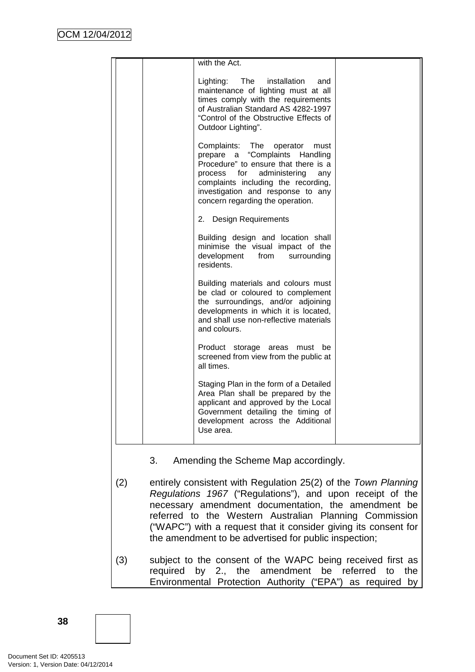| with the Act.                                                                                                                                                                                                                                                        |  |
|----------------------------------------------------------------------------------------------------------------------------------------------------------------------------------------------------------------------------------------------------------------------|--|
| Lighting: The installation<br>and<br>maintenance of lighting must at all<br>times comply with the requirements<br>of Australian Standard AS 4282-1997<br>"Control of the Obstructive Effects of<br>Outdoor Lighting".                                                |  |
| Complaints: The operator<br>must<br>prepare a "Complaints Handling<br>Procedure" to ensure that there is a<br>for<br>administering<br>process<br>any<br>complaints including the recording,<br>investigation and response to any<br>concern regarding the operation. |  |
| 2. Design Requirements                                                                                                                                                                                                                                               |  |
| Building design and location shall<br>minimise the visual impact of the<br>development from surrounding<br>residents.                                                                                                                                                |  |
| Building materials and colours must<br>be clad or coloured to complement<br>the surroundings, and/or adjoining<br>developments in which it is located,<br>and shall use non-reflective materials<br>and colours.                                                     |  |
| Product storage areas must be<br>screened from view from the public at<br>all times.                                                                                                                                                                                 |  |
| Staging Plan in the form of a Detailed<br>Area Plan shall be prepared by the<br>applicant and approved by the Local<br>Government detailing the timing of<br>development across the Additional<br>Use area.                                                          |  |
|                                                                                                                                                                                                                                                                      |  |

- 3. Amending the Scheme Map accordingly.
- (2) entirely consistent with Regulation 25(2) of the Town Planning Regulations 1967 ("Regulations"), and upon receipt of the necessary amendment documentation, the amendment be referred to the Western Australian Planning Commission ("WAPC") with a request that it consider giving its consent for the amendment to be advertised for public inspection;
- (3) subject to the consent of the WAPC being received first as required by 2., the amendment be referred to the Environmental Protection Authority ("EPA") as required by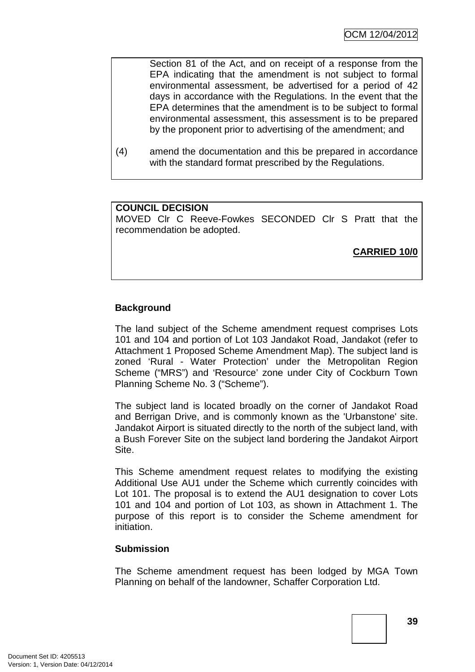Section 81 of the Act, and on receipt of a response from the EPA indicating that the amendment is not subject to formal environmental assessment, be advertised for a period of 42 days in accordance with the Regulations. In the event that the EPA determines that the amendment is to be subject to formal environmental assessment, this assessment is to be prepared by the proponent prior to advertising of the amendment; and

(4) amend the documentation and this be prepared in accordance with the standard format prescribed by the Regulations.

## **COUNCIL DECISION**

MOVED Clr C Reeve-Fowkes SECONDED Clr S Pratt that the recommendation be adopted.

**CARRIED 10/0**

## **Background**

The land subject of the Scheme amendment request comprises Lots 101 and 104 and portion of Lot 103 Jandakot Road, Jandakot (refer to Attachment 1 Proposed Scheme Amendment Map). The subject land is zoned 'Rural - Water Protection' under the Metropolitan Region Scheme ("MRS") and 'Resource' zone under City of Cockburn Town Planning Scheme No. 3 ("Scheme").

The subject land is located broadly on the corner of Jandakot Road and Berrigan Drive, and is commonly known as the 'Urbanstone' site. Jandakot Airport is situated directly to the north of the subject land, with a Bush Forever Site on the subject land bordering the Jandakot Airport Site.

This Scheme amendment request relates to modifying the existing Additional Use AU1 under the Scheme which currently coincides with Lot 101. The proposal is to extend the AU1 designation to cover Lots 101 and 104 and portion of Lot 103, as shown in Attachment 1. The purpose of this report is to consider the Scheme amendment for initiation.

#### **Submission**

The Scheme amendment request has been lodged by MGA Town Planning on behalf of the landowner, Schaffer Corporation Ltd.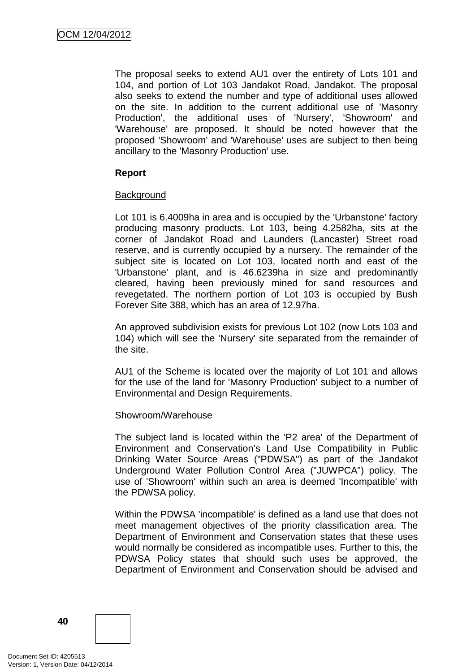The proposal seeks to extend AU1 over the entirety of Lots 101 and 104, and portion of Lot 103 Jandakot Road, Jandakot. The proposal also seeks to extend the number and type of additional uses allowed on the site. In addition to the current additional use of 'Masonry Production', the additional uses of 'Nursery', 'Showroom' and 'Warehouse' are proposed. It should be noted however that the proposed 'Showroom' and 'Warehouse' uses are subject to then being ancillary to the 'Masonry Production' use.

## **Report**

#### **Background**

Lot 101 is 6.4009ha in area and is occupied by the 'Urbanstone' factory producing masonry products. Lot 103, being 4.2582ha, sits at the corner of Jandakot Road and Launders (Lancaster) Street road reserve, and is currently occupied by a nursery. The remainder of the subject site is located on Lot 103, located north and east of the 'Urbanstone' plant, and is 46.6239ha in size and predominantly cleared, having been previously mined for sand resources and revegetated. The northern portion of Lot 103 is occupied by Bush Forever Site 388, which has an area of 12.97ha.

An approved subdivision exists for previous Lot 102 (now Lots 103 and 104) which will see the 'Nursery' site separated from the remainder of the site.

AU1 of the Scheme is located over the majority of Lot 101 and allows for the use of the land for 'Masonry Production' subject to a number of Environmental and Design Requirements.

## Showroom/Warehouse

The subject land is located within the 'P2 area' of the Department of Environment and Conservation's Land Use Compatibility in Public Drinking Water Source Areas ("PDWSA") as part of the Jandakot Underground Water Pollution Control Area ("JUWPCA") policy. The use of 'Showroom' within such an area is deemed 'Incompatible' with the PDWSA policy.

Within the PDWSA 'incompatible' is defined as a land use that does not meet management objectives of the priority classification area. The Department of Environment and Conservation states that these uses would normally be considered as incompatible uses. Further to this, the PDWSA Policy states that should such uses be approved, the Department of Environment and Conservation should be advised and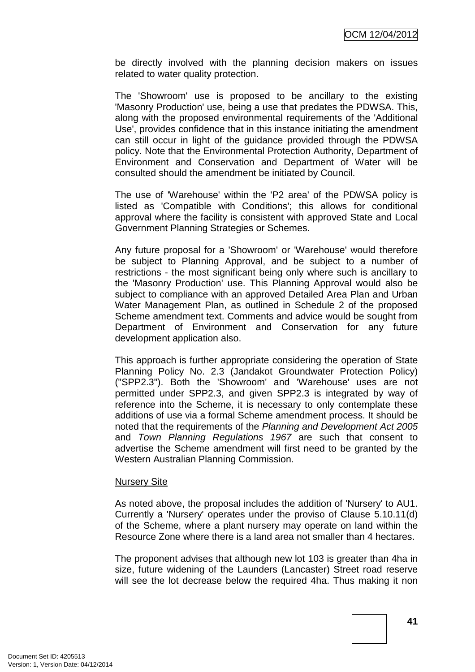be directly involved with the planning decision makers on issues related to water quality protection.

The 'Showroom' use is proposed to be ancillary to the existing 'Masonry Production' use, being a use that predates the PDWSA. This, along with the proposed environmental requirements of the 'Additional Use', provides confidence that in this instance initiating the amendment can still occur in light of the guidance provided through the PDWSA policy. Note that the Environmental Protection Authority, Department of Environment and Conservation and Department of Water will be consulted should the amendment be initiated by Council.

The use of 'Warehouse' within the 'P2 area' of the PDWSA policy is listed as 'Compatible with Conditions'; this allows for conditional approval where the facility is consistent with approved State and Local Government Planning Strategies or Schemes.

Any future proposal for a 'Showroom' or 'Warehouse' would therefore be subject to Planning Approval, and be subject to a number of restrictions - the most significant being only where such is ancillary to the 'Masonry Production' use. This Planning Approval would also be subject to compliance with an approved Detailed Area Plan and Urban Water Management Plan, as outlined in Schedule 2 of the proposed Scheme amendment text. Comments and advice would be sought from Department of Environment and Conservation for any future development application also.

This approach is further appropriate considering the operation of State Planning Policy No. 2.3 (Jandakot Groundwater Protection Policy) ("SPP2.3"). Both the 'Showroom' and 'Warehouse' uses are not permitted under SPP2.3, and given SPP2.3 is integrated by way of reference into the Scheme, it is necessary to only contemplate these additions of use via a formal Scheme amendment process. It should be noted that the requirements of the Planning and Development Act 2005 and Town Planning Regulations 1967 are such that consent to advertise the Scheme amendment will first need to be granted by the Western Australian Planning Commission.

#### Nursery Site

As noted above, the proposal includes the addition of 'Nursery' to AU1. Currently a 'Nursery' operates under the proviso of Clause 5.10.11(d) of the Scheme, where a plant nursery may operate on land within the Resource Zone where there is a land area not smaller than 4 hectares.

The proponent advises that although new lot 103 is greater than 4ha in size, future widening of the Launders (Lancaster) Street road reserve will see the lot decrease below the required 4ha. Thus making it non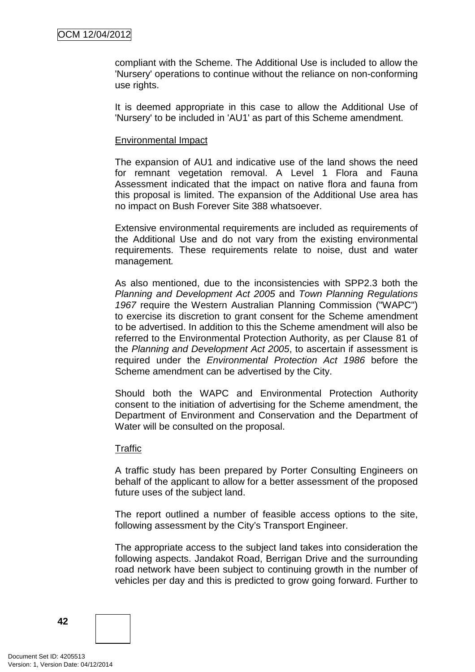compliant with the Scheme. The Additional Use is included to allow the 'Nursery' operations to continue without the reliance on non-conforming use rights.

It is deemed appropriate in this case to allow the Additional Use of 'Nursery' to be included in 'AU1' as part of this Scheme amendment.

#### Environmental Impact

The expansion of AU1 and indicative use of the land shows the need for remnant vegetation removal. A Level 1 Flora and Fauna Assessment indicated that the impact on native flora and fauna from this proposal is limited. The expansion of the Additional Use area has no impact on Bush Forever Site 388 whatsoever.

Extensive environmental requirements are included as requirements of the Additional Use and do not vary from the existing environmental requirements. These requirements relate to noise, dust and water management.

As also mentioned, due to the inconsistencies with SPP2.3 both the Planning and Development Act 2005 and Town Planning Regulations 1967 require the Western Australian Planning Commission ("WAPC") to exercise its discretion to grant consent for the Scheme amendment to be advertised. In addition to this the Scheme amendment will also be referred to the Environmental Protection Authority, as per Clause 81 of the Planning and Development Act 2005, to ascertain if assessment is required under the Environmental Protection Act 1986 before the Scheme amendment can be advertised by the City.

Should both the WAPC and Environmental Protection Authority consent to the initiation of advertising for the Scheme amendment, the Department of Environment and Conservation and the Department of Water will be consulted on the proposal.

#### **Traffic**

A traffic study has been prepared by Porter Consulting Engineers on behalf of the applicant to allow for a better assessment of the proposed future uses of the subject land.

The report outlined a number of feasible access options to the site, following assessment by the City's Transport Engineer.

The appropriate access to the subject land takes into consideration the following aspects. Jandakot Road, Berrigan Drive and the surrounding road network have been subject to continuing growth in the number of vehicles per day and this is predicted to grow going forward. Further to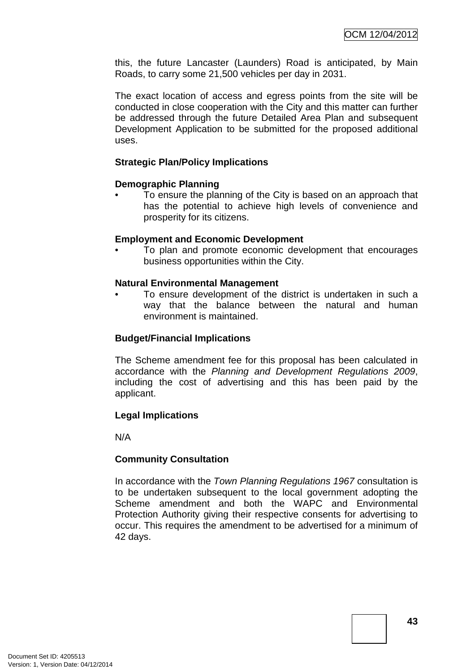this, the future Lancaster (Launders) Road is anticipated, by Main Roads, to carry some 21,500 vehicles per day in 2031.

The exact location of access and egress points from the site will be conducted in close cooperation with the City and this matter can further be addressed through the future Detailed Area Plan and subsequent Development Application to be submitted for the proposed additional uses.

## **Strategic Plan/Policy Implications**

## **Demographic Planning**

• To ensure the planning of the City is based on an approach that has the potential to achieve high levels of convenience and prosperity for its citizens.

#### **Employment and Economic Development**

• To plan and promote economic development that encourages business opportunities within the City.

## **Natural Environmental Management**

• To ensure development of the district is undertaken in such a way that the balance between the natural and human environment is maintained.

## **Budget/Financial Implications**

The Scheme amendment fee for this proposal has been calculated in accordance with the Planning and Development Regulations 2009, including the cost of advertising and this has been paid by the applicant.

## **Legal Implications**

N/A

## **Community Consultation**

In accordance with the Town Planning Regulations 1967 consultation is to be undertaken subsequent to the local government adopting the Scheme amendment and both the WAPC and Environmental Protection Authority giving their respective consents for advertising to occur. This requires the amendment to be advertised for a minimum of 42 days.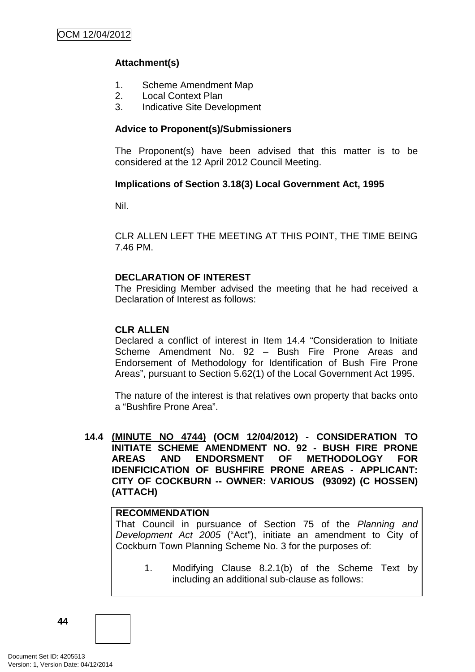## **Attachment(s)**

- 1. Scheme Amendment Map
- 2. Local Context Plan
- 3. Indicative Site Development

## **Advice to Proponent(s)/Submissioners**

The Proponent(s) have been advised that this matter is to be considered at the 12 April 2012 Council Meeting.

## **Implications of Section 3.18(3) Local Government Act, 1995**

Nil.

CLR ALLEN LEFT THE MEETING AT THIS POINT, THE TIME BEING 7.46 PM.

## **DECLARATION OF INTEREST**

The Presiding Member advised the meeting that he had received a Declaration of Interest as follows:

## **CLR ALLEN**

Declared a conflict of interest in Item 14.4 "Consideration to Initiate Scheme Amendment No. 92 – Bush Fire Prone Areas and Endorsement of Methodology for Identification of Bush Fire Prone Areas", pursuant to Section 5.62(1) of the Local Government Act 1995.

The nature of the interest is that relatives own property that backs onto a "Bushfire Prone Area".

**14.4 (MINUTE NO 4744) (OCM 12/04/2012) - CONSIDERATION TO INITIATE SCHEME AMENDMENT NO. 92 - BUSH FIRE PRONE AREAS AND ENDORSMENT OF METHODOLOGY FOR IDENFICICATION OF BUSHFIRE PRONE AREAS - APPLICANT: CITY OF COCKBURN -- OWNER: VARIOUS (93092) (C HOSSEN) (ATTACH)** 

#### **RECOMMENDATION**

That Council in pursuance of Section 75 of the Planning and Development Act 2005 ("Act"), initiate an amendment to City of Cockburn Town Planning Scheme No. 3 for the purposes of:

1. Modifying Clause 8.2.1(b) of the Scheme Text by including an additional sub-clause as follows: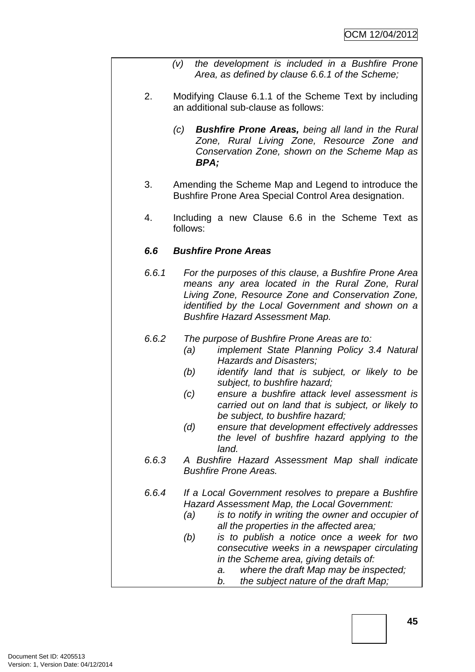- (v) the development is included in a Bushfire Prone Area, as defined by clause 6.6.1 of the Scheme;
- 2. Modifying Clause 6.1.1 of the Scheme Text by including an additional sub-clause as follows:
	- (c) **Bushfire Prone Areas,** being all land in the Rural Zone, Rural Living Zone, Resource Zone and Conservation Zone, shown on the Scheme Map as **BPA;**
- 3. Amending the Scheme Map and Legend to introduce the Bushfire Prone Area Special Control Area designation.
- 4. Including a new Clause 6.6 in the Scheme Text as follows:

## **6.6 Bushfire Prone Areas**

- 6.6.1 For the purposes of this clause, a Bushfire Prone Area means any area located in the Rural Zone, Rural Living Zone, Resource Zone and Conservation Zone, identified by the Local Government and shown on a Bushfire Hazard Assessment Map.
- 6.6.2 The purpose of Bushfire Prone Areas are to:
	- (a) implement State Planning Policy 3.4 Natural Hazards and Disasters;
	- (b) identify land that is subject, or likely to be subject, to bushfire hazard;
	- (c) ensure a bushfire attack level assessment is carried out on land that is subject, or likely to be subject, to bushfire hazard;
	- (d) ensure that development effectively addresses the level of bushfire hazard applying to the land.
- 6.6.3 A Bushfire Hazard Assessment Map shall indicate Bushfire Prone Areas.
- 6.6.4 If a Local Government resolves to prepare a Bushfire Hazard Assessment Map, the Local Government:
	- (a) is to notify in writing the owner and occupier of all the properties in the affected area;
	- (b) is to publish a notice once a week for two consecutive weeks in a newspaper circulating in the Scheme area, giving details of:
		- a. where the draft Map may be inspected;
		- b. the subject nature of the draft Map;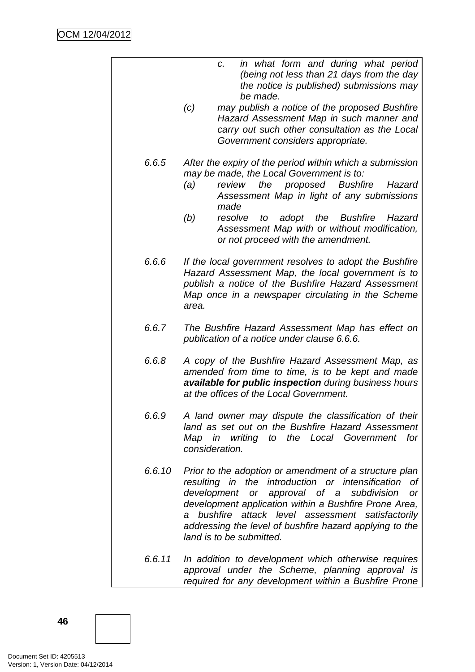|        | in what form and during what period<br>C.<br>(being not less than 21 days from the day<br>the notice is published) submissions may<br>be made.                                                                                                                                                                                                                                 |
|--------|--------------------------------------------------------------------------------------------------------------------------------------------------------------------------------------------------------------------------------------------------------------------------------------------------------------------------------------------------------------------------------|
|        | may publish a notice of the proposed Bushfire<br>(c)<br>Hazard Assessment Map in such manner and<br>carry out such other consultation as the Local<br>Government considers appropriate.                                                                                                                                                                                        |
| 6.6.5  | After the expiry of the period within which a submission<br>may be made, the Local Government is to:<br>(a)<br>the proposed<br>review<br><b>Bushfire</b><br>Hazard<br>Assessment Map in light of any submissions<br>made                                                                                                                                                       |
|        | to adopt the Bushfire Hazard<br>(b)<br>resolve<br>Assessment Map with or without modification,<br>or not proceed with the amendment.                                                                                                                                                                                                                                           |
| 6.6.6  | If the local government resolves to adopt the Bushfire<br>Hazard Assessment Map, the local government is to<br>publish a notice of the Bushfire Hazard Assessment<br>Map once in a newspaper circulating in the Scheme<br>area.                                                                                                                                                |
| 6.6.7  | The Bushfire Hazard Assessment Map has effect on<br>publication of a notice under clause 6.6.6.                                                                                                                                                                                                                                                                                |
| 6.6.8  | A copy of the Bushfire Hazard Assessment Map, as<br>amended from time to time, is to be kept and made<br>available for public inspection during business hours<br>at the offices of the Local Government.                                                                                                                                                                      |
| 6.6.9  | A land owner may dispute the classification of their<br>land as set out on the Bushfire Hazard Assessment<br>Map in writing to the Local Government for<br>consideration.                                                                                                                                                                                                      |
| 6.6.10 | Prior to the adoption or amendment of a structure plan<br>resulting in the introduction or intensification of<br>development or approval of a subdivision<br><b>or</b><br>development application within a Bushfire Prone Area,<br>bushfire attack level assessment satisfactorily<br>a<br>addressing the level of bushfire hazard applying to the<br>land is to be submitted. |
| 6.6.11 | In addition to development which otherwise requires<br>approval under the Scheme, planning approval is<br>required for any development within a Bushfire Prone                                                                                                                                                                                                                 |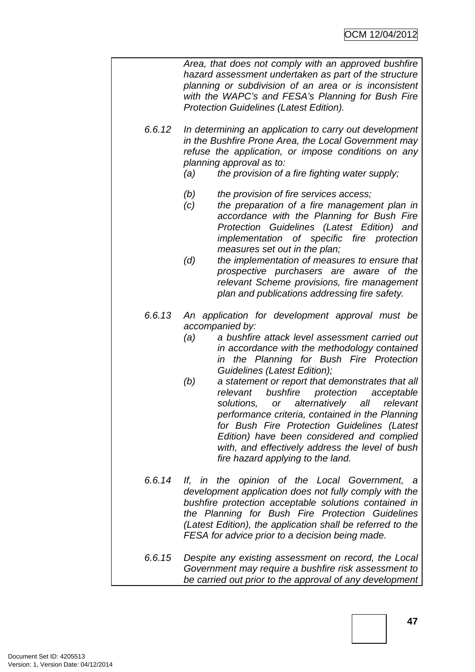|        | Area, that does not comply with an approved bushfire<br>hazard assessment undertaken as part of the structure<br>planning or subdivision of an area or is inconsistent<br>with the WAPC's and FESA's Planning for Bush Fire<br><b>Protection Guidelines (Latest Edition).</b>                                                                                                                                                                                                                                                                                                                                                                               |  |  |
|--------|-------------------------------------------------------------------------------------------------------------------------------------------------------------------------------------------------------------------------------------------------------------------------------------------------------------------------------------------------------------------------------------------------------------------------------------------------------------------------------------------------------------------------------------------------------------------------------------------------------------------------------------------------------------|--|--|
| 6.6.12 | In determining an application to carry out development<br>in the Bushfire Prone Area, the Local Government may<br>refuse the application, or impose conditions on any<br>planning approval as to:<br>the provision of a fire fighting water supply;<br>(a)                                                                                                                                                                                                                                                                                                                                                                                                  |  |  |
|        | (b)<br>the provision of fire services access;<br>the preparation of a fire management plan in<br>(c)<br>accordance with the Planning for Bush Fire<br>Protection Guidelines (Latest Edition) and<br>implementation of specific fire protection                                                                                                                                                                                                                                                                                                                                                                                                              |  |  |
|        | measures set out in the plan;<br>(d)<br>the implementation of measures to ensure that<br>prospective purchasers are aware of the<br>relevant Scheme provisions, fire management<br>plan and publications addressing fire safety.                                                                                                                                                                                                                                                                                                                                                                                                                            |  |  |
| 6.6.13 | An application for development approval must be<br>accompanied by:<br>a bushfire attack level assessment carried out<br>(a)<br>in accordance with the methodology contained<br>in the Planning for Bush Fire Protection<br><b>Guidelines (Latest Edition);</b><br>a statement or report that demonstrates that all<br>(b)<br>relevant bushfire protection acceptable<br>solutions, or alternatively all<br>relevant<br>performance criteria, contained in the Planning<br>for Bush Fire Protection Guidelines (Latest<br>Edition) have been considered and complied<br>with, and effectively address the level of bush<br>fire hazard applying to the land. |  |  |
| 6.6.14 | If, in the opinion of the Local Government,<br>- a<br>development application does not fully comply with the<br>bushfire protection acceptable solutions contained in<br>the Planning for Bush Fire Protection Guidelines<br>(Latest Edition), the application shall be referred to the<br>FESA for advice prior to a decision being made.                                                                                                                                                                                                                                                                                                                  |  |  |
| 6.6.15 | Despite any existing assessment on record, the Local<br>Government may require a bushfire risk assessment to<br>be carried out prior to the approval of any development                                                                                                                                                                                                                                                                                                                                                                                                                                                                                     |  |  |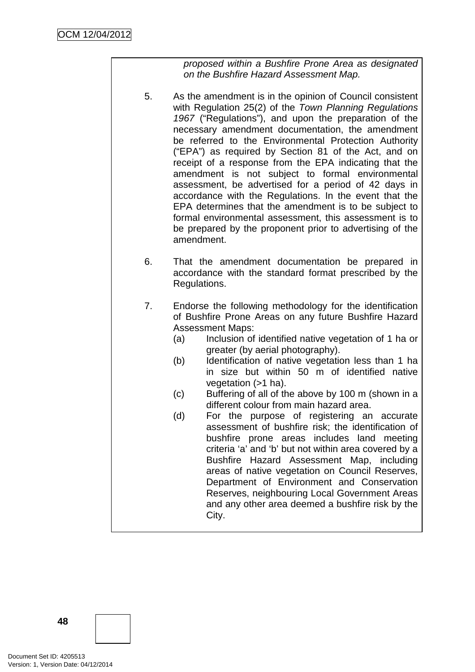proposed within a Bushfire Prone Area as designated on the Bushfire Hazard Assessment Map.

- 5. As the amendment is in the opinion of Council consistent with Regulation 25(2) of the Town Planning Regulations 1967 ("Regulations"), and upon the preparation of the necessary amendment documentation, the amendment be referred to the Environmental Protection Authority ("EPA") as required by Section 81 of the Act, and on receipt of a response from the EPA indicating that the amendment is not subject to formal environmental assessment, be advertised for a period of 42 days in accordance with the Regulations. In the event that the EPA determines that the amendment is to be subject to formal environmental assessment, this assessment is to be prepared by the proponent prior to advertising of the amendment.
- 6. That the amendment documentation be prepared in accordance with the standard format prescribed by the Regulations.
- 7. Endorse the following methodology for the identification of Bushfire Prone Areas on any future Bushfire Hazard Assessment Maps:
	- (a) Inclusion of identified native vegetation of 1 ha or greater (by aerial photography).
	- (b) Identification of native vegetation less than 1 ha in size but within 50 m of identified native vegetation (>1 ha).
	- (c) Buffering of all of the above by 100 m (shown in a different colour from main hazard area.
	- (d) For the purpose of registering an accurate assessment of bushfire risk; the identification of bushfire prone areas includes land meeting criteria 'a' and 'b' but not within area covered by a Bushfire Hazard Assessment Map, including areas of native vegetation on Council Reserves, Department of Environment and Conservation Reserves, neighbouring Local Government Areas and any other area deemed a bushfire risk by the City.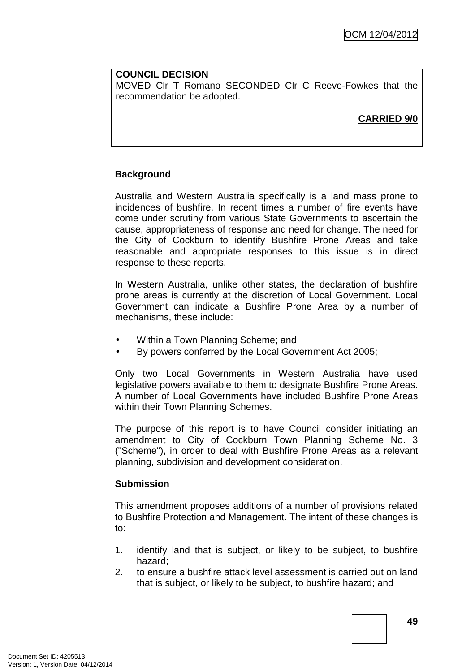## **COUNCIL DECISION** MOVED Clr T Romano SECONDED Clr C Reeve-Fowkes that the recommendation be adopted.

# **CARRIED 9/0**

## **Background**

Australia and Western Australia specifically is a land mass prone to incidences of bushfire. In recent times a number of fire events have come under scrutiny from various State Governments to ascertain the cause, appropriateness of response and need for change. The need for the City of Cockburn to identify Bushfire Prone Areas and take reasonable and appropriate responses to this issue is in direct response to these reports.

In Western Australia, unlike other states, the declaration of bushfire prone areas is currently at the discretion of Local Government. Local Government can indicate a Bushfire Prone Area by a number of mechanisms, these include:

- Within a Town Planning Scheme; and
- By powers conferred by the Local Government Act 2005;

Only two Local Governments in Western Australia have used legislative powers available to them to designate Bushfire Prone Areas. A number of Local Governments have included Bushfire Prone Areas within their Town Planning Schemes.

The purpose of this report is to have Council consider initiating an amendment to City of Cockburn Town Planning Scheme No. 3 ("Scheme"), in order to deal with Bushfire Prone Areas as a relevant planning, subdivision and development consideration.

#### **Submission**

This amendment proposes additions of a number of provisions related to Bushfire Protection and Management. The intent of these changes is to:

- 1. identify land that is subject, or likely to be subject, to bushfire hazard;
- 2. to ensure a bushfire attack level assessment is carried out on land that is subject, or likely to be subject, to bushfire hazard; and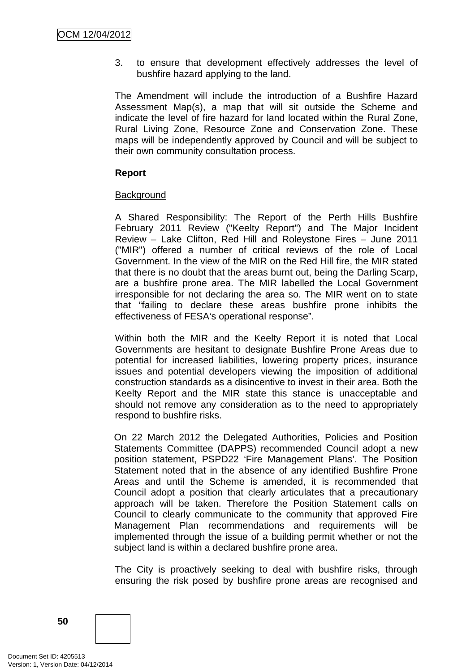3. to ensure that development effectively addresses the level of bushfire hazard applying to the land.

The Amendment will include the introduction of a Bushfire Hazard Assessment Map(s), a map that will sit outside the Scheme and indicate the level of fire hazard for land located within the Rural Zone, Rural Living Zone, Resource Zone and Conservation Zone. These maps will be independently approved by Council and will be subject to their own community consultation process.

## **Report**

## **Background**

A Shared Responsibility: The Report of the Perth Hills Bushfire February 2011 Review ("Keelty Report") and The Major Incident Review – Lake Clifton, Red Hill and Roleystone Fires – June 2011 ("MIR") offered a number of critical reviews of the role of Local Government. In the view of the MIR on the Red Hill fire, the MIR stated that there is no doubt that the areas burnt out, being the Darling Scarp, are a bushfire prone area. The MIR labelled the Local Government irresponsible for not declaring the area so. The MIR went on to state that "failing to declare these areas bushfire prone inhibits the effectiveness of FESA's operational response".

Within both the MIR and the Keelty Report it is noted that Local Governments are hesitant to designate Bushfire Prone Areas due to potential for increased liabilities, lowering property prices, insurance issues and potential developers viewing the imposition of additional construction standards as a disincentive to invest in their area. Both the Keelty Report and the MIR state this stance is unacceptable and should not remove any consideration as to the need to appropriately respond to bushfire risks.

On 22 March 2012 the Delegated Authorities, Policies and Position Statements Committee (DAPPS) recommended Council adopt a new position statement, PSPD22 'Fire Management Plans'. The Position Statement noted that in the absence of any identified Bushfire Prone Areas and until the Scheme is amended, it is recommended that Council adopt a position that clearly articulates that a precautionary approach will be taken. Therefore the Position Statement calls on Council to clearly communicate to the community that approved Fire Management Plan recommendations and requirements will be implemented through the issue of a building permit whether or not the subject land is within a declared bushfire prone area.

The City is proactively seeking to deal with bushfire risks, through ensuring the risk posed by bushfire prone areas are recognised and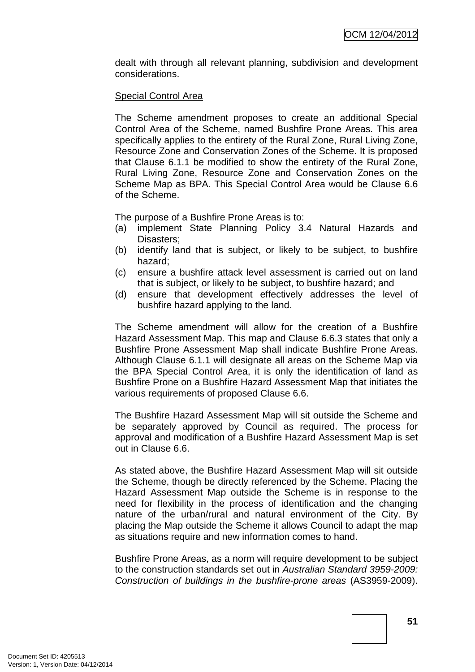dealt with through all relevant planning, subdivision and development considerations.

### Special Control Area

The Scheme amendment proposes to create an additional Special Control Area of the Scheme, named Bushfire Prone Areas. This area specifically applies to the entirety of the Rural Zone, Rural Living Zone, Resource Zone and Conservation Zones of the Scheme. It is proposed that Clause 6.1.1 be modified to show the entirety of the Rural Zone, Rural Living Zone, Resource Zone and Conservation Zones on the Scheme Map as BPA. This Special Control Area would be Clause 6.6 of the Scheme.

The purpose of a Bushfire Prone Areas is to:

- (a) implement State Planning Policy 3.4 Natural Hazards and Disasters;
- (b) identify land that is subject, or likely to be subject, to bushfire hazard;
- (c) ensure a bushfire attack level assessment is carried out on land that is subject, or likely to be subject, to bushfire hazard; and
- (d) ensure that development effectively addresses the level of bushfire hazard applying to the land.

The Scheme amendment will allow for the creation of a Bushfire Hazard Assessment Map. This map and Clause 6.6.3 states that only a Bushfire Prone Assessment Map shall indicate Bushfire Prone Areas. Although Clause 6.1.1 will designate all areas on the Scheme Map via the BPA Special Control Area, it is only the identification of land as Bushfire Prone on a Bushfire Hazard Assessment Map that initiates the various requirements of proposed Clause 6.6.

The Bushfire Hazard Assessment Map will sit outside the Scheme and be separately approved by Council as required. The process for approval and modification of a Bushfire Hazard Assessment Map is set out in Clause 6.6.

As stated above, the Bushfire Hazard Assessment Map will sit outside the Scheme, though be directly referenced by the Scheme. Placing the Hazard Assessment Map outside the Scheme is in response to the need for flexibility in the process of identification and the changing nature of the urban/rural and natural environment of the City. By placing the Map outside the Scheme it allows Council to adapt the map as situations require and new information comes to hand.

Bushfire Prone Areas, as a norm will require development to be subject to the construction standards set out in Australian Standard 3959-2009: Construction of buildings in the bushfire-prone areas (AS3959-2009).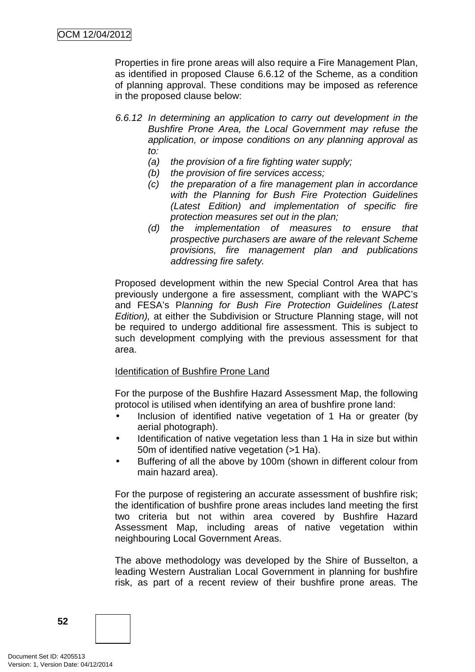Properties in fire prone areas will also require a Fire Management Plan, as identified in proposed Clause 6.6.12 of the Scheme, as a condition of planning approval. These conditions may be imposed as reference in the proposed clause below:

- 6.6.12 In determining an application to carry out development in the Bushfire Prone Area, the Local Government may refuse the application, or impose conditions on any planning approval as to:
	- (a) the provision of a fire fighting water supply;
	- (b) the provision of fire services access;
	- (c) the preparation of a fire management plan in accordance with the Planning for Bush Fire Protection Guidelines (Latest Edition) and implementation of specific fire protection measures set out in the plan;
	- (d) the implementation of measures to ensure that prospective purchasers are aware of the relevant Scheme provisions, fire management plan and publications addressing fire safety.

Proposed development within the new Special Control Area that has previously undergone a fire assessment, compliant with the WAPC's and FESA's Planning for Bush Fire Protection Guidelines (Latest Edition), at either the Subdivision or Structure Planning stage, will not be required to undergo additional fire assessment. This is subject to such development complying with the previous assessment for that area.

#### Identification of Bushfire Prone Land

For the purpose of the Bushfire Hazard Assessment Map, the following protocol is utilised when identifying an area of bushfire prone land:

- Inclusion of identified native vegetation of 1 Ha or greater (by aerial photograph).
- Identification of native vegetation less than 1 Ha in size but within 50m of identified native vegetation (>1 Ha).
- Buffering of all the above by 100m (shown in different colour from main hazard area).

For the purpose of registering an accurate assessment of bushfire risk; the identification of bushfire prone areas includes land meeting the first two criteria but not within area covered by Bushfire Hazard Assessment Map, including areas of native vegetation within neighbouring Local Government Areas.

The above methodology was developed by the Shire of Busselton, a leading Western Australian Local Government in planning for bushfire risk, as part of a recent review of their bushfire prone areas. The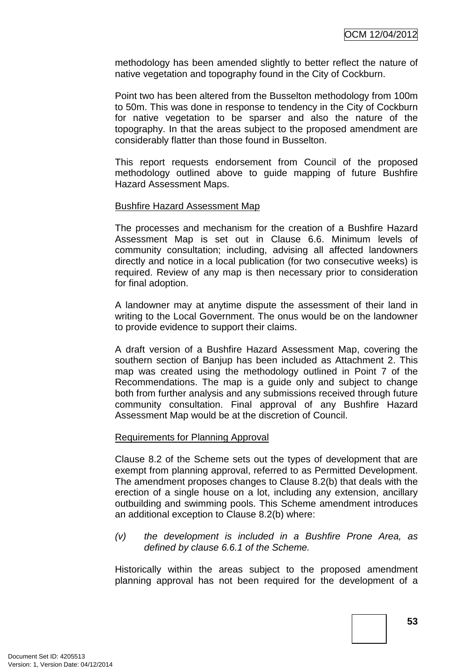methodology has been amended slightly to better reflect the nature of native vegetation and topography found in the City of Cockburn.

Point two has been altered from the Busselton methodology from 100m to 50m. This was done in response to tendency in the City of Cockburn for native vegetation to be sparser and also the nature of the topography. In that the areas subject to the proposed amendment are considerably flatter than those found in Busselton.

This report requests endorsement from Council of the proposed methodology outlined above to guide mapping of future Bushfire Hazard Assessment Maps.

#### Bushfire Hazard Assessment Map

The processes and mechanism for the creation of a Bushfire Hazard Assessment Map is set out in Clause 6.6. Minimum levels of community consultation; including, advising all affected landowners directly and notice in a local publication (for two consecutive weeks) is required. Review of any map is then necessary prior to consideration for final adoption.

A landowner may at anytime dispute the assessment of their land in writing to the Local Government. The onus would be on the landowner to provide evidence to support their claims.

A draft version of a Bushfire Hazard Assessment Map, covering the southern section of Banjup has been included as Attachment 2. This map was created using the methodology outlined in Point 7 of the Recommendations. The map is a guide only and subject to change both from further analysis and any submissions received through future community consultation. Final approval of any Bushfire Hazard Assessment Map would be at the discretion of Council.

#### Requirements for Planning Approval

Clause 8.2 of the Scheme sets out the types of development that are exempt from planning approval, referred to as Permitted Development. The amendment proposes changes to Clause 8.2(b) that deals with the erection of a single house on a lot, including any extension, ancillary outbuilding and swimming pools. This Scheme amendment introduces an additional exception to Clause 8.2(b) where:

(v) the development is included in a Bushfire Prone Area, as defined by clause 6.6.1 of the Scheme.

Historically within the areas subject to the proposed amendment planning approval has not been required for the development of a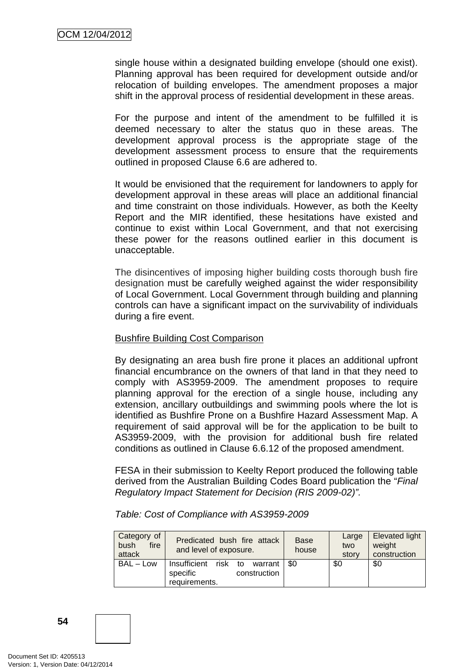single house within a designated building envelope (should one exist). Planning approval has been required for development outside and/or relocation of building envelopes. The amendment proposes a major shift in the approval process of residential development in these areas.

For the purpose and intent of the amendment to be fulfilled it is deemed necessary to alter the status quo in these areas. The development approval process is the appropriate stage of the development assessment process to ensure that the requirements outlined in proposed Clause 6.6 are adhered to.

It would be envisioned that the requirement for landowners to apply for development approval in these areas will place an additional financial and time constraint on those individuals. However, as both the Keelty Report and the MIR identified, these hesitations have existed and continue to exist within Local Government, and that not exercising these power for the reasons outlined earlier in this document is unacceptable.

The disincentives of imposing higher building costs thorough bush fire designation must be carefully weighed against the wider responsibility of Local Government. Local Government through building and planning controls can have a significant impact on the survivability of individuals during a fire event.

#### Bushfire Building Cost Comparison

By designating an area bush fire prone it places an additional upfront financial encumbrance on the owners of that land in that they need to comply with AS3959-2009. The amendment proposes to require planning approval for the erection of a single house, including any extension, ancillary outbuildings and swimming pools where the lot is identified as Bushfire Prone on a Bushfire Hazard Assessment Map. A requirement of said approval will be for the application to be built to AS3959-2009, with the provision for additional bush fire related conditions as outlined in Clause 6.6.12 of the proposed amendment.

FESA in their submission to Keelty Report produced the following table derived from the Australian Building Codes Board publication the "Final Regulatory Impact Statement for Decision (RIS 2009-02)".

| Category of<br>bush<br>fire<br>attack | Predicated bush fire attack<br>and level of exposure.                           | <b>Base</b><br>house | Large<br>two<br>story | Elevated light<br>weight<br>construction |
|---------------------------------------|---------------------------------------------------------------------------------|----------------------|-----------------------|------------------------------------------|
| BAL – Low                             | Insufficient<br>risk to<br>warrant<br>specific<br>construction<br>requirements. | <b>SO</b>            | \$0                   | \$0                                      |

Table: Cost of Compliance with AS3959-2009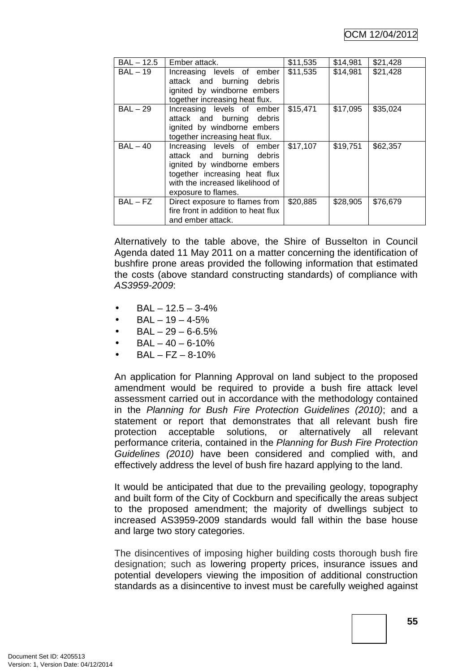| $BAL - 12.5$ | Ember attack.                                                                                                                                                                      | \$11,535 | \$14,981 | \$21,428 |
|--------------|------------------------------------------------------------------------------------------------------------------------------------------------------------------------------------|----------|----------|----------|
| $BAL - 19$   | Increasing levels of ember<br>attack and burning debris<br>ignited by windborne embers<br>together increasing heat flux.                                                           | \$11,535 | \$14,981 | \$21,428 |
| BAL - 29     | Increasing levels of ember<br>attack and burning debris<br>ignited by windborne embers<br>together increasing heat flux.                                                           | \$15,471 | \$17,095 | \$35,024 |
| $BAL - 40$   | Increasing levels of ember<br>attack and burning debris<br>ignited by windborne embers<br>together increasing heat flux<br>with the increased likelihood of<br>exposure to flames. | \$17,107 | \$19,751 | \$62,357 |
| $BAL - FZ$   | Direct exposure to flames from<br>fire front in addition to heat flux<br>and ember attack.                                                                                         | \$20,885 | \$28,905 | \$76,679 |

Alternatively to the table above, the Shire of Busselton in Council Agenda dated 11 May 2011 on a matter concerning the identification of bushfire prone areas provided the following information that estimated the costs (above standard constructing standards) of compliance with AS3959-2009:

- $BAL 12.5 3-4%$
- $BAL 19 4-5%$
- $BAL 29 6 6.5%$
- $BAL 40 6-10%$
- $BAL FZ 8-10%$

An application for Planning Approval on land subject to the proposed amendment would be required to provide a bush fire attack level assessment carried out in accordance with the methodology contained in the Planning for Bush Fire Protection Guidelines (2010); and a statement or report that demonstrates that all relevant bush fire protection acceptable solutions, or alternatively all relevant performance criteria, contained in the Planning for Bush Fire Protection Guidelines (2010) have been considered and complied with, and effectively address the level of bush fire hazard applying to the land.

It would be anticipated that due to the prevailing geology, topography and built form of the City of Cockburn and specifically the areas subject to the proposed amendment; the majority of dwellings subject to increased AS3959-2009 standards would fall within the base house and large two story categories.

The disincentives of imposing higher building costs thorough bush fire designation; such as lowering property prices, insurance issues and potential developers viewing the imposition of additional construction standards as a disincentive to invest must be carefully weighed against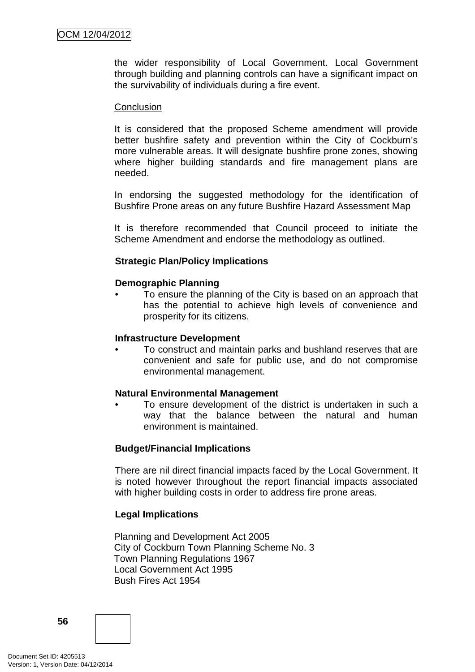the wider responsibility of Local Government. Local Government through building and planning controls can have a significant impact on the survivability of individuals during a fire event.

#### **Conclusion**

It is considered that the proposed Scheme amendment will provide better bushfire safety and prevention within the City of Cockburn's more vulnerable areas. It will designate bushfire prone zones, showing where higher building standards and fire management plans are needed.

In endorsing the suggested methodology for the identification of Bushfire Prone areas on any future Bushfire Hazard Assessment Map

It is therefore recommended that Council proceed to initiate the Scheme Amendment and endorse the methodology as outlined.

#### **Strategic Plan/Policy Implications**

#### **Demographic Planning**

• To ensure the planning of the City is based on an approach that has the potential to achieve high levels of convenience and prosperity for its citizens.

#### **Infrastructure Development**

• To construct and maintain parks and bushland reserves that are convenient and safe for public use, and do not compromise environmental management.

#### **Natural Environmental Management**

To ensure development of the district is undertaken in such a way that the balance between the natural and human environment is maintained.

#### **Budget/Financial Implications**

There are nil direct financial impacts faced by the Local Government. It is noted however throughout the report financial impacts associated with higher building costs in order to address fire prone areas.

#### **Legal Implications**

Planning and Development Act 2005 City of Cockburn Town Planning Scheme No. 3 Town Planning Regulations 1967 Local Government Act 1995 Bush Fires Act 1954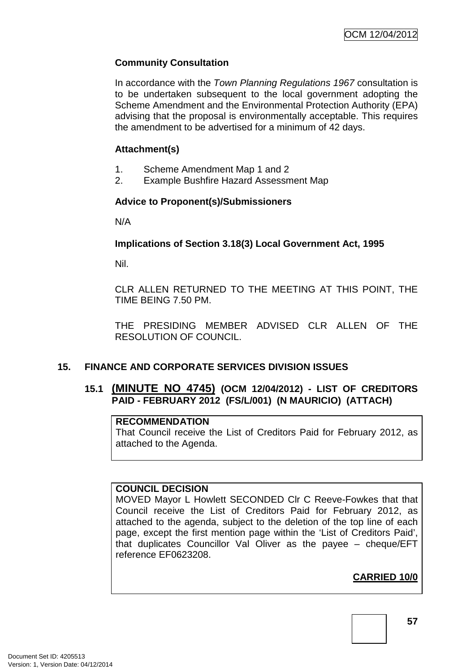## **Community Consultation**

In accordance with the Town Planning Regulations 1967 consultation is to be undertaken subsequent to the local government adopting the Scheme Amendment and the Environmental Protection Authority (EPA) advising that the proposal is environmentally acceptable. This requires the amendment to be advertised for a minimum of 42 days.

## **Attachment(s)**

- 1. Scheme Amendment Map 1 and 2
- 2. Example Bushfire Hazard Assessment Map

## **Advice to Proponent(s)/Submissioners**

N/A

## **Implications of Section 3.18(3) Local Government Act, 1995**

Nil.

CLR ALLEN RETURNED TO THE MEETING AT THIS POINT, THE TIME BEING 7.50 PM.

THE PRESIDING MEMBER ADVISED CLR ALLEN OF THE RESOLUTION OF COUNCIL.

## **15. FINANCE AND CORPORATE SERVICES DIVISION ISSUES**

## **15.1 (MINUTE NO 4745) (OCM 12/04/2012) - LIST OF CREDITORS PAID - FEBRUARY 2012 (FS/L/001) (N MAURICIO) (ATTACH)**

### **RECOMMENDATION**

That Council receive the List of Creditors Paid for February 2012, as attached to the Agenda.

# **COUNCIL DECISION**

MOVED Mayor L Howlett SECONDED Clr C Reeve-Fowkes that that Council receive the List of Creditors Paid for February 2012, as attached to the agenda, subject to the deletion of the top line of each page, except the first mention page within the 'List of Creditors Paid', that duplicates Councillor Val Oliver as the payee – cheque/EFT reference EF0623208.

**CARRIED 10/0**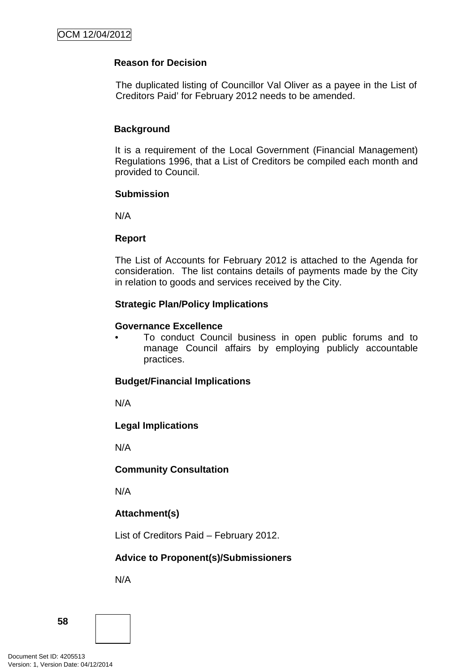## **Reason for Decision**

The duplicated listing of Councillor Val Oliver as a payee in the List of Creditors Paid' for February 2012 needs to be amended.

### **Background**

It is a requirement of the Local Government (Financial Management) Regulations 1996, that a List of Creditors be compiled each month and provided to Council.

#### **Submission**

N/A

#### **Report**

The List of Accounts for February 2012 is attached to the Agenda for consideration. The list contains details of payments made by the City in relation to goods and services received by the City.

## **Strategic Plan/Policy Implications**

#### **Governance Excellence**

• To conduct Council business in open public forums and to manage Council affairs by employing publicly accountable practices.

#### **Budget/Financial Implications**

N/A

#### **Legal Implications**

N/A

#### **Community Consultation**

N/A

## **Attachment(s)**

List of Creditors Paid – February 2012.

## **Advice to Proponent(s)/Submissioners**

N/A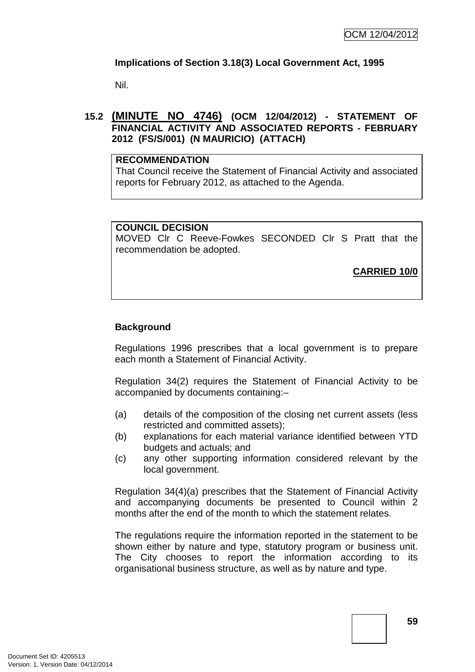## **Implications of Section 3.18(3) Local Government Act, 1995**

Nil.

### **15.2 (MINUTE NO 4746) (OCM 12/04/2012) - STATEMENT OF FINANCIAL ACTIVITY AND ASSOCIATED REPORTS - FEBRUARY 2012 (FS/S/001) (N MAURICIO) (ATTACH)**

#### **RECOMMENDATION**

That Council receive the Statement of Financial Activity and associated reports for February 2012, as attached to the Agenda.

#### **COUNCIL DECISION**

MOVED Clr C Reeve-Fowkes SECONDED Clr S Pratt that the recommendation be adopted.

**CARRIED 10/0**

## **Background**

Regulations 1996 prescribes that a local government is to prepare each month a Statement of Financial Activity.

Regulation 34(2) requires the Statement of Financial Activity to be accompanied by documents containing:–

- (a) details of the composition of the closing net current assets (less restricted and committed assets);
- (b) explanations for each material variance identified between YTD budgets and actuals; and
- (c) any other supporting information considered relevant by the local government.

Regulation 34(4)(a) prescribes that the Statement of Financial Activity and accompanying documents be presented to Council within 2 months after the end of the month to which the statement relates.

The regulations require the information reported in the statement to be shown either by nature and type, statutory program or business unit. The City chooses to report the information according to its organisational business structure, as well as by nature and type.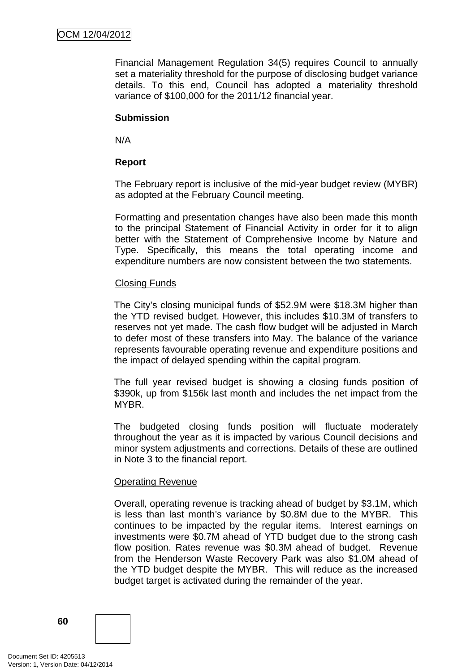Financial Management Regulation 34(5) requires Council to annually set a materiality threshold for the purpose of disclosing budget variance details. To this end, Council has adopted a materiality threshold variance of \$100,000 for the 2011/12 financial year.

#### **Submission**

N/A

#### **Report**

The February report is inclusive of the mid-year budget review (MYBR) as adopted at the February Council meeting.

Formatting and presentation changes have also been made this month to the principal Statement of Financial Activity in order for it to align better with the Statement of Comprehensive Income by Nature and Type. Specifically, this means the total operating income and expenditure numbers are now consistent between the two statements.

#### Closing Funds

The City's closing municipal funds of \$52.9M were \$18.3M higher than the YTD revised budget. However, this includes \$10.3M of transfers to reserves not yet made. The cash flow budget will be adjusted in March to defer most of these transfers into May. The balance of the variance represents favourable operating revenue and expenditure positions and the impact of delayed spending within the capital program.

The full year revised budget is showing a closing funds position of \$390k, up from \$156k last month and includes the net impact from the MYBR.

The budgeted closing funds position will fluctuate moderately throughout the year as it is impacted by various Council decisions and minor system adjustments and corrections. Details of these are outlined in Note 3 to the financial report.

#### Operating Revenue

Overall, operating revenue is tracking ahead of budget by \$3.1M, which is less than last month's variance by \$0.8M due to the MYBR. This continues to be impacted by the regular items. Interest earnings on investments were \$0.7M ahead of YTD budget due to the strong cash flow position. Rates revenue was \$0.3M ahead of budget. Revenue from the Henderson Waste Recovery Park was also \$1.0M ahead of the YTD budget despite the MYBR. This will reduce as the increased budget target is activated during the remainder of the year.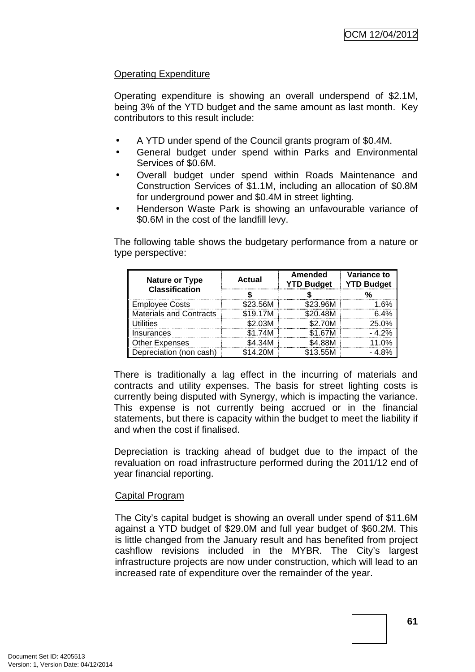### Operating Expenditure

Operating expenditure is showing an overall underspend of \$2.1M, being 3% of the YTD budget and the same amount as last month. Key contributors to this result include:

- A YTD under spend of the Council grants program of \$0.4M.
- General budget under spend within Parks and Environmental Services of \$0.6M.
- Overall budget under spend within Roads Maintenance and Construction Services of \$1.1M, including an allocation of \$0.8M for underground power and \$0.4M in street lighting.
- Henderson Waste Park is showing an unfavourable variance of \$0.6M in the cost of the landfill levy.

The following table shows the budgetary performance from a nature or type perspective:

| <b>Nature or Type</b><br><b>Classification</b> | Actual   | Amended<br><b>YTD Budget</b> | Variance to<br><b>YTD Budget</b> |
|------------------------------------------------|----------|------------------------------|----------------------------------|
|                                                |          |                              |                                  |
| <b>Employee Costs</b>                          | \$23.56M | \$23.96M                     | 1 6%                             |
| <b>Materials and Contracts</b>                 | \$19.17M | \$20.48M                     | 6 4%                             |
| Utilities                                      | \$2.03M  | \$2.70M                      | 25.0%                            |
| Insurances                                     | \$1.74M  | \$1.67M                      | $-4.2%$                          |
| <b>Other Expenses</b>                          | \$4.34M  | \$4.88M                      | 11 በ%                            |
| Depreciation (non cash)                        | 14.20M   | \$13.55M                     |                                  |

There is traditionally a lag effect in the incurring of materials and contracts and utility expenses. The basis for street lighting costs is currently being disputed with Synergy, which is impacting the variance. This expense is not currently being accrued or in the financial statements, but there is capacity within the budget to meet the liability if and when the cost if finalised.

Depreciation is tracking ahead of budget due to the impact of the revaluation on road infrastructure performed during the 2011/12 end of year financial reporting.

#### Capital Program

The City's capital budget is showing an overall under spend of \$11.6M against a YTD budget of \$29.0M and full year budget of \$60.2M. This is little changed from the January result and has benefited from project cashflow revisions included in the MYBR. The City's largest infrastructure projects are now under construction, which will lead to an increased rate of expenditure over the remainder of the year.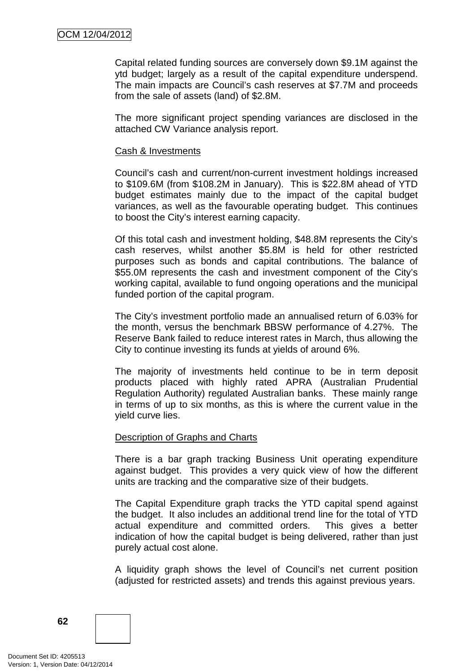Capital related funding sources are conversely down \$9.1M against the ytd budget; largely as a result of the capital expenditure underspend. The main impacts are Council's cash reserves at \$7.7M and proceeds from the sale of assets (land) of \$2.8M.

The more significant project spending variances are disclosed in the attached CW Variance analysis report.

#### Cash & Investments

Council's cash and current/non-current investment holdings increased to \$109.6M (from \$108.2M in January). This is \$22.8M ahead of YTD budget estimates mainly due to the impact of the capital budget variances, as well as the favourable operating budget. This continues to boost the City's interest earning capacity.

Of this total cash and investment holding, \$48.8M represents the City's cash reserves, whilst another \$5.8M is held for other restricted purposes such as bonds and capital contributions. The balance of \$55.0M represents the cash and investment component of the City's working capital, available to fund ongoing operations and the municipal funded portion of the capital program.

The City's investment portfolio made an annualised return of 6.03% for the month, versus the benchmark BBSW performance of 4.27%. The Reserve Bank failed to reduce interest rates in March, thus allowing the City to continue investing its funds at yields of around 6%.

The majority of investments held continue to be in term deposit products placed with highly rated APRA (Australian Prudential Regulation Authority) regulated Australian banks. These mainly range in terms of up to six months, as this is where the current value in the yield curve lies.

#### Description of Graphs and Charts

There is a bar graph tracking Business Unit operating expenditure against budget. This provides a very quick view of how the different units are tracking and the comparative size of their budgets.

The Capital Expenditure graph tracks the YTD capital spend against the budget. It also includes an additional trend line for the total of YTD actual expenditure and committed orders. This gives a better indication of how the capital budget is being delivered, rather than just purely actual cost alone.

A liquidity graph shows the level of Council's net current position (adjusted for restricted assets) and trends this against previous years.

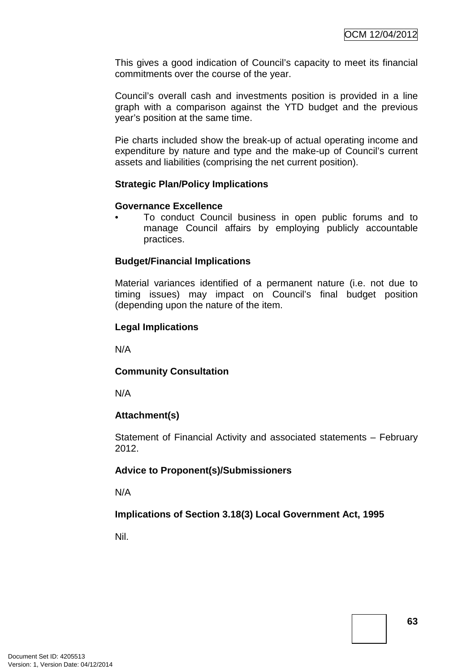This gives a good indication of Council's capacity to meet its financial commitments over the course of the year.

Council's overall cash and investments position is provided in a line graph with a comparison against the YTD budget and the previous year's position at the same time.

Pie charts included show the break-up of actual operating income and expenditure by nature and type and the make-up of Council's current assets and liabilities (comprising the net current position).

#### **Strategic Plan/Policy Implications**

#### **Governance Excellence**

• To conduct Council business in open public forums and to manage Council affairs by employing publicly accountable practices.

## **Budget/Financial Implications**

Material variances identified of a permanent nature (i.e. not due to timing issues) may impact on Council's final budget position (depending upon the nature of the item.

## **Legal Implications**

N/A

#### **Community Consultation**

N/A

## **Attachment(s)**

Statement of Financial Activity and associated statements – February 2012.

## **Advice to Proponent(s)/Submissioners**

N/A

## **Implications of Section 3.18(3) Local Government Act, 1995**

Nil.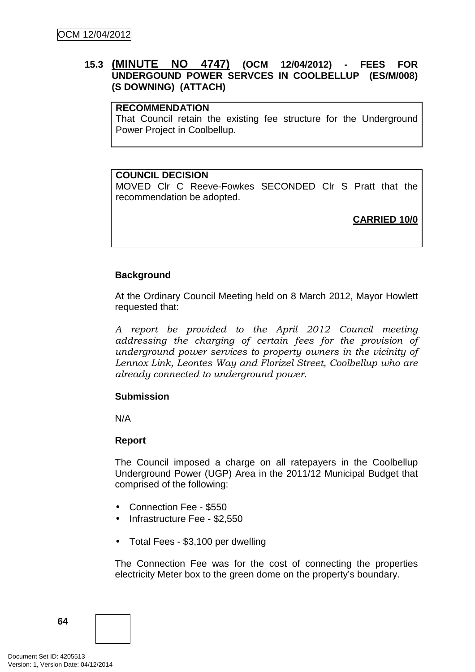## **15.3 (MINUTE NO 4747) (OCM 12/04/2012) - FEES FOR UNDERGOUND POWER SERVCES IN COOLBELLUP (ES/M/008) (S DOWNING) (ATTACH)**

#### **RECOMMENDATION**

That Council retain the existing fee structure for the Underground Power Project in Coolbellup.

#### **COUNCIL DECISION**

MOVED Clr C Reeve-Fowkes SECONDED Clr S Pratt that the recommendation be adopted.

**CARRIED 10/0**

#### **Background**

At the Ordinary Council Meeting held on 8 March 2012, Mayor Howlett requested that:

A report be provided to the April 2012 Council meeting addressing the charging of certain fees for the provision of underground power services to property owners in the vicinity of Lennox Link, Leontes Way and Florizel Street, Coolbellup who are already connected to underground power.

#### **Submission**

N/A

#### **Report**

The Council imposed a charge on all ratepayers in the Coolbellup Underground Power (UGP) Area in the 2011/12 Municipal Budget that comprised of the following:

- Connection Fee \$550
- Infrastructure Fee \$2,550
- Total Fees \$3,100 per dwelling

The Connection Fee was for the cost of connecting the properties electricity Meter box to the green dome on the property's boundary.

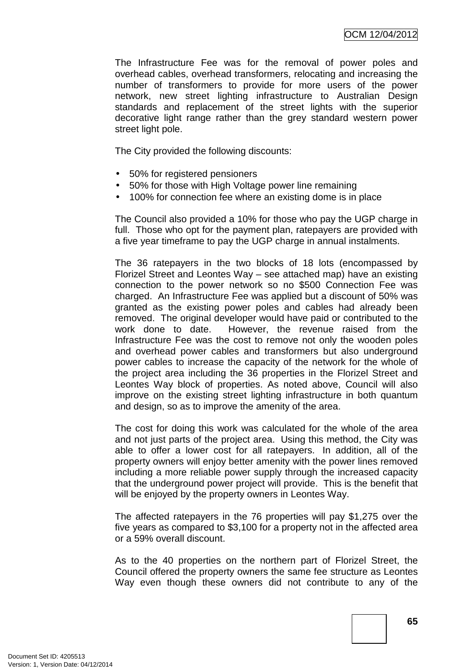The Infrastructure Fee was for the removal of power poles and overhead cables, overhead transformers, relocating and increasing the number of transformers to provide for more users of the power network, new street lighting infrastructure to Australian Design standards and replacement of the street lights with the superior decorative light range rather than the grey standard western power street light pole.

The City provided the following discounts:

- 50% for registered pensioners
- 50% for those with High Voltage power line remaining
- 100% for connection fee where an existing dome is in place

The Council also provided a 10% for those who pay the UGP charge in full. Those who opt for the payment plan, ratepayers are provided with a five year timeframe to pay the UGP charge in annual instalments.

The 36 ratepayers in the two blocks of 18 lots (encompassed by Florizel Street and Leontes Way – see attached map) have an existing connection to the power network so no \$500 Connection Fee was charged. An Infrastructure Fee was applied but a discount of 50% was granted as the existing power poles and cables had already been removed. The original developer would have paid or contributed to the work done to date. However, the revenue raised from the Infrastructure Fee was the cost to remove not only the wooden poles and overhead power cables and transformers but also underground power cables to increase the capacity of the network for the whole of the project area including the 36 properties in the Florizel Street and Leontes Way block of properties. As noted above, Council will also improve on the existing street lighting infrastructure in both quantum and design, so as to improve the amenity of the area.

The cost for doing this work was calculated for the whole of the area and not just parts of the project area. Using this method, the City was able to offer a lower cost for all ratepayers. In addition, all of the property owners will enjoy better amenity with the power lines removed including a more reliable power supply through the increased capacity that the underground power project will provide. This is the benefit that will be enjoyed by the property owners in Leontes Way.

The affected ratepayers in the 76 properties will pay \$1,275 over the five years as compared to \$3,100 for a property not in the affected area or a 59% overall discount.

As to the 40 properties on the northern part of Florizel Street, the Council offered the property owners the same fee structure as Leontes Way even though these owners did not contribute to any of the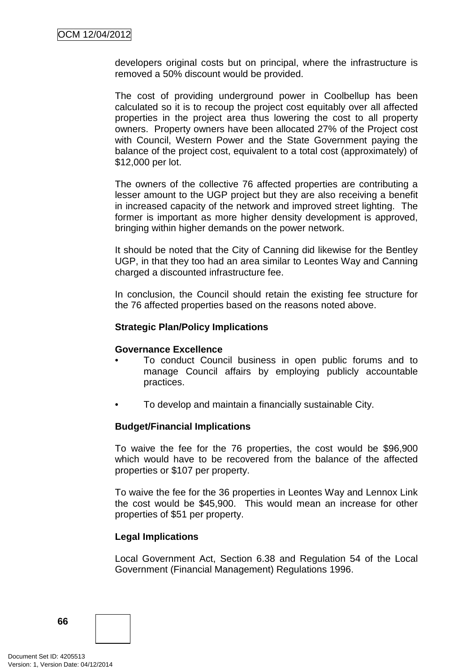developers original costs but on principal, where the infrastructure is removed a 50% discount would be provided.

The cost of providing underground power in Coolbellup has been calculated so it is to recoup the project cost equitably over all affected properties in the project area thus lowering the cost to all property owners. Property owners have been allocated 27% of the Project cost with Council, Western Power and the State Government paying the balance of the project cost, equivalent to a total cost (approximately) of \$12,000 per lot.

The owners of the collective 76 affected properties are contributing a lesser amount to the UGP project but they are also receiving a benefit in increased capacity of the network and improved street lighting. The former is important as more higher density development is approved, bringing within higher demands on the power network.

It should be noted that the City of Canning did likewise for the Bentley UGP, in that they too had an area similar to Leontes Way and Canning charged a discounted infrastructure fee.

In conclusion, the Council should retain the existing fee structure for the 76 affected properties based on the reasons noted above.

#### **Strategic Plan/Policy Implications**

#### **Governance Excellence**

- To conduct Council business in open public forums and to manage Council affairs by employing publicly accountable practices.
- To develop and maintain a financially sustainable City.

#### **Budget/Financial Implications**

To waive the fee for the 76 properties, the cost would be \$96,900 which would have to be recovered from the balance of the affected properties or \$107 per property.

To waive the fee for the 36 properties in Leontes Way and Lennox Link the cost would be \$45,900. This would mean an increase for other properties of \$51 per property.

#### **Legal Implications**

Local Government Act, Section 6.38 and Regulation 54 of the Local Government (Financial Management) Regulations 1996.

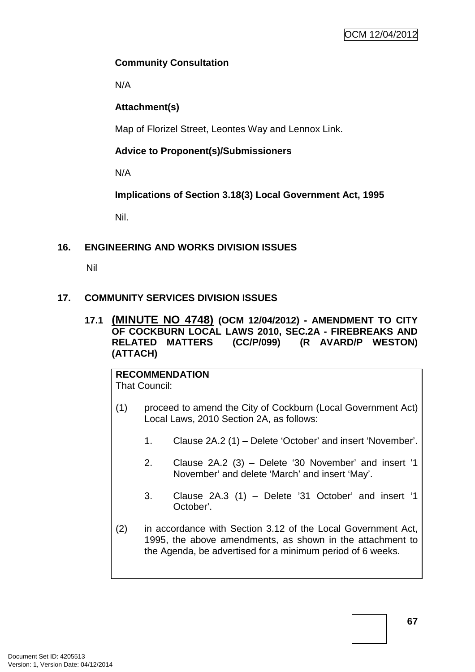## **Community Consultation**

N/A

# **Attachment(s)**

Map of Florizel Street, Leontes Way and Lennox Link.

# **Advice to Proponent(s)/Submissioners**

N/A

# **Implications of Section 3.18(3) Local Government Act, 1995**

Nil.

# **16. ENGINEERING AND WORKS DIVISION ISSUES**

Nil

# **17. COMMUNITY SERVICES DIVISION ISSUES**

**17.1 (MINUTE NO 4748) (OCM 12/04/2012) - AMENDMENT TO CITY OF COCKBURN LOCAL LAWS 2010, SEC.2A - FIREBREAKS AND RELATED MATTERS (CC/P/099) (R AVARD/P WESTON) (ATTACH)** 

# **RECOMMENDATION**

That Council:

- (1) proceed to amend the City of Cockburn (Local Government Act) Local Laws, 2010 Section 2A, as follows:
	- 1. Clause 2A.2 (1) Delete 'October' and insert 'November'.
	- 2. Clause 2A.2 (3) Delete '30 November' and insert '1 November' and delete 'March' and insert 'May'.
	- 3. Clause 2A.3 (1) Delete '31 October' and insert '1 October'.
- (2) in accordance with Section 3.12 of the Local Government Act, 1995, the above amendments, as shown in the attachment to the Agenda, be advertised for a minimum period of 6 weeks.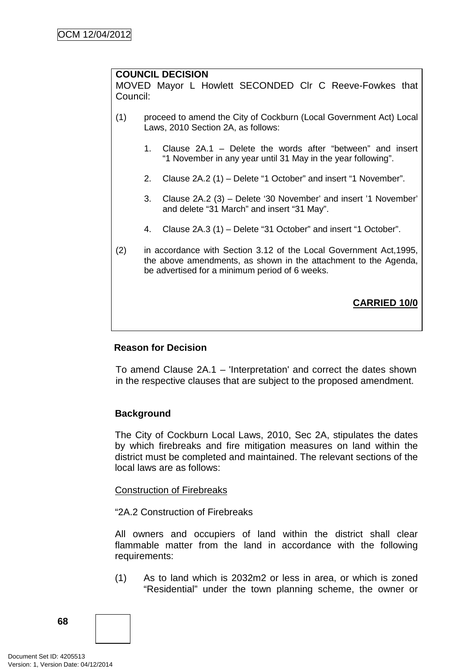#### **COUNCIL DECISION**

MOVED Mayor L Howlett SECONDED Clr C Reeve-Fowkes that Council:

- (1) proceed to amend the City of Cockburn (Local Government Act) Local Laws, 2010 Section 2A, as follows:
	- 1. Clause 2A.1 Delete the words after "between" and insert "1 November in any year until 31 May in the year following".
	- 2. Clause 2A.2 (1) Delete "1 October" and insert "1 November".
	- 3. Clause 2A.2 (3) Delete '30 November' and insert '1 November' and delete "31 March" and insert "31 May".
	- 4. Clause 2A.3 (1) Delete "31 October" and insert "1 October".
- (2) in accordance with Section 3.12 of the Local Government Act,1995, the above amendments, as shown in the attachment to the Agenda, be advertised for a minimum period of 6 weeks.

## **CARRIED 10/0**

#### **Reason for Decision**

To amend Clause 2A.1 – 'Interpretation' and correct the dates shown in the respective clauses that are subject to the proposed amendment.

#### **Background**

The City of Cockburn Local Laws, 2010, Sec 2A, stipulates the dates by which firebreaks and fire mitigation measures on land within the district must be completed and maintained. The relevant sections of the local laws are as follows:

#### Construction of Firebreaks

#### "2A.2 Construction of Firebreaks

All owners and occupiers of land within the district shall clear flammable matter from the land in accordance with the following requirements:

(1) As to land which is 2032m2 or less in area, or which is zoned "Residential" under the town planning scheme, the owner or

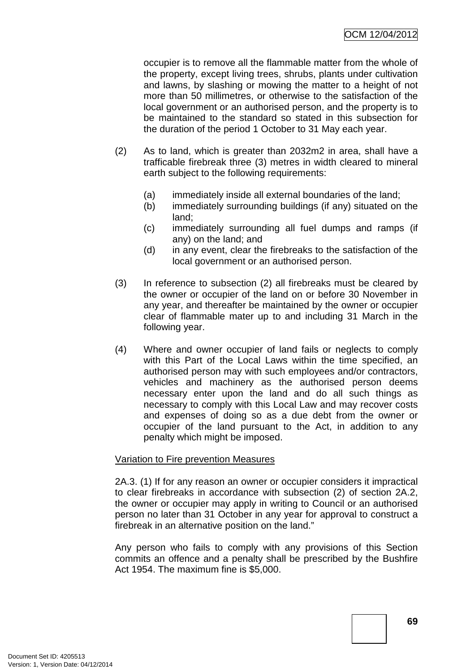occupier is to remove all the flammable matter from the whole of the property, except living trees, shrubs, plants under cultivation and lawns, by slashing or mowing the matter to a height of not more than 50 millimetres, or otherwise to the satisfaction of the local government or an authorised person, and the property is to be maintained to the standard so stated in this subsection for the duration of the period 1 October to 31 May each year.

- (2) As to land, which is greater than 2032m2 in area, shall have a trafficable firebreak three (3) metres in width cleared to mineral earth subject to the following requirements:
	- (a) immediately inside all external boundaries of the land;
	- (b) immediately surrounding buildings (if any) situated on the land;
	- (c) immediately surrounding all fuel dumps and ramps (if any) on the land; and
	- (d) in any event, clear the firebreaks to the satisfaction of the local government or an authorised person.
- (3) In reference to subsection (2) all firebreaks must be cleared by the owner or occupier of the land on or before 30 November in any year, and thereafter be maintained by the owner or occupier clear of flammable mater up to and including 31 March in the following year.
- (4) Where and owner occupier of land fails or neglects to comply with this Part of the Local Laws within the time specified, an authorised person may with such employees and/or contractors, vehicles and machinery as the authorised person deems necessary enter upon the land and do all such things as necessary to comply with this Local Law and may recover costs and expenses of doing so as a due debt from the owner or occupier of the land pursuant to the Act, in addition to any penalty which might be imposed.

# Variation to Fire prevention Measures

2A.3. (1) If for any reason an owner or occupier considers it impractical to clear firebreaks in accordance with subsection (2) of section 2A.2, the owner or occupier may apply in writing to Council or an authorised person no later than 31 October in any year for approval to construct a firebreak in an alternative position on the land."

Any person who fails to comply with any provisions of this Section commits an offence and a penalty shall be prescribed by the Bushfire Act 1954. The maximum fine is \$5,000.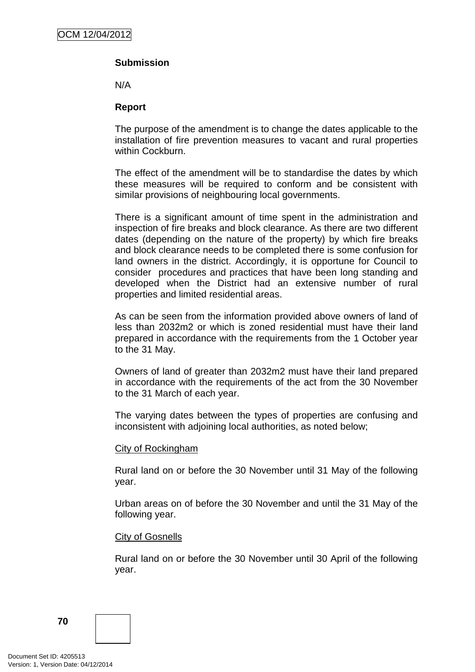# **Submission**

N/A

### **Report**

The purpose of the amendment is to change the dates applicable to the installation of fire prevention measures to vacant and rural properties within Cockburn.

The effect of the amendment will be to standardise the dates by which these measures will be required to conform and be consistent with similar provisions of neighbouring local governments.

There is a significant amount of time spent in the administration and inspection of fire breaks and block clearance. As there are two different dates (depending on the nature of the property) by which fire breaks and block clearance needs to be completed there is some confusion for land owners in the district. Accordingly, it is opportune for Council to consider procedures and practices that have been long standing and developed when the District had an extensive number of rural properties and limited residential areas.

As can be seen from the information provided above owners of land of less than 2032m2 or which is zoned residential must have their land prepared in accordance with the requirements from the 1 October year to the 31 May.

Owners of land of greater than 2032m2 must have their land prepared in accordance with the requirements of the act from the 30 November to the 31 March of each year.

The varying dates between the types of properties are confusing and inconsistent with adjoining local authorities, as noted below;

### City of Rockingham

Rural land on or before the 30 November until 31 May of the following year.

Urban areas on of before the 30 November and until the 31 May of the following year.

### City of Gosnells

Rural land on or before the 30 November until 30 April of the following year.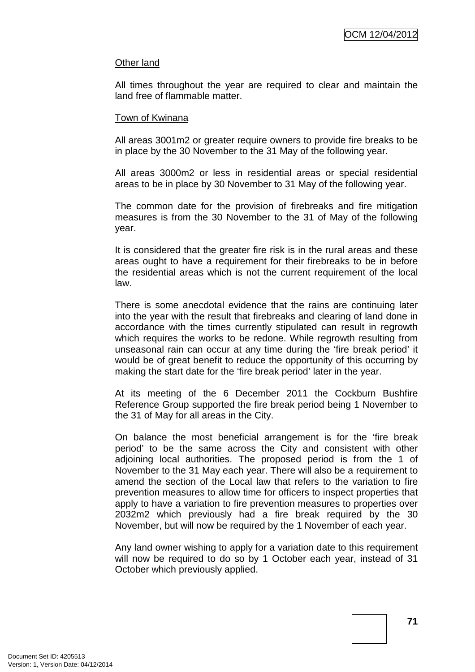### Other land

All times throughout the year are required to clear and maintain the land free of flammable matter.

#### Town of Kwinana

All areas 3001m2 or greater require owners to provide fire breaks to be in place by the 30 November to the 31 May of the following year.

All areas 3000m2 or less in residential areas or special residential areas to be in place by 30 November to 31 May of the following year.

The common date for the provision of firebreaks and fire mitigation measures is from the 30 November to the 31 of May of the following year.

It is considered that the greater fire risk is in the rural areas and these areas ought to have a requirement for their firebreaks to be in before the residential areas which is not the current requirement of the local law.

There is some anecdotal evidence that the rains are continuing later into the year with the result that firebreaks and clearing of land done in accordance with the times currently stipulated can result in regrowth which requires the works to be redone. While regrowth resulting from unseasonal rain can occur at any time during the 'fire break period' it would be of great benefit to reduce the opportunity of this occurring by making the start date for the 'fire break period' later in the year.

At its meeting of the 6 December 2011 the Cockburn Bushfire Reference Group supported the fire break period being 1 November to the 31 of May for all areas in the City.

On balance the most beneficial arrangement is for the 'fire break period' to be the same across the City and consistent with other adjoining local authorities. The proposed period is from the 1 of November to the 31 May each year. There will also be a requirement to amend the section of the Local law that refers to the variation to fire prevention measures to allow time for officers to inspect properties that apply to have a variation to fire prevention measures to properties over 2032m2 which previously had a fire break required by the 30 November, but will now be required by the 1 November of each year.

Any land owner wishing to apply for a variation date to this requirement will now be required to do so by 1 October each year, instead of 31 October which previously applied.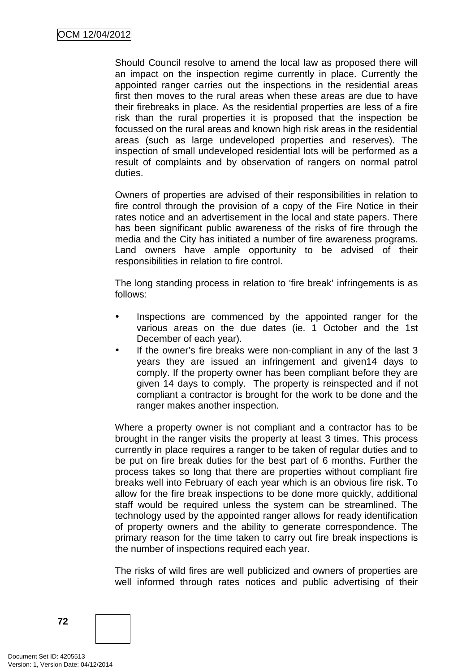Should Council resolve to amend the local law as proposed there will an impact on the inspection regime currently in place. Currently the appointed ranger carries out the inspections in the residential areas first then moves to the rural areas when these areas are due to have their firebreaks in place. As the residential properties are less of a fire risk than the rural properties it is proposed that the inspection be focussed on the rural areas and known high risk areas in the residential areas (such as large undeveloped properties and reserves). The inspection of small undeveloped residential lots will be performed as a result of complaints and by observation of rangers on normal patrol duties.

Owners of properties are advised of their responsibilities in relation to fire control through the provision of a copy of the Fire Notice in their rates notice and an advertisement in the local and state papers. There has been significant public awareness of the risks of fire through the media and the City has initiated a number of fire awareness programs. Land owners have ample opportunity to be advised of their responsibilities in relation to fire control.

The long standing process in relation to 'fire break' infringements is as follows:

- Inspections are commenced by the appointed ranger for the various areas on the due dates (ie. 1 October and the 1st December of each year).
- If the owner's fire breaks were non-compliant in any of the last 3 years they are issued an infringement and given14 days to comply. If the property owner has been compliant before they are given 14 days to comply. The property is reinspected and if not compliant a contractor is brought for the work to be done and the ranger makes another inspection.

Where a property owner is not compliant and a contractor has to be brought in the ranger visits the property at least 3 times. This process currently in place requires a ranger to be taken of regular duties and to be put on fire break duties for the best part of 6 months. Further the process takes so long that there are properties without compliant fire breaks well into February of each year which is an obvious fire risk. To allow for the fire break inspections to be done more quickly, additional staff would be required unless the system can be streamlined. The technology used by the appointed ranger allows for ready identification of property owners and the ability to generate correspondence. The primary reason for the time taken to carry out fire break inspections is the number of inspections required each year.

The risks of wild fires are well publicized and owners of properties are well informed through rates notices and public advertising of their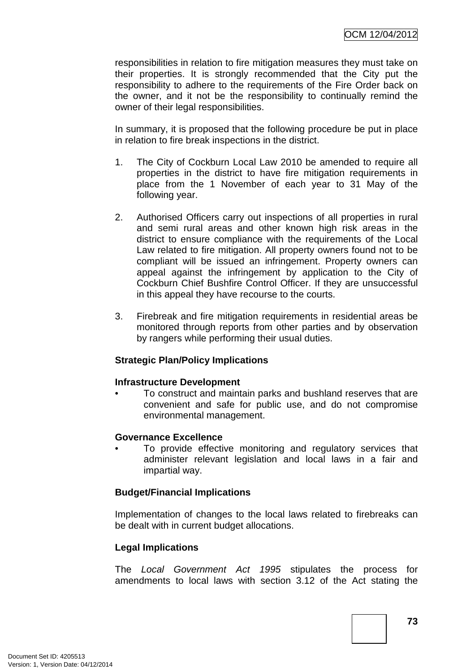responsibilities in relation to fire mitigation measures they must take on their properties. It is strongly recommended that the City put the responsibility to adhere to the requirements of the Fire Order back on the owner, and it not be the responsibility to continually remind the owner of their legal responsibilities.

In summary, it is proposed that the following procedure be put in place in relation to fire break inspections in the district.

- 1. The City of Cockburn Local Law 2010 be amended to require all properties in the district to have fire mitigation requirements in place from the 1 November of each year to 31 May of the following year.
- 2. Authorised Officers carry out inspections of all properties in rural and semi rural areas and other known high risk areas in the district to ensure compliance with the requirements of the Local Law related to fire mitigation. All property owners found not to be compliant will be issued an infringement. Property owners can appeal against the infringement by application to the City of Cockburn Chief Bushfire Control Officer. If they are unsuccessful in this appeal they have recourse to the courts.
- 3. Firebreak and fire mitigation requirements in residential areas be monitored through reports from other parties and by observation by rangers while performing their usual duties.

# **Strategic Plan/Policy Implications**

### **Infrastructure Development**

• To construct and maintain parks and bushland reserves that are convenient and safe for public use, and do not compromise environmental management.

# **Governance Excellence**

To provide effective monitoring and regulatory services that administer relevant legislation and local laws in a fair and impartial way.

# **Budget/Financial Implications**

Implementation of changes to the local laws related to firebreaks can be dealt with in current budget allocations.

# **Legal Implications**

The Local Government Act 1995 stipulates the process for amendments to local laws with section 3.12 of the Act stating the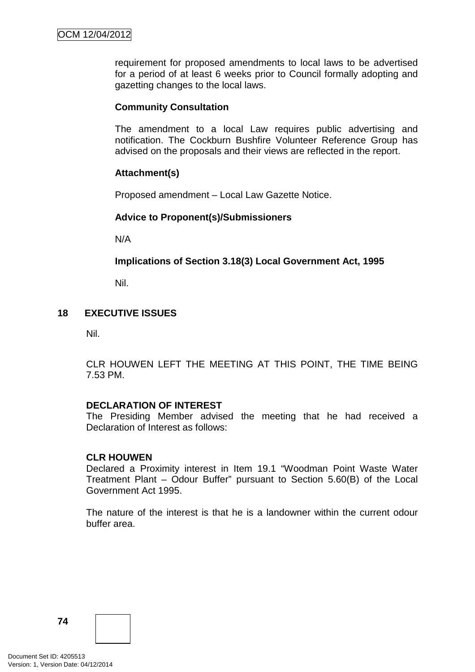requirement for proposed amendments to local laws to be advertised for a period of at least 6 weeks prior to Council formally adopting and gazetting changes to the local laws.

### **Community Consultation**

The amendment to a local Law requires public advertising and notification. The Cockburn Bushfire Volunteer Reference Group has advised on the proposals and their views are reflected in the report.

## **Attachment(s)**

Proposed amendment – Local Law Gazette Notice.

### **Advice to Proponent(s)/Submissioners**

N/A

## **Implications of Section 3.18(3) Local Government Act, 1995**

Nil.

## **18 EXECUTIVE ISSUES**

Nil.

CLR HOUWEN LEFT THE MEETING AT THIS POINT, THE TIME BEING 7.53 PM.

#### **DECLARATION OF INTEREST**

The Presiding Member advised the meeting that he had received a Declaration of Interest as follows:

### **CLR HOUWEN**

Declared a Proximity interest in Item 19.1 "Woodman Point Waste Water Treatment Plant – Odour Buffer" pursuant to Section 5.60(B) of the Local Government Act 1995.

The nature of the interest is that he is a landowner within the current odour buffer area.

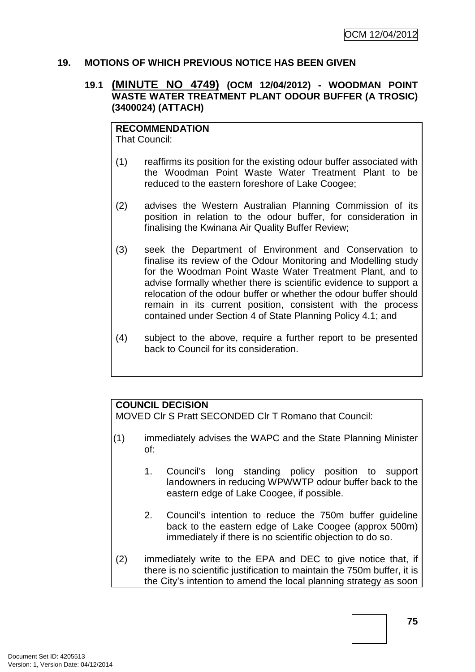## **19. MOTIONS OF WHICH PREVIOUS NOTICE HAS BEEN GIVEN**

### **19.1 (MINUTE NO 4749) (OCM 12/04/2012) - WOODMAN POINT WASTE WATER TREATMENT PLANT ODOUR BUFFER (A TROSIC) (3400024) (ATTACH)**

**RECOMMENDATION** That Council:

- (1) reaffirms its position for the existing odour buffer associated with the Woodman Point Waste Water Treatment Plant to be reduced to the eastern foreshore of Lake Coogee;
- (2) advises the Western Australian Planning Commission of its position in relation to the odour buffer, for consideration in finalising the Kwinana Air Quality Buffer Review;
- (3) seek the Department of Environment and Conservation to finalise its review of the Odour Monitoring and Modelling study for the Woodman Point Waste Water Treatment Plant, and to advise formally whether there is scientific evidence to support a relocation of the odour buffer or whether the odour buffer should remain in its current position, consistent with the process contained under Section 4 of State Planning Policy 4.1; and
- (4) subject to the above, require a further report to be presented back to Council for its consideration.

# **COUNCIL DECISION**

MOVED Clr S Pratt SECONDED Clr T Romano that Council:

- (1) immediately advises the WAPC and the State Planning Minister of:
	- 1. Council's long standing policy position to support landowners in reducing WPWWTP odour buffer back to the eastern edge of Lake Coogee, if possible.
	- 2. Council's intention to reduce the 750m buffer guideline back to the eastern edge of Lake Coogee (approx 500m) immediately if there is no scientific objection to do so.
- (2) immediately write to the EPA and DEC to give notice that, if there is no scientific justification to maintain the 750m buffer, it is the City's intention to amend the local planning strategy as soon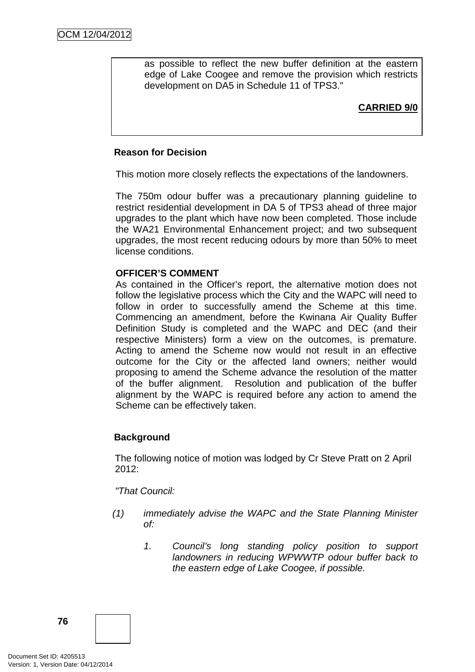as possible to reflect the new buffer definition at the eastern edge of Lake Coogee and remove the provision which restricts development on DA5 in Schedule 11 of TPS3."

# **CARRIED 9/0**

### **Reason for Decision**

This motion more closely reflects the expectations of the landowners.

The 750m odour buffer was a precautionary planning guideline to restrict residential development in DA 5 of TPS3 ahead of three major upgrades to the plant which have now been completed. Those include the WA21 Environmental Enhancement project; and two subsequent upgrades, the most recent reducing odours by more than 50% to meet license conditions.

### **OFFICER'S COMMENT**

As contained in the Officer's report, the alternative motion does not follow the legislative process which the City and the WAPC will need to follow in order to successfully amend the Scheme at this time. Commencing an amendment, before the Kwinana Air Quality Buffer Definition Study is completed and the WAPC and DEC (and their respective Ministers) form a view on the outcomes, is premature. Acting to amend the Scheme now would not result in an effective outcome for the City or the affected land owners; neither would proposing to amend the Scheme advance the resolution of the matter of the buffer alignment. Resolution and publication of the buffer alignment by the WAPC is required before any action to amend the Scheme can be effectively taken.

### **Background**

The following notice of motion was lodged by Cr Steve Pratt on 2 April 2012:

#### "That Council:

- (1) immediately advise the WAPC and the State Planning Minister of:
	- 1. Council's long standing policy position to support landowners in reducing WPWWTP odour buffer back to the eastern edge of Lake Coogee, if possible.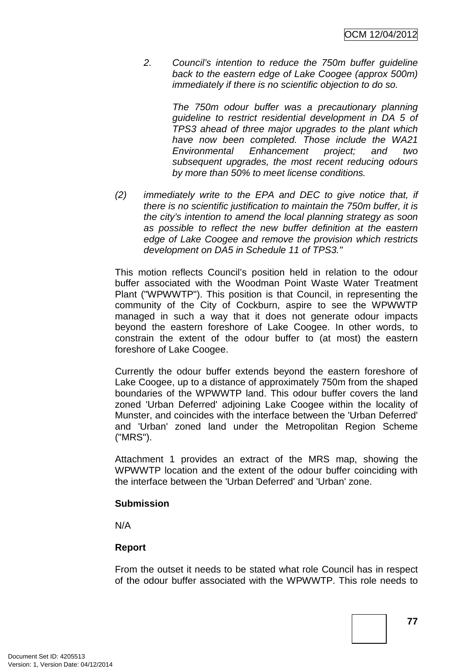2. Council's intention to reduce the 750m buffer guideline back to the eastern edge of Lake Coogee (approx 500m) immediately if there is no scientific objection to do so.

> The 750m odour buffer was a precautionary planning guideline to restrict residential development in DA 5 of TPS3 ahead of three major upgrades to the plant which have now been completed. Those include the WA21 Environmental Enhancement project; and two subsequent upgrades, the most recent reducing odours by more than 50% to meet license conditions.

(2) immediately write to the EPA and DEC to give notice that, if there is no scientific justification to maintain the 750m buffer, it is the city's intention to amend the local planning strategy as soon as possible to reflect the new buffer definition at the eastern edge of Lake Coogee and remove the provision which restricts development on DA5 in Schedule 11 of TPS3."

This motion reflects Council's position held in relation to the odour buffer associated with the Woodman Point Waste Water Treatment Plant ("WPWWTP"). This position is that Council, in representing the community of the City of Cockburn, aspire to see the WPWWTP managed in such a way that it does not generate odour impacts beyond the eastern foreshore of Lake Coogee. In other words, to constrain the extent of the odour buffer to (at most) the eastern foreshore of Lake Coogee.

Currently the odour buffer extends beyond the eastern foreshore of Lake Coogee, up to a distance of approximately 750m from the shaped boundaries of the WPWWTP land. This odour buffer covers the land zoned 'Urban Deferred' adjoining Lake Coogee within the locality of Munster, and coincides with the interface between the 'Urban Deferred' and 'Urban' zoned land under the Metropolitan Region Scheme ("MRS").

Attachment 1 provides an extract of the MRS map, showing the WPWWTP location and the extent of the odour buffer coinciding with the interface between the 'Urban Deferred' and 'Urban' zone.

### **Submission**

N/A

### **Report**

From the outset it needs to be stated what role Council has in respect of the odour buffer associated with the WPWWTP. This role needs to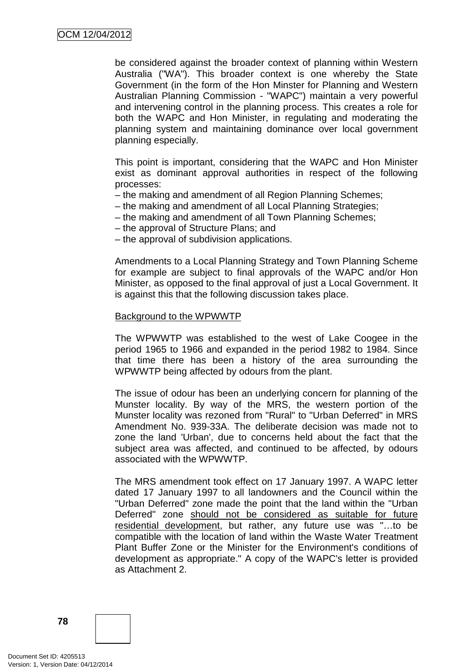be considered against the broader context of planning within Western Australia ("WA"). This broader context is one whereby the State Government (in the form of the Hon Minster for Planning and Western Australian Planning Commission - "WAPC") maintain a very powerful and intervening control in the planning process. This creates a role for both the WAPC and Hon Minister, in regulating and moderating the planning system and maintaining dominance over local government planning especially.

This point is important, considering that the WAPC and Hon Minister exist as dominant approval authorities in respect of the following processes:

- the making and amendment of all Region Planning Schemes;
- the making and amendment of all Local Planning Strategies;
- the making and amendment of all Town Planning Schemes;
- the approval of Structure Plans; and
- the approval of subdivision applications.

Amendments to a Local Planning Strategy and Town Planning Scheme for example are subject to final approvals of the WAPC and/or Hon Minister, as opposed to the final approval of just a Local Government. It is against this that the following discussion takes place.

#### Background to the WPWWTP

The WPWWTP was established to the west of Lake Coogee in the period 1965 to 1966 and expanded in the period 1982 to 1984. Since that time there has been a history of the area surrounding the WPWWTP being affected by odours from the plant.

The issue of odour has been an underlying concern for planning of the Munster locality. By way of the MRS, the western portion of the Munster locality was rezoned from "Rural" to "Urban Deferred" in MRS Amendment No. 939-33A. The deliberate decision was made not to zone the land 'Urban', due to concerns held about the fact that the subject area was affected, and continued to be affected, by odours associated with the WPWWTP.

The MRS amendment took effect on 17 January 1997. A WAPC letter dated 17 January 1997 to all landowners and the Council within the "Urban Deferred" zone made the point that the land within the "Urban Deferred" zone should not be considered as suitable for future residential development, but rather, any future use was "…to be compatible with the location of land within the Waste Water Treatment Plant Buffer Zone or the Minister for the Environment's conditions of development as appropriate." A copy of the WAPC's letter is provided as Attachment 2.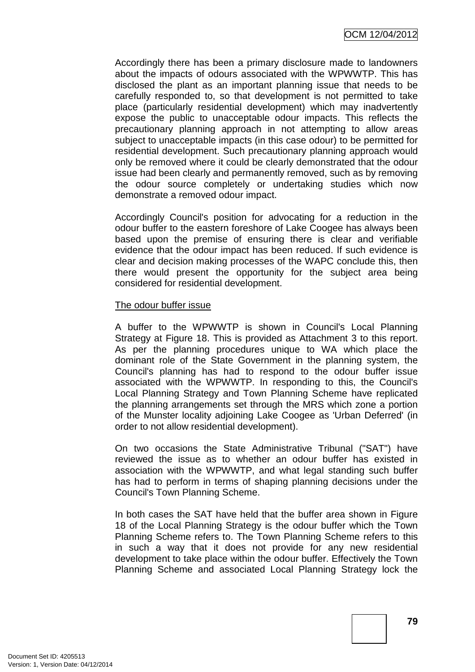Accordingly there has been a primary disclosure made to landowners about the impacts of odours associated with the WPWWTP. This has disclosed the plant as an important planning issue that needs to be carefully responded to, so that development is not permitted to take place (particularly residential development) which may inadvertently expose the public to unacceptable odour impacts. This reflects the precautionary planning approach in not attempting to allow areas subject to unacceptable impacts (in this case odour) to be permitted for residential development. Such precautionary planning approach would only be removed where it could be clearly demonstrated that the odour issue had been clearly and permanently removed, such as by removing the odour source completely or undertaking studies which now demonstrate a removed odour impact.

Accordingly Council's position for advocating for a reduction in the odour buffer to the eastern foreshore of Lake Coogee has always been based upon the premise of ensuring there is clear and verifiable evidence that the odour impact has been reduced. If such evidence is clear and decision making processes of the WAPC conclude this, then there would present the opportunity for the subject area being considered for residential development.

## The odour buffer issue

A buffer to the WPWWTP is shown in Council's Local Planning Strategy at Figure 18. This is provided as Attachment 3 to this report. As per the planning procedures unique to WA which place the dominant role of the State Government in the planning system, the Council's planning has had to respond to the odour buffer issue associated with the WPWWTP. In responding to this, the Council's Local Planning Strategy and Town Planning Scheme have replicated the planning arrangements set through the MRS which zone a portion of the Munster locality adjoining Lake Coogee as 'Urban Deferred' (in order to not allow residential development).

On two occasions the State Administrative Tribunal ("SAT") have reviewed the issue as to whether an odour buffer has existed in association with the WPWWTP, and what legal standing such buffer has had to perform in terms of shaping planning decisions under the Council's Town Planning Scheme.

In both cases the SAT have held that the buffer area shown in Figure 18 of the Local Planning Strategy is the odour buffer which the Town Planning Scheme refers to. The Town Planning Scheme refers to this in such a way that it does not provide for any new residential development to take place within the odour buffer. Effectively the Town Planning Scheme and associated Local Planning Strategy lock the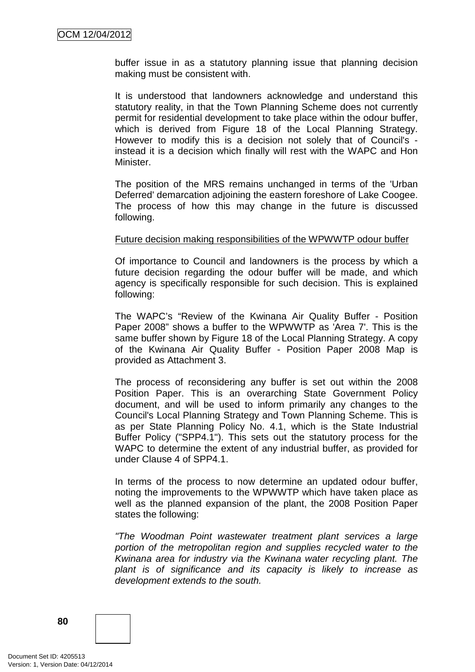buffer issue in as a statutory planning issue that planning decision making must be consistent with.

It is understood that landowners acknowledge and understand this statutory reality, in that the Town Planning Scheme does not currently permit for residential development to take place within the odour buffer, which is derived from Figure 18 of the Local Planning Strategy. However to modify this is a decision not solely that of Council's instead it is a decision which finally will rest with the WAPC and Hon Minister.

The position of the MRS remains unchanged in terms of the 'Urban Deferred' demarcation adjoining the eastern foreshore of Lake Coogee. The process of how this may change in the future is discussed following.

#### Future decision making responsibilities of the WPWWTP odour buffer

Of importance to Council and landowners is the process by which a future decision regarding the odour buffer will be made, and which agency is specifically responsible for such decision. This is explained following:

The WAPC's "Review of the Kwinana Air Quality Buffer - Position Paper 2008" shows a buffer to the WPWWTP as 'Area 7'. This is the same buffer shown by Figure 18 of the Local Planning Strategy. A copy of the Kwinana Air Quality Buffer - Position Paper 2008 Map is provided as Attachment 3.

The process of reconsidering any buffer is set out within the 2008 Position Paper. This is an overarching State Government Policy document, and will be used to inform primarily any changes to the Council's Local Planning Strategy and Town Planning Scheme. This is as per State Planning Policy No. 4.1, which is the State Industrial Buffer Policy ("SPP4.1"). This sets out the statutory process for the WAPC to determine the extent of any industrial buffer, as provided for under Clause 4 of SPP4.1.

In terms of the process to now determine an updated odour buffer, noting the improvements to the WPWWTP which have taken place as well as the planned expansion of the plant, the 2008 Position Paper states the following:

"The Woodman Point wastewater treatment plant services a large portion of the metropolitan region and supplies recycled water to the Kwinana area for industry via the Kwinana water recycling plant. The plant is of significance and its capacity is likely to increase as development extends to the south.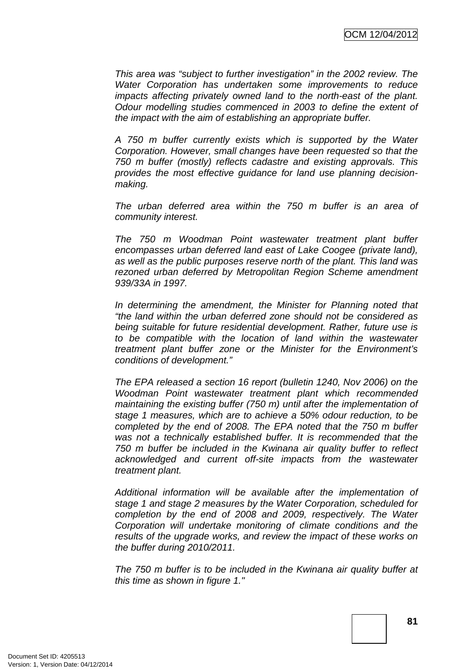This area was "subject to further investigation" in the 2002 review. The Water Corporation has undertaken some improvements to reduce impacts affecting privately owned land to the north-east of the plant. Odour modelling studies commenced in 2003 to define the extent of the impact with the aim of establishing an appropriate buffer.

A 750 m buffer currently exists which is supported by the Water Corporation. However, small changes have been requested so that the 750 m buffer (mostly) reflects cadastre and existing approvals. This provides the most effective guidance for land use planning decisionmaking.

The urban deferred area within the 750 m buffer is an area of community interest.

The 750 m Woodman Point wastewater treatment plant buffer encompasses urban deferred land east of Lake Coogee (private land), as well as the public purposes reserve north of the plant. This land was rezoned urban deferred by Metropolitan Region Scheme amendment 939/33A in 1997.

In determining the amendment, the Minister for Planning noted that "the land within the urban deferred zone should not be considered as being suitable for future residential development. Rather, future use is to be compatible with the location of land within the wastewater treatment plant buffer zone or the Minister for the Environment's conditions of development."

The EPA released a section 16 report (bulletin 1240, Nov 2006) on the Woodman Point wastewater treatment plant which recommended maintaining the existing buffer (750 m) until after the implementation of stage 1 measures, which are to achieve a 50% odour reduction, to be completed by the end of 2008. The EPA noted that the 750 m buffer was not a technically established buffer. It is recommended that the 750 m buffer be included in the Kwinana air quality buffer to reflect acknowledged and current off-site impacts from the wastewater treatment plant.

Additional information will be available after the implementation of stage 1 and stage 2 measures by the Water Corporation, scheduled for completion by the end of 2008 and 2009, respectively. The Water Corporation will undertake monitoring of climate conditions and the results of the upgrade works, and review the impact of these works on the buffer during 2010/2011.

The 750 m buffer is to be included in the Kwinana air quality buffer at this time as shown in figure 1."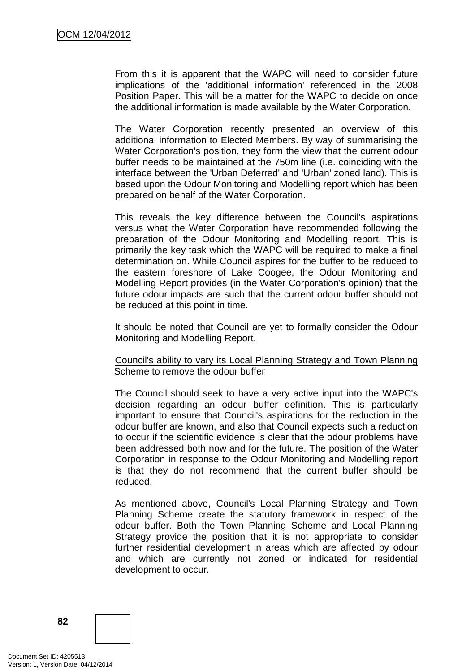From this it is apparent that the WAPC will need to consider future implications of the 'additional information' referenced in the 2008 Position Paper. This will be a matter for the WAPC to decide on once the additional information is made available by the Water Corporation.

The Water Corporation recently presented an overview of this additional information to Elected Members. By way of summarising the Water Corporation's position, they form the view that the current odour buffer needs to be maintained at the 750m line (i.e. coinciding with the interface between the 'Urban Deferred' and 'Urban' zoned land). This is based upon the Odour Monitoring and Modelling report which has been prepared on behalf of the Water Corporation.

This reveals the key difference between the Council's aspirations versus what the Water Corporation have recommended following the preparation of the Odour Monitoring and Modelling report. This is primarily the key task which the WAPC will be required to make a final determination on. While Council aspires for the buffer to be reduced to the eastern foreshore of Lake Coogee, the Odour Monitoring and Modelling Report provides (in the Water Corporation's opinion) that the future odour impacts are such that the current odour buffer should not be reduced at this point in time.

It should be noted that Council are yet to formally consider the Odour Monitoring and Modelling Report.

#### Council's ability to vary its Local Planning Strategy and Town Planning Scheme to remove the odour buffer

The Council should seek to have a very active input into the WAPC's decision regarding an odour buffer definition. This is particularly important to ensure that Council's aspirations for the reduction in the odour buffer are known, and also that Council expects such a reduction to occur if the scientific evidence is clear that the odour problems have been addressed both now and for the future. The position of the Water Corporation in response to the Odour Monitoring and Modelling report is that they do not recommend that the current buffer should be reduced.

As mentioned above, Council's Local Planning Strategy and Town Planning Scheme create the statutory framework in respect of the odour buffer. Both the Town Planning Scheme and Local Planning Strategy provide the position that it is not appropriate to consider further residential development in areas which are affected by odour and which are currently not zoned or indicated for residential development to occur.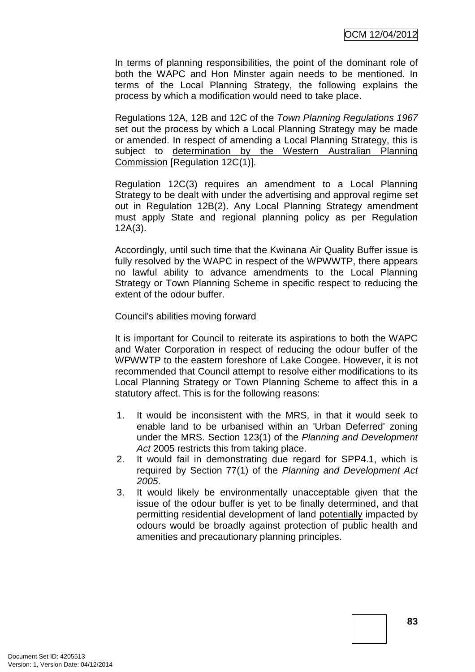In terms of planning responsibilities, the point of the dominant role of both the WAPC and Hon Minster again needs to be mentioned. In terms of the Local Planning Strategy, the following explains the process by which a modification would need to take place.

Regulations 12A, 12B and 12C of the Town Planning Regulations 1967 set out the process by which a Local Planning Strategy may be made or amended. In respect of amending a Local Planning Strategy, this is subject to determination by the Western Australian Planning Commission [Regulation 12C(1)].

Regulation 12C(3) requires an amendment to a Local Planning Strategy to be dealt with under the advertising and approval regime set out in Regulation 12B(2). Any Local Planning Strategy amendment must apply State and regional planning policy as per Regulation 12A(3).

Accordingly, until such time that the Kwinana Air Quality Buffer issue is fully resolved by the WAPC in respect of the WPWWTP, there appears no lawful ability to advance amendments to the Local Planning Strategy or Town Planning Scheme in specific respect to reducing the extent of the odour buffer.

#### Council's abilities moving forward

It is important for Council to reiterate its aspirations to both the WAPC and Water Corporation in respect of reducing the odour buffer of the WPWWTP to the eastern foreshore of Lake Coogee. However, it is not recommended that Council attempt to resolve either modifications to its Local Planning Strategy or Town Planning Scheme to affect this in a statutory affect. This is for the following reasons:

- 1. It would be inconsistent with the MRS, in that it would seek to enable land to be urbanised within an 'Urban Deferred' zoning under the MRS. Section 123(1) of the Planning and Development Act 2005 restricts this from taking place.
- 2. It would fail in demonstrating due regard for SPP4.1, which is required by Section 77(1) of the Planning and Development Act 2005.
- 3. It would likely be environmentally unacceptable given that the issue of the odour buffer is yet to be finally determined, and that permitting residential development of land potentially impacted by odours would be broadly against protection of public health and amenities and precautionary planning principles.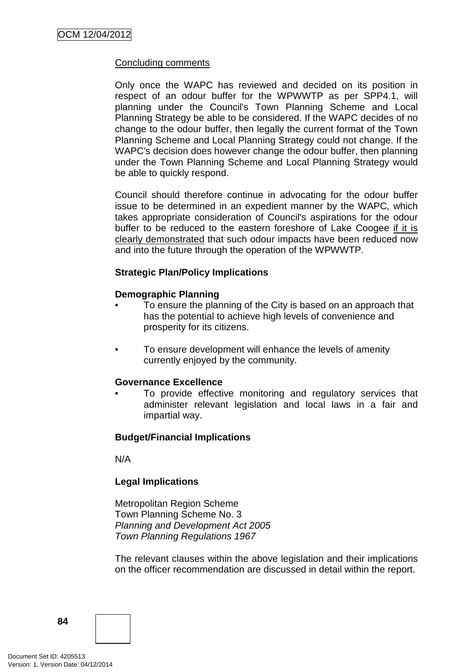### Concluding comments

Only once the WAPC has reviewed and decided on its position in respect of an odour buffer for the WPWWTP as per SPP4.1, will planning under the Council's Town Planning Scheme and Local Planning Strategy be able to be considered. If the WAPC decides of no change to the odour buffer, then legally the current format of the Town Planning Scheme and Local Planning Strategy could not change. If the WAPC's decision does however change the odour buffer, then planning under the Town Planning Scheme and Local Planning Strategy would be able to quickly respond.

Council should therefore continue in advocating for the odour buffer issue to be determined in an expedient manner by the WAPC, which takes appropriate consideration of Council's aspirations for the odour buffer to be reduced to the eastern foreshore of Lake Coogee if it is clearly demonstrated that such odour impacts have been reduced now and into the future through the operation of the WPWWTP.

### **Strategic Plan/Policy Implications**

### **Demographic Planning**

- To ensure the planning of the City is based on an approach that has the potential to achieve high levels of convenience and prosperity for its citizens.
- To ensure development will enhance the levels of amenity currently enjoyed by the community.

### **Governance Excellence**

To provide effective monitoring and regulatory services that administer relevant legislation and local laws in a fair and impartial way.

### **Budget/Financial Implications**

N/A

### **Legal Implications**

Metropolitan Region Scheme Town Planning Scheme No. 3 Planning and Development Act 2005 Town Planning Regulations 1967

The relevant clauses within the above legislation and their implications on the officer recommendation are discussed in detail within the report.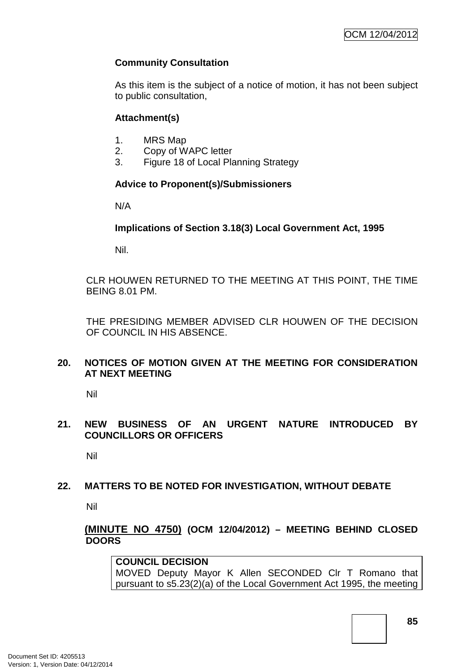# **Community Consultation**

As this item is the subject of a notice of motion, it has not been subject to public consultation,

## **Attachment(s)**

- 1. MRS Map
- 2. Copy of WAPC letter
- 3. Figure 18 of Local Planning Strategy

## **Advice to Proponent(s)/Submissioners**

N/A

# **Implications of Section 3.18(3) Local Government Act, 1995**

Nil.

CLR HOUWEN RETURNED TO THE MEETING AT THIS POINT, THE TIME BEING 8.01 PM.

THE PRESIDING MEMBER ADVISED CLR HOUWEN OF THE DECISION OF COUNCIL IN HIS ABSENCE.

## **20. NOTICES OF MOTION GIVEN AT THE MEETING FOR CONSIDERATION AT NEXT MEETING**

Nil

## **21. NEW BUSINESS OF AN URGENT NATURE INTRODUCED BY COUNCILLORS OR OFFICERS**

Nil

# **22. MATTERS TO BE NOTED FOR INVESTIGATION, WITHOUT DEBATE**

Nil

# **(MINUTE NO 4750) (OCM 12/04/2012) – MEETING BEHIND CLOSED DOORS**

**COUNCIL DECISION** MOVED Deputy Mayor K Allen SECONDED Clr T Romano that pursuant to s5.23(2)(a) of the Local Government Act 1995, the meeting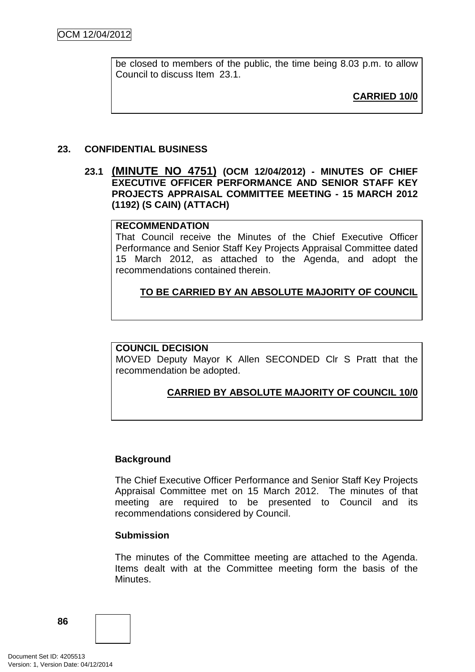be closed to members of the public, the time being 8.03 p.m. to allow Council to discuss Item 23.1.

**CARRIED 10/0**

#### **23. CONFIDENTIAL BUSINESS**

### **23.1 (MINUTE NO 4751) (OCM 12/04/2012) - MINUTES OF CHIEF EXECUTIVE OFFICER PERFORMANCE AND SENIOR STAFF KEY PROJECTS APPRAISAL COMMITTEE MEETING - 15 MARCH 2012 (1192) (S CAIN) (ATTACH)**

#### **RECOMMENDATION**

That Council receive the Minutes of the Chief Executive Officer Performance and Senior Staff Key Projects Appraisal Committee dated 15 March 2012, as attached to the Agenda, and adopt the recommendations contained therein.

### **TO BE CARRIED BY AN ABSOLUTE MAJORITY OF COUNCIL**

#### **COUNCIL DECISION**

MOVED Deputy Mayor K Allen SECONDED Clr S Pratt that the recommendation be adopted.

#### **CARRIED BY ABSOLUTE MAJORITY OF COUNCIL 10/0**

#### **Background**

The Chief Executive Officer Performance and Senior Staff Key Projects Appraisal Committee met on 15 March 2012. The minutes of that meeting are required to be presented to Council and its recommendations considered by Council.

#### **Submission**

The minutes of the Committee meeting are attached to the Agenda. Items dealt with at the Committee meeting form the basis of the Minutes.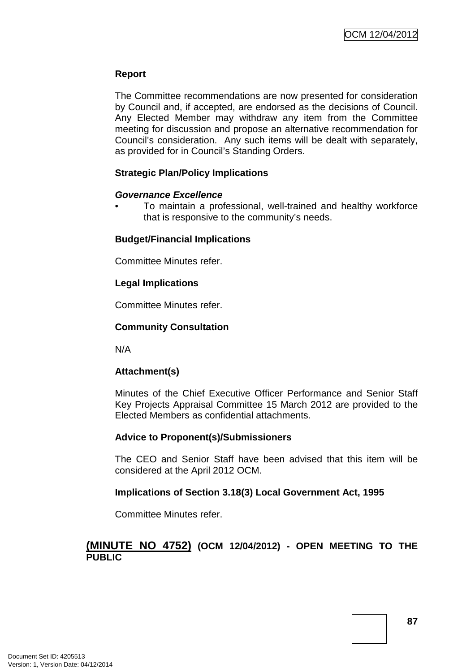## **Report**

The Committee recommendations are now presented for consideration by Council and, if accepted, are endorsed as the decisions of Council. Any Elected Member may withdraw any item from the Committee meeting for discussion and propose an alternative recommendation for Council's consideration. Any such items will be dealt with separately, as provided for in Council's Standing Orders.

## **Strategic Plan/Policy Implications**

### **Governance Excellence**

• To maintain a professional, well-trained and healthy workforce that is responsive to the community's needs.

## **Budget/Financial Implications**

Committee Minutes refer.

# **Legal Implications**

Committee Minutes refer.

## **Community Consultation**

N/A

# **Attachment(s)**

Minutes of the Chief Executive Officer Performance and Senior Staff Key Projects Appraisal Committee 15 March 2012 are provided to the Elected Members as confidential attachments.

### **Advice to Proponent(s)/Submissioners**

The CEO and Senior Staff have been advised that this item will be considered at the April 2012 OCM.

### **Implications of Section 3.18(3) Local Government Act, 1995**

Committee Minutes refer.

# **(MINUTE NO 4752) (OCM 12/04/2012) - OPEN MEETING TO THE PUBLIC**